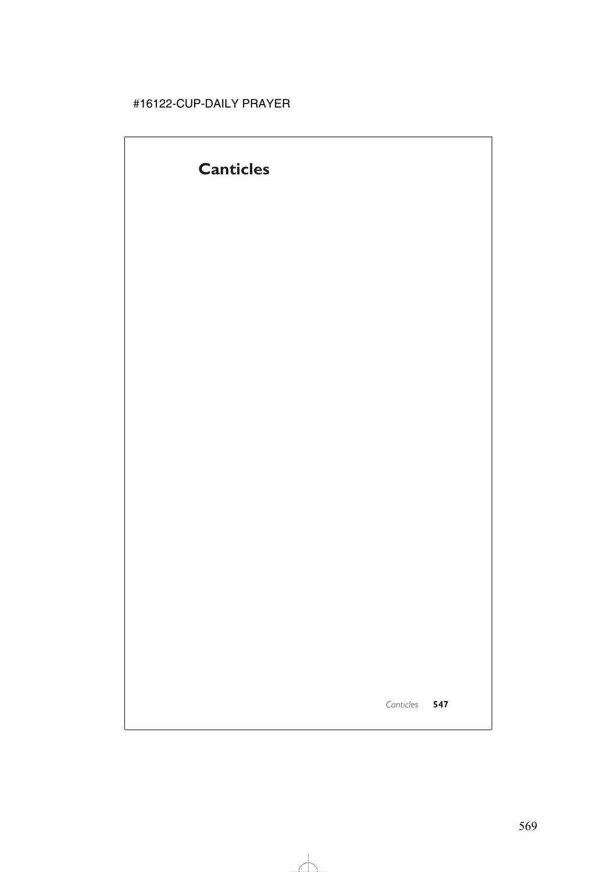# **Canticles**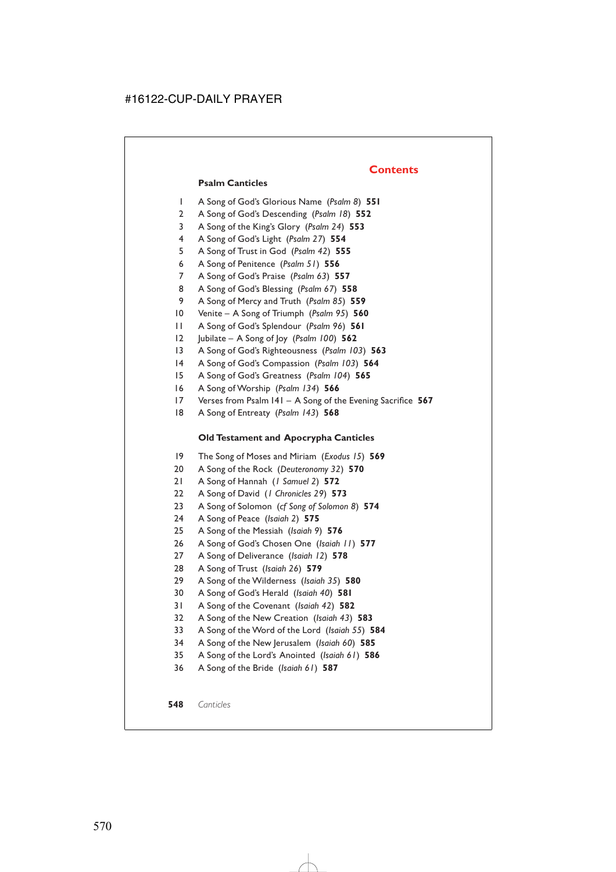### **Contents**

#### **Psalm Canticles**

- 1 A Song of God's Glorious Name (*Psalm 8*) **551**
- 2 A Song of God's Descending (*Psalm 18*) **552**
- 3 A Song of the King's Glory (*Psalm 24*) **553**
- 4 A Song of God's Light (*Psalm 27*) **554**
- 5 A Song of Trust in God (*Psalm 42*) **555**
- 6 A Song of Penitence (*Psalm 51*) **556**
- 7 A Song of God's Praise (*Psalm 63*) **557**
- 8 A Song of God's Blessing (*Psalm 67*) **558**
- 9 A Song of Mercy and Truth (*Psalm 85*) **559**
- 10 Venite A Song of Triumph (*Psalm 95*) **560**
- 11 A Song of God's Splendour (*Psalm 96*) **561**
- 12 Jubilate A Song of Joy (*Psalm 100*) **562**
- 13 A Song of God's Righteousness (*Psalm 103*) **563**
- 14 A Song of God's Compassion (*Psalm 103*) **564**
- 15 A Song of God's Greatness (*Psalm 104*) **565**
- 16 A Song of Worship (*Psalm 134*) **566**
- 17 Verses from Psalm 141 A Song of the Evening Sacrifice **567**
- 18 A Song of Entreaty (*Psalm 143*) **568**

### **Old Testament and Apocrypha Canticles**

- 19 The Song of Moses and Miriam (*Exodus 15*) **569**
- 20 A Song of the Rock (*Deuteronomy 32*) **570**
- 21 A Song of Hannah (*1 Samuel 2*) **572**
- 22 A Song of David (*1 Chronicles 29*) **573**
- 23 A Song of Solomon (*cf Song of Solomon 8*) **574**
- 24 A Song of Peace (*Isaiah 2*) **575**
- 25 A Song of the Messiah (*Isaiah 9*) **576**
- 26 A Song of God's Chosen One (*Isaiah 11*) **577**
- 27 A Song of Deliverance (*Isaiah 12*) **578**
- 28 A Song of Trust (*Isaiah 26*) **579**
- 29 A Song of the Wilderness (*Isaiah 35*) **580**
- 30 A Song of God's Herald (*Isaiah 40*) **581**
- 31 A Song of the Covenant (*Isaiah 42*) **582**
- 32 A Song of the New Creation (*Isaiah 43*) **583**
- 33 A Song of the Word of the Lord (*Isaiah 55*) **584**
- 34 A Song of the New Jerusalem (*Isaiah 60*) **585**
- 35 A Song of the Lord's Anointed (*Isaiah 61*) **586**
- 36 A Song of the Bride (*Isaiah 61*) **587**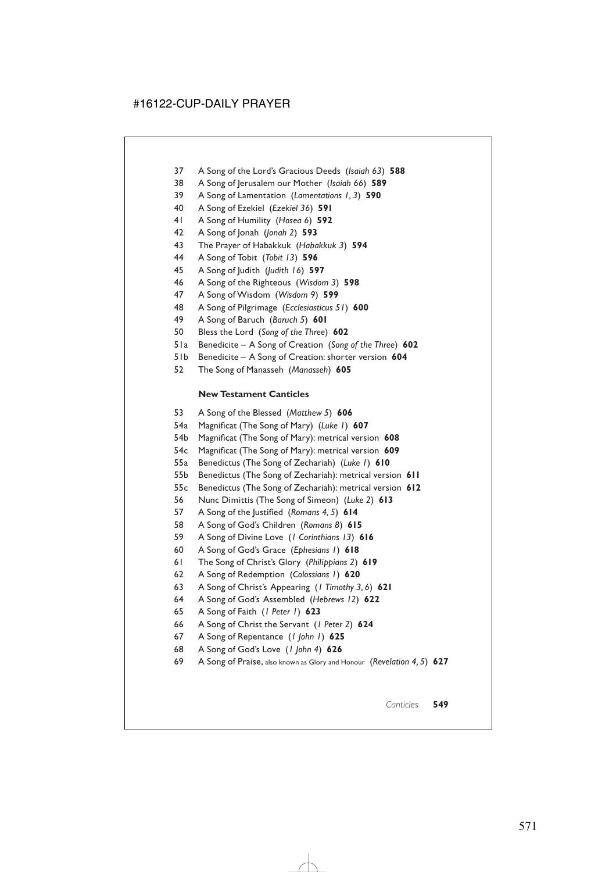- 37 A Song of the Lord's Gracious Deeds (*Isaiah 63*) **588**
- 38 A Song of Jerusalem our Mother (*Isaiah 66*) **589**
- 39 A Song of Lamentation (*Lamentations 1, 3*) **590**
- 40 A Song of Ezekiel (*Ezekiel 36*) **591**
- 41 A Song of Humility (*Hosea 6*) **592**
- 42 A Song of Jonah (*Jonah 2*) **593**
- 43 The Prayer of Habakkuk (*Habakkuk 3*) **594**
- 44 A Song of Tobit (*Tobit 13*) **596**
- 45 A Song of Judith (*Judith 16*) **597**
- 46 A Song of the Righteous (*Wisdom 3*) **598**
- 47 A Song of Wisdom (*Wisdom 9*) **599**
- 48 A Song of Pilgrimage (*Ecclesiasticus 51*) **600**
- 49 A Song of Baruch (*Baruch 5*) **601**
- 50 Bless the Lord (*Song of the Three*) **602**
- 51a Benedicite A Song of Creation (*Song of the Three*) **602**
- 51b Benedicite A Song of Creation: shorter version **604**
- 52 The Song of Manasseh (*Manasseh*) **605**

### **New Testament Canticles**

- 53 A Song of the Blessed (*Matthew 5*) **606**
- 54a Magnificat (The Song of Mary) (*Luke 1*) **607**
- 54b Magnificat (The Song of Mary): metrical version **608**
- 54c Magnificat (The Song of Mary): metrical version **609**
- 55a Benedictus (The Song of Zechariah) (*Luke 1*) **610**
- 55b Benedictus (The Song of Zechariah): metrical version **611**
- 55c Benedictus (The Song of Zechariah): metrical version **612**
- 56 Nunc Dimittis (The Song of Simeon) (*Luke 2*) **613**
- 57 A Song of the Justified (*Romans 4, 5*) **614**
- 58 A Song of God's Children (*Romans 8*) **615**
- 59 A Song of Divine Love (*1 Corinthians 13*) **616**
- 60 A Song of God's Grace (*Ephesians 1*) **618**
- 61 The Song of Christ's Glory (*Philippians 2*) **619**
- 62 A Song of Redemption (*Colossians 1*) **620**
- 63 A Song of Christ's Appearing (*1 Timothy 3, 6*) **621**
- 64 A Song of God's Assembled (*Hebrews 12*) **622**
- 65 A Song of Faith (*1 Peter 1*) **623**
- 66 A Song of Christ the Servant (*1 Peter 2*) **624**
- 67 A Song of Repentance (*1 John 1*) **625**
- 68 A Song of God's Love (*1 John 4*) **626**
- 69 A Song of Praise, also known as Glory and Honour (*Revelation 4, 5*) **627**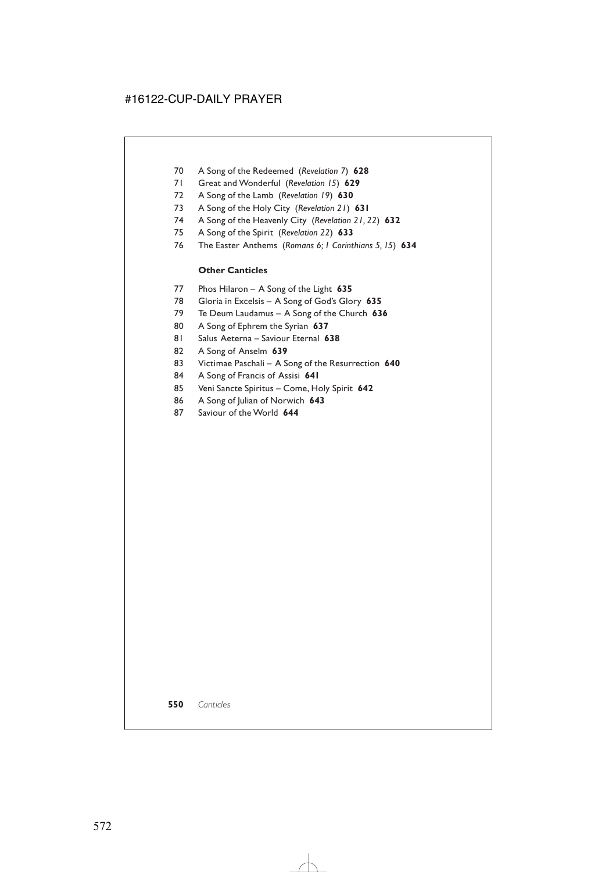- 70 A Song of the Redeemed (*Revelation 7*) **628**
- 71 Great and Wonderful (*Revelation 15*) **629**
- 72 A Song of the Lamb (*Revelation 19*) **630**
- 73 A Song of the Holy City (*Revelation 21*) **631**
- 74 A Song of the Heavenly City (*Revelation 21, 22*) **632**
- 75 A Song of the Spirit (*Revelation 22*) **633**
- 76 The Easter Anthems (*Romans 6; 1 Corinthians 5, 15*) **634**

### **Other Canticles**

- 77 Phos Hilaron A Song of the Light **635**
- 78 Gloria in Excelsis A Song of God's Glory **635**
- 79 Te Deum Laudamus A Song of the Church **636**
- 80 A Song of Ephrem the Syrian **637**
- 81 Salus Aeterna Saviour Eternal **638**
- 82 A Song of Anselm **639**
- 83 Victimae Paschali A Song of the Resurrection **640**
- 84 A Song of Francis of Assisi **641**
- 85 Veni Sancte Spiritus Come, Holy Spirit **642**
- 86 A Song of Julian of Norwich **643**
- 87 Saviour of the World **644**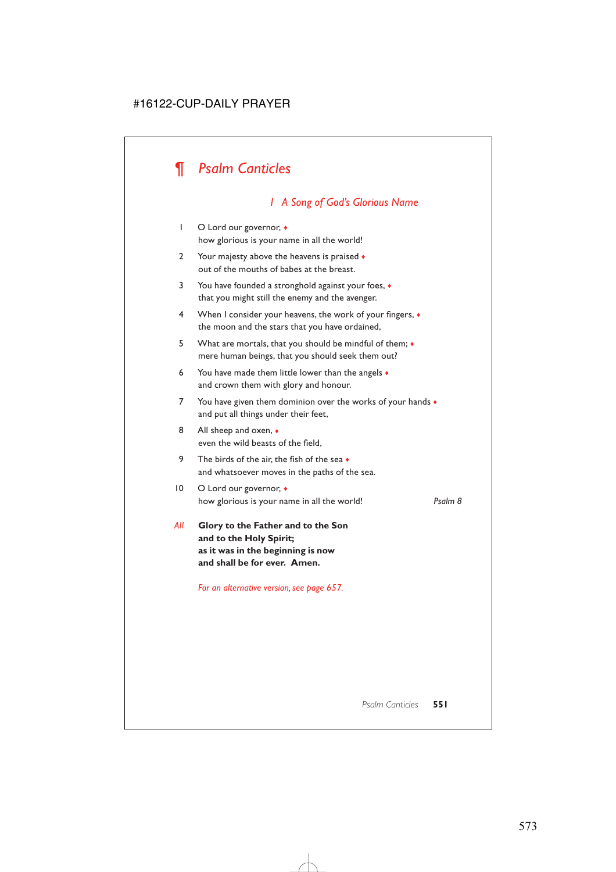# *¶ Psalm Canticles*

# *1 A Song of God's Glorious Name*

- 1 O Lord our governor,  $\triangleleft$ how glorious is your name in all the world!
- 2 Your majesty above the heavens is praised  $\bullet$ out of the mouths of babes at the breast.
- 3 You have founded a stronghold against your foes, ♦ that you might still the enemy and the avenger.
- 4 When I consider your heavens, the work of your fingers, ♦ the moon and the stars that you have ordained,
- 5 What are mortals, that you should be mindful of them; ♦ mere human beings, that you should seek them out?
- 6 You have made them little lower than the angels  $\bullet$ and crown them with glory and honour.
- 7 You have given them dominion over the works of your hands  $\bullet$ and put all things under their feet,
- 8 All sheep and oxen,  $\bullet$ even the wild beasts of the field,
- 9 The birds of the air, the fish of the sea  $\bullet$ and whatsoever moves in the paths of the sea.
- 10 O Lord our governor,  $\bullet$ how glorious is your name in all the world! *Psalm 8*

*All* **Glory to the Father and to the Son and to the Holy Spirit; as it was in the beginning is now and shall be for ever. Amen.**

*For an alternative version, see page 657.*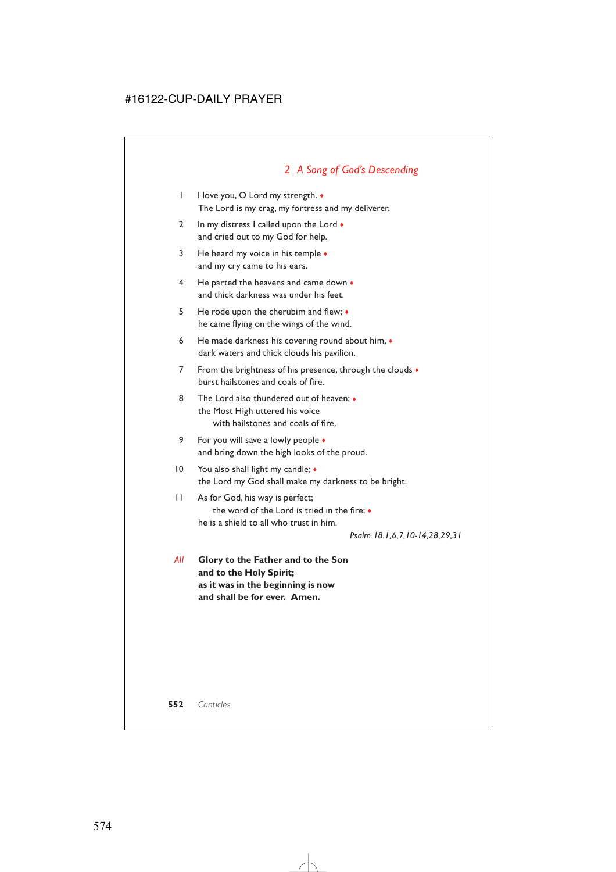# *2 A Song of God's Descending*

- 1 I love you, O Lord my strength. ♦ The Lord is my crag, my fortress and my deliverer.
- 2 In my distress I called upon the Lord  $\bullet$ and cried out to my God for help.
- 3 He heard my voice in his temple  $\bullet$ and my cry came to his ears.
- 4 He parted the heavens and came down  $\bullet$ and thick darkness was under his feet.
- 5 He rode upon the cherubim and flew; ♦ he came flying on the wings of the wind.
- 6 He made darkness his covering round about him, ♦ dark waters and thick clouds his pavilion.
- 7 From the brightness of his presence, through the clouds  $\bullet$ burst hailstones and coals of fire.
- 8 The Lord also thundered out of heaven;  $\bullet$ the Most High uttered his voice with hailstones and coals of fire.
- 9 For you will save a lowly people  $\bullet$ and bring down the high looks of the proud.
- 10 You also shall light my candle;  $\triangleleft$ the Lord my God shall make my darkness to be bright.

### 11 As for God, his way is perfect; the word of the Lord is tried in the fire; ♦ he is a shield to all who trust in him.

*Psalm 18.1,6,7,10-14,28,29,31*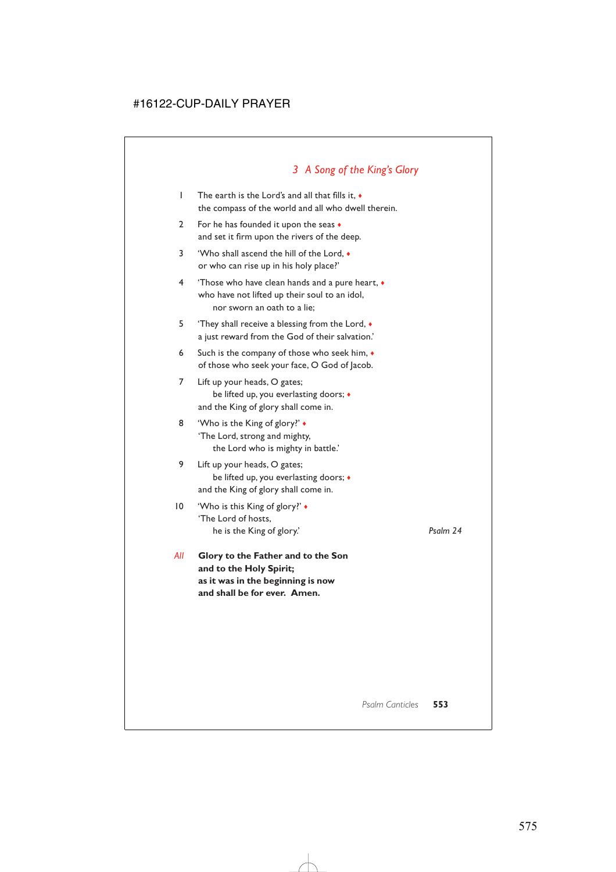### *3 A Song of the King's Glory*

- 1 The earth is the Lord's and all that fills it, ♦ the compass of the world and all who dwell therein.
- 2 For he has founded it upon the seas  $\bullet$ and set it firm upon the rivers of the deep.
- 3 'Who shall ascend the hill of the Lord, ♦ or who can rise up in his holy place?'
- 4 'Those who have clean hands and a pure heart, ♦ who have not lifted up their soul to an idol, nor sworn an oath to a lie;
- 5 'They shall receive a blessing from the Lord,  $\bullet$ a just reward from the God of their salvation.'
- 6 Such is the company of those who seek him, ♦ of those who seek your face, O God of Jacob.
- 7 Lift up your heads, O gates; be lifted up, you everlasting doors; ♦ and the King of glory shall come in.
- 8 **Who is the King of glory?'** 'The Lord, strong and mighty, the Lord who is mighty in battle.'
- 9 Lift up your heads, O gates; be lifted up, you everlasting doors; ♦ and the King of glory shall come in.
- 10 'Who is this King of glory?' ♦ 'The Lord of hosts, he is the King of glory.' *Psalm 24*
	-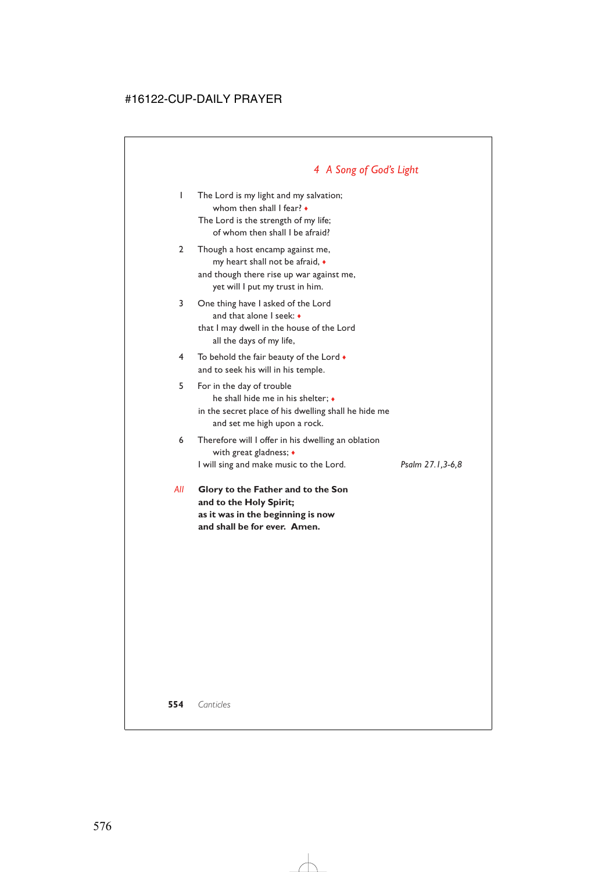# *4 A Song of God's Light*

- 1 The Lord is my light and my salvation; whom then shall I fear? ♦ The Lord is the strength of my life; of whom then shall I be afraid?
- 2 Though a host encamp against me, my heart shall not be afraid, ♦ and though there rise up war against me, yet will I put my trust in him.
- 3 One thing have I asked of the Lord and that alone I seek: ♦ that I may dwell in the house of the Lord all the days of my life,
- 4 To behold the fair beauty of the Lord  $\bullet$ and to seek his will in his temple.
- 5 For in the day of trouble he shall hide me in his shelter;  $\bullet$ in the secret place of his dwelling shall he hide me and set me high upon a rock.
- 6 Therefore will I offer in his dwelling an oblation with great gladness; ♦ I will sing and make music to the Lord. *Psalm 27.1,3-6,8*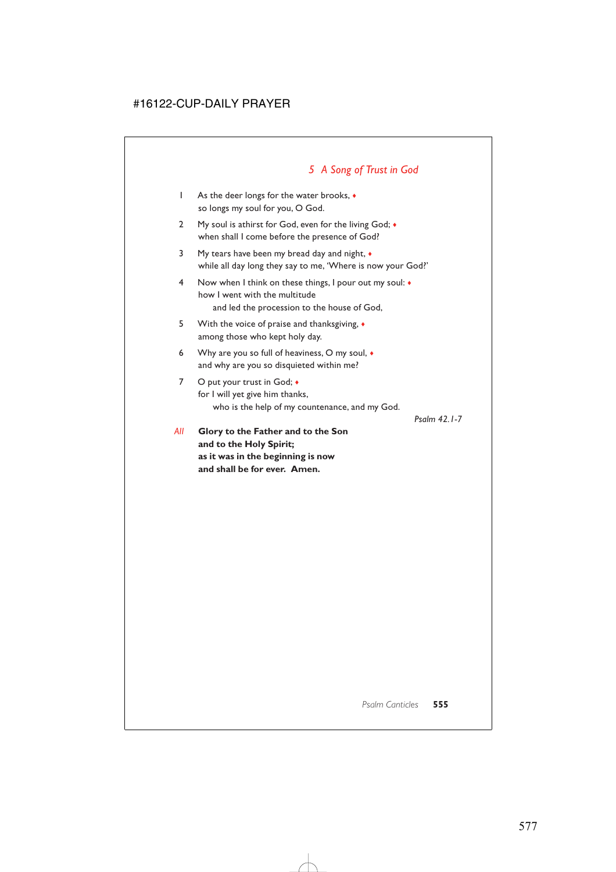# *5 A Song of Trust in God*

- 1 As the deer longs for the water brooks, ♦ so longs my soul for you, O God.
- 2 My soul is athirst for God, even for the living God;  $\bullet$ when shall I come before the presence of God?
- 3 My tears have been my bread day and night, ♦ while all day long they say to me, 'Where is now your God?'
- 4 Now when I think on these things, I pour out my soul: ♦ how I went with the multitude and led the procession to the house of God,
- 5 With the voice of praise and thanksgiving, ♦ among those who kept holy day.
- 6 Why are you so full of heaviness, O my soul, ♦ and why are you so disquieted within me?
- 7 O put your trust in God;  $\bullet$ for I will yet give him thanks, who is the help of my countenance, and my God.

*Psalm 42.1-7*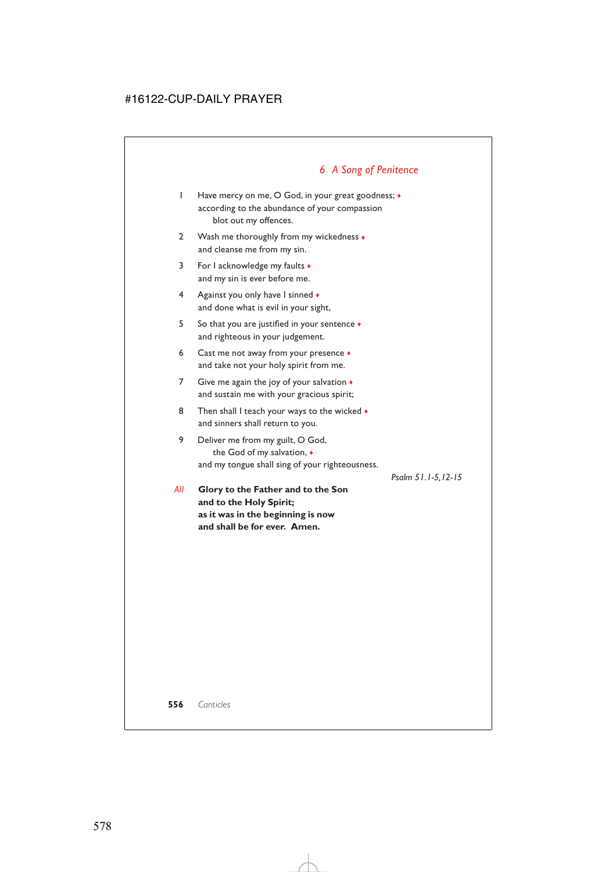# *6 A Song of Penitence*

- 1 Have mercy on me, O God, in your great goodness; ♦ according to the abundance of your compassion blot out my offences.
- 2 Wash me thoroughly from my wickedness  $\bullet$ and cleanse me from my sin.
- 3 For I acknowledge my faults  $\bullet$ and my sin is ever before me.
- 4 Against you only have I sinned  $\bullet$ and done what is evil in your sight,
- 5 So that you are justified in your sentence ♦ and righteous in your judgement.
- 6 Cast me not away from your presence  $\bullet$ and take not your holy spirit from me.
- 7 Give me again the joy of your salvation  $\bullet$ and sustain me with your gracious spirit;
- 8 Then shall I teach your ways to the wicked  $\bullet$ and sinners shall return to you.
- 9 Deliver me from my guilt, O God, the God of my salvation, ♦ and my tongue shall sing of your righteousness.

*Psalm 51.1-5,12-15*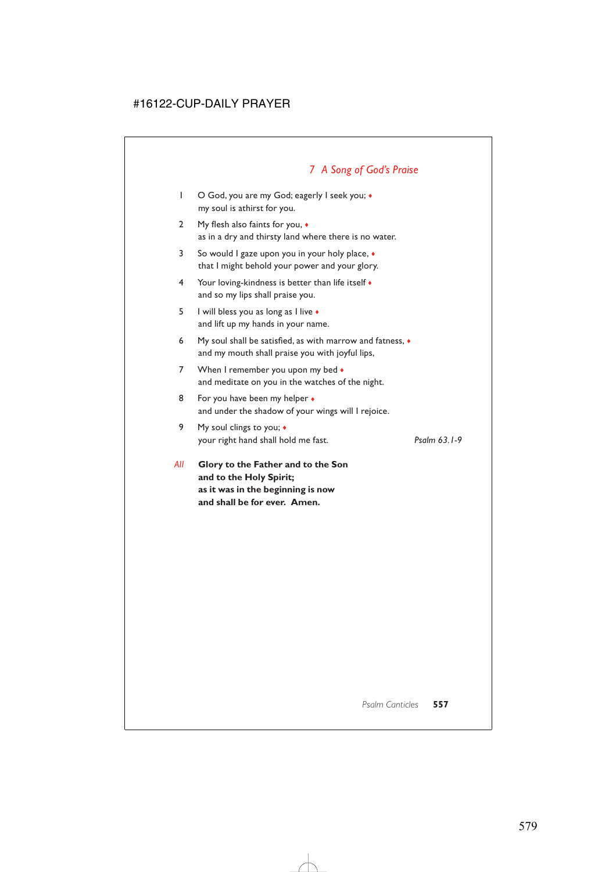# *7 A Song of God's Praise*

- 1 O God, you are my God; eagerly I seek you;  $\bullet$ my soul is athirst for you.
- 2 My flesh also faints for you, ♦ as in a dry and thirsty land where there is no water.
- 3 So would I gaze upon you in your holy place, ♦ that I might behold your power and your glory.
- 4 Your loving-kindness is better than life itself  $\bullet$ and so my lips shall praise you.
- 5 I will bless you as long as I live ♦ and lift up my hands in your name.
- 6 My soul shall be satisfied, as with marrow and fatness, ♦ and my mouth shall praise you with joyful lips,
- 7 When I remember you upon my bed  $\bullet$ and meditate on you in the watches of the night.
- 8 For you have been my helper  $\bullet$ and under the shadow of your wings will I rejoice.
- 9 My soul clings to you;  $\triangleleft$ your right hand shall hold me fast. *Psalm 63.1-9*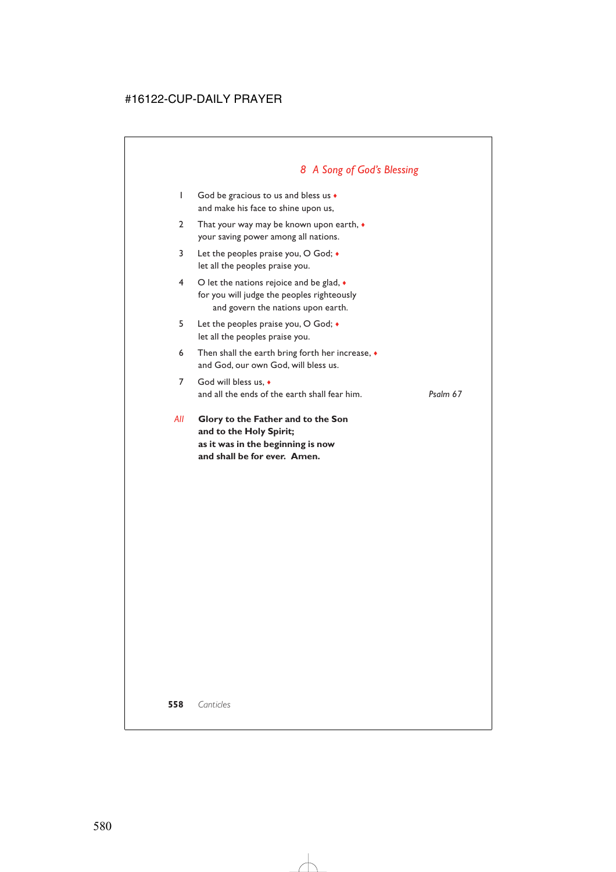# *8 A Song of God's Blessing*

- 1 God be gracious to us and bless us ♦ and make his face to shine upon us,
- 2 That your way may be known upon earth,  $\bullet$ your saving power among all nations.
- 3 Let the peoples praise you, O God;  $\bullet$ let all the peoples praise you.
- 4 O let the nations rejoice and be glad,  $\bullet$ for you will judge the peoples righteously and govern the nations upon earth.
- 5 Let the peoples praise you, O God; ♦ let all the peoples praise you.
- 6 Then shall the earth bring forth her increase, ♦ and God, our own God, will bless us.
- 7 God will bless us. and all the ends of the earth shall fear him. *Psalm 67*
- *All* **Glory to the Father and to the Son and to the Holy Spirit; as it was in the beginning is now and shall be for ever. Amen.**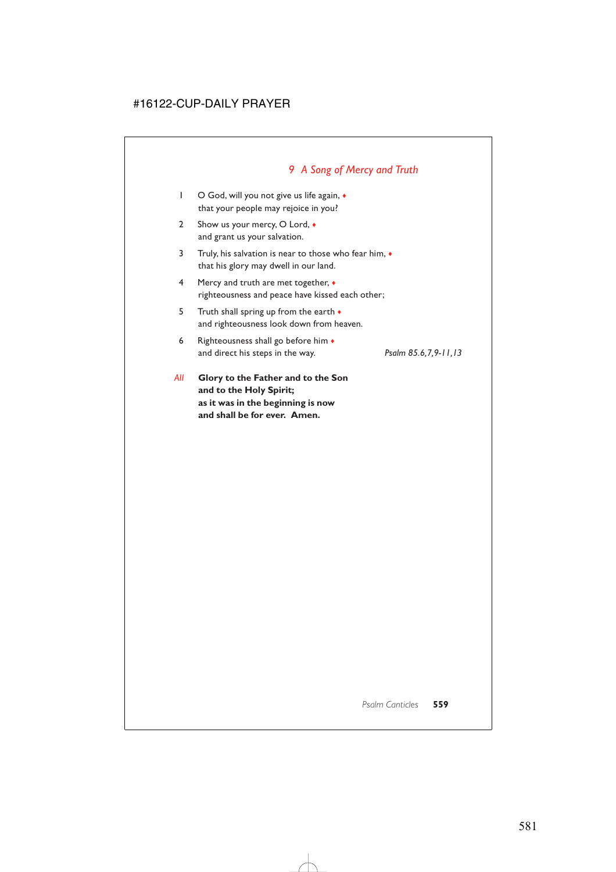# *9 A Song of Mercy and Truth*

- 1 O God, will you not give us life again,  $\bullet$ that your people may rejoice in you?
- 2 Show us your mercy, O Lord,  $\bullet$ and grant us your salvation.
- 3 Truly, his salvation is near to those who fear him, ♦ that his glory may dwell in our land.
- 4 Mercy and truth are met together, ♦ righteousness and peace have kissed each other;
- 5 Truth shall spring up from the earth ♦ and righteousness look down from heaven.
- 6 Righteousness shall go before him ♦ and direct his steps in the way. *Psalm 85.6,7,9-11,13*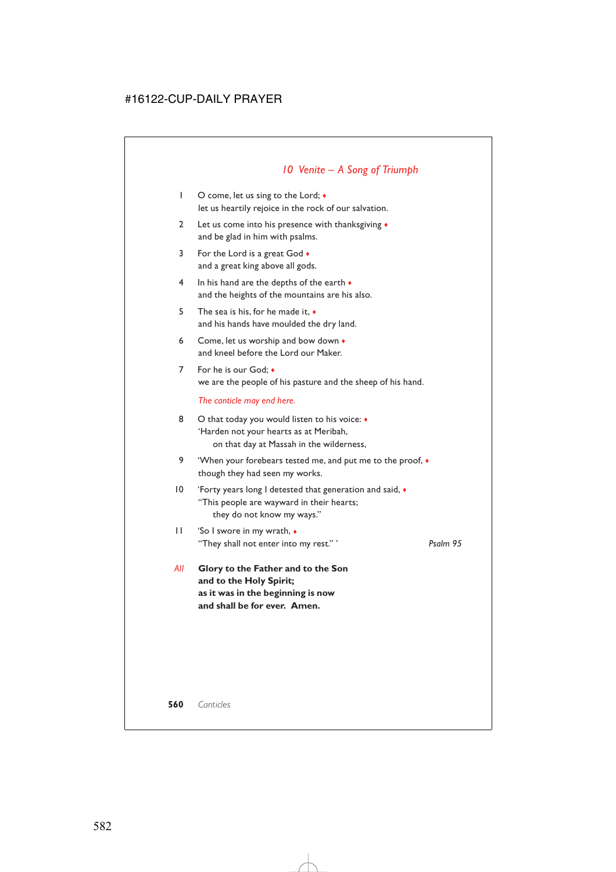### *10 Venite – A Song of Triumph*

- 1 O come, let us sing to the Lord;  $\bullet$ let us heartily rejoice in the rock of our salvation.
- 2 Let us come into his presence with thanksgiving ♦ and be glad in him with psalms.
- 3 For the Lord is a great God  $\bullet$ and a great king above all gods.
- 4 In his hand are the depths of the earth  $\bullet$ and the heights of the mountains are his also.
- 5 The sea is his, for he made it, ♦ and his hands have moulded the dry land.
- 6 Come, let us worship and bow down  $\bullet$ and kneel before the Lord our Maker.
- 7 For he is our God; ♦ we are the people of his pasture and the sheep of his hand.

*The canticle may end here.*

- 8 O that today you would listen to his voice:  $\triangleleft$ 'Harden not your hearts as at Meribah, on that day at Massah in the wilderness,
- 9 'When your forebears tested me, and put me to the proof,  $\bullet$ though they had seen my works.
- 10 'Forty years long I detested that generation and said, ♦ "This people are wayward in their hearts; they do not know my ways."
- 11 'So I swore in my wrath, ♦ "They shall not enter into my rest." ' *Psalm 95*
- *All* **Glory to the Father and to the Son and to the Holy Spirit; as it was in the beginning is now and shall be for ever. Amen.**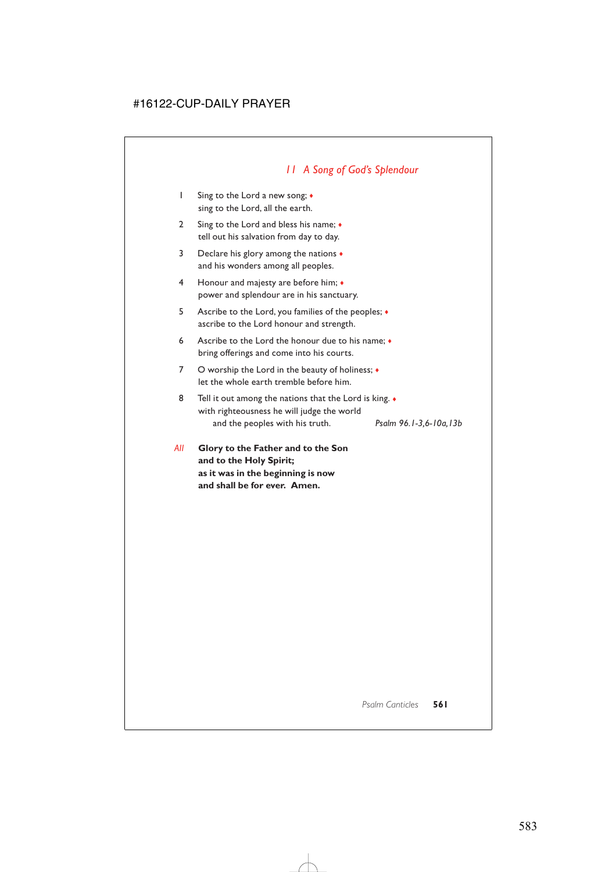# *11 A Song of God's Splendour*

- 1 Sing to the Lord a new song; ♦ sing to the Lord, all the earth.
- 2 Sing to the Lord and bless his name;  $\bullet$ tell out his salvation from day to day.
- 3 Declare his glory among the nations  $\bullet$ and his wonders among all peoples.
- 4 Honour and majesty are before him; ♦ power and splendour are in his sanctuary.
- 5 Ascribe to the Lord, you families of the peoples; ♦ ascribe to the Lord honour and strength.
- 6 Ascribe to the Lord the honour due to his name; ♦ bring offerings and come into his courts.
- 7 O worship the Lord in the beauty of holiness;  $\triangleleft$ let the whole earth tremble before him.
- 8 Tell it out among the nations that the Lord is king.  $\bullet$ with righteousness he will judge the world and the peoples with his truth. *Psalm 96.1-3,6-10a,13b*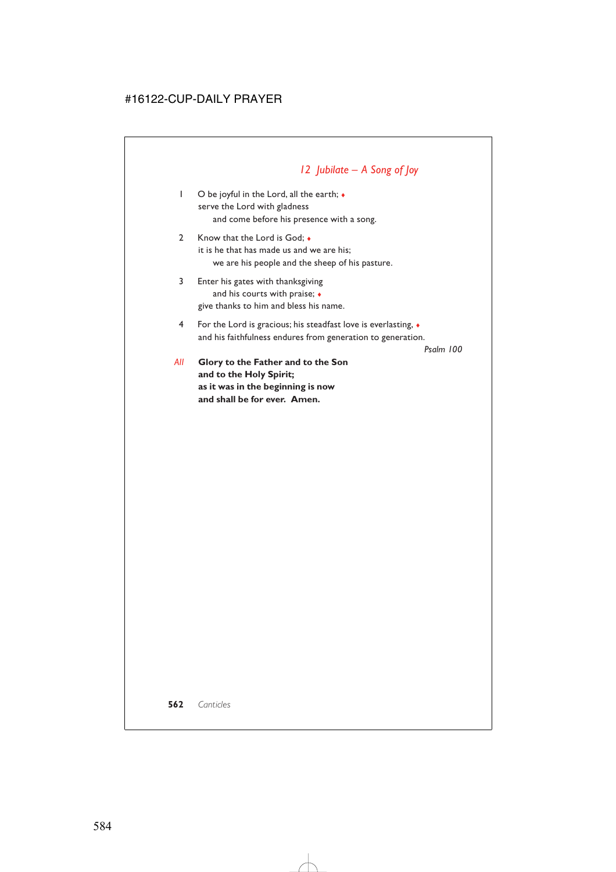# *12 Jubilate – A Song of Joy*

- 1 O be joyful in the Lord, all the earth; ♦ serve the Lord with gladness and come before his presence with a song.
- 2 Know that the Lord is God: ◆ it is he that has made us and we are his; we are his people and the sheep of his pasture.
- 3 Enter his gates with thanksgiving and his courts with praise;  $\bullet$ give thanks to him and bless his name.
- 4 For the Lord is gracious; his steadfast love is everlasting, ♦ and his faithfulness endures from generation to generation.

*Psalm 100*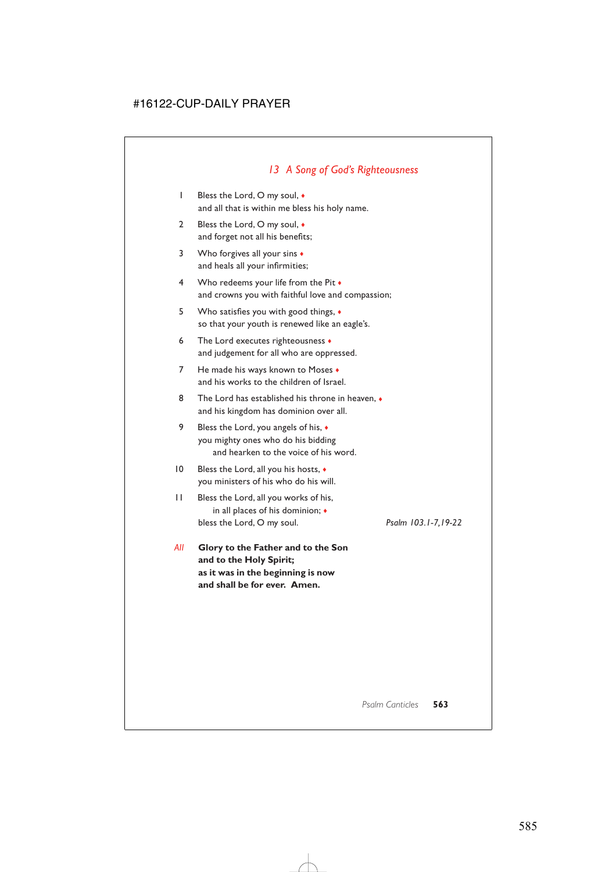### *13 A Song of God's Righteousness*

- 1 Bless the Lord, O my soul, ♦ and all that is within me bless his holy name.
- 2 Bless the Lord, O my soul, ◆ and forget not all his benefits;
- 3 Who forgives all your sins  $\bullet$ and heals all your infirmities;
- 4 Who redeems your life from the Pit ♦ and crowns you with faithful love and compassion;
- 5 Who satisfies you with good things, ♦ so that your youth is renewed like an eagle's.
- 6 The Lord executes righteousness ♦ and judgement for all who are oppressed.
- 7 He made his ways known to Moses  $\bullet$ and his works to the children of Israel.
- 8 The Lord has established his throne in heaven,  $\bullet$ and his kingdom has dominion over all.
- 9 Bless the Lord, you angels of his,  $\triangleleft$ you mighty ones who do his bidding and hearken to the voice of his word.
- 10 Bless the Lord, all you his hosts,  $\triangleleft$ you ministers of his who do his will.
- 11 Bless the Lord, all you works of his, in all places of his dominion; ♦ bless the Lord, O my soul. *Psalm 103.1-7,19-22*
- *All* **Glory to the Father and to the Son and to the Holy Spirit; as it was in the beginning is now and shall be for ever. Amen.**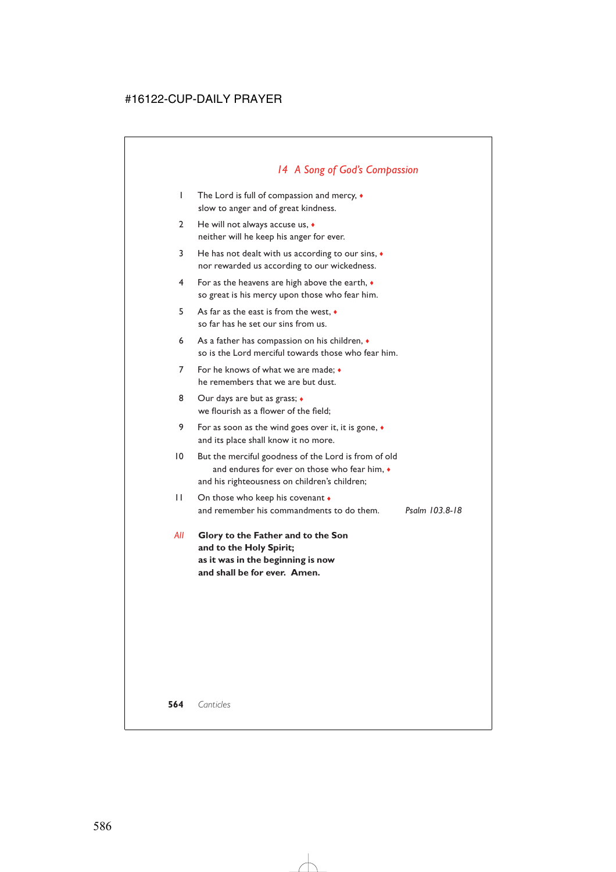# *14 A Song of God's Compassion*

- 1 The Lord is full of compassion and mercy, ♦ slow to anger and of great kindness.
- 2 He will not always accuse us,  $\bullet$ neither will he keep his anger for ever.
- 3 He has not dealt with us according to our sins, ♦ nor rewarded us according to our wickedness.
- 4 For as the heavens are high above the earth, ♦ so great is his mercy upon those who fear him.
- 5 As far as the east is from the west, ♦ so far has he set our sins from us.
- 6 As a father has compassion on his children, ♦ so is the Lord merciful towards those who fear him.
- 7 For he knows of what we are made; ♦ he remembers that we are but dust.
- 8 Our days are but as grass;  $\bullet$ we flourish as a flower of the field;
- 9 For as soon as the wind goes over it, it is gone, ♦ and its place shall know it no more.
- 10 But the merciful goodness of the Lord is from of old and endures for ever on those who fear him,  $\bullet$ and his righteousness on children's children;
- 11 On those who keep his covenant  $\bullet$ and remember his commandments to do them. *Psalm 103.8-18*
- *All* **Glory to the Father and to the Son and to the Holy Spirit; as it was in the beginning is now and shall be for ever. Amen.**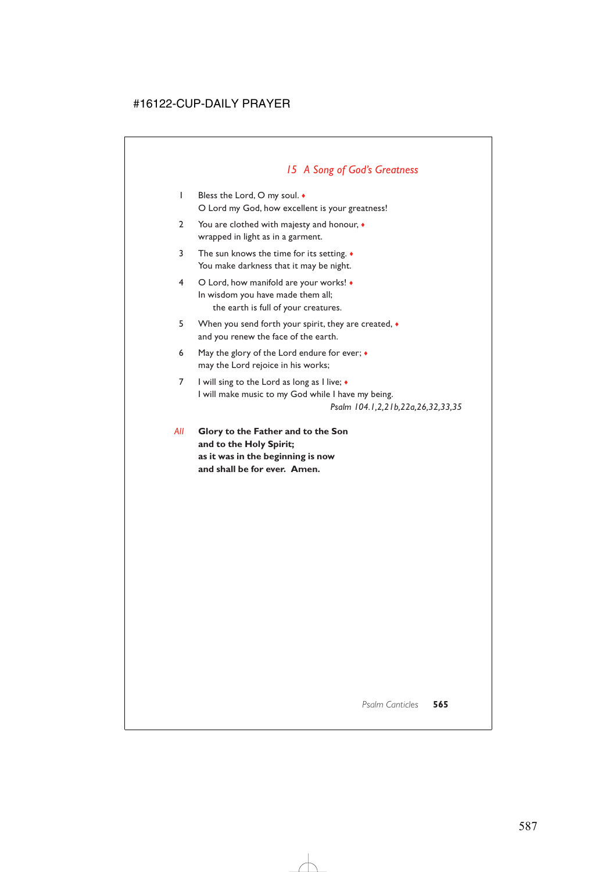# *15 A Song of God's Greatness*

- 1 Bless the Lord, O my soul. ♦ O Lord my God, how excellent is your greatness!
- 2 You are clothed with majesty and honour,  $\bullet$ wrapped in light as in a garment.
- 3 The sun knows the time for its setting. ♦ You make darkness that it may be night.
- 4 O Lord, how manifold are your works! ♦ In wisdom you have made them all; the earth is full of your creatures.
- 5 When you send forth your spirit, they are created,  $\bullet$ and you renew the face of the earth.
- 6 May the glory of the Lord endure for ever; ♦ may the Lord rejoice in his works;
- 7 I will sing to the Lord as long as I live;  $\bullet$ I will make music to my God while I have my being. *Psalm 104.1,2,21b,22a,26,32,33,35*
- *All* **Glory to the Father and to the Son and to the Holy Spirit; as it was in the beginning is now and shall be for ever. Amen.**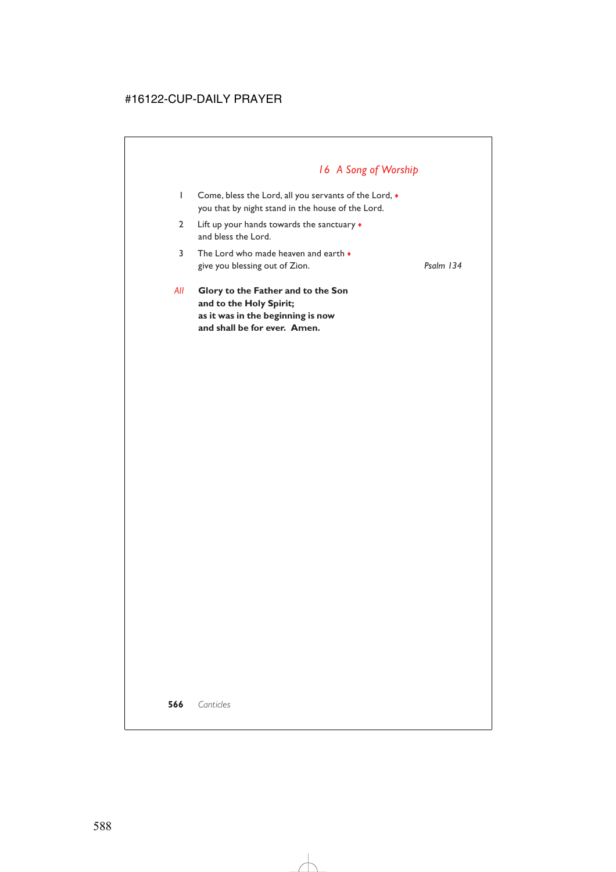# *16 A Song of Worship*

- 1 Come, bless the Lord, all you servants of the Lord,  $\bullet$ you that by night stand in the house of the Lord.
- 2 Lift up your hands towards the sanctuary  $\bullet$ and bless the Lord.
- 3 The Lord who made heaven and earth ♦ give you blessing out of Zion. *Psalm 134*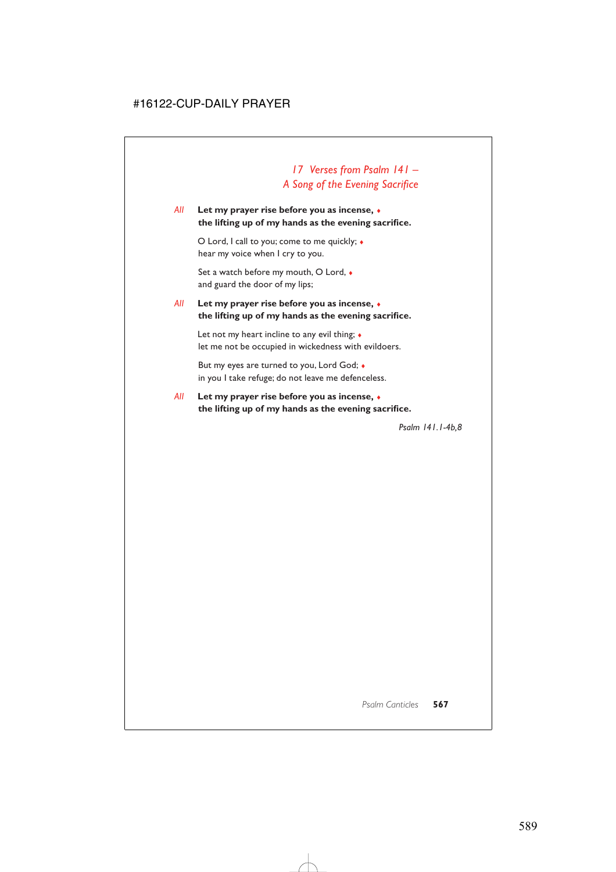# *17 Verses from Psalm 141 – A Song of the Evening Sacrifice*

### *All* **Let my prayer rise before you as incense,** ♦ **the lifting up of my hands as the evening sacrifice.**

O Lord, I call to you; come to me quickly; ♦ hear my voice when I cry to you.

Set a watch before my mouth, O Lord, ♦ and guard the door of my lips;

### *All* **Let my prayer rise before you as incense,** ♦ **the lifting up of my hands as the evening sacrifice.**

Let not my heart incline to any evil thing;  $\bullet$ let me not be occupied in wickedness with evildoers.

But my eyes are turned to you, Lord God; ♦ in you I take refuge; do not leave me defenceless.

### *All* **Let my prayer rise before you as incense,** ♦ **the lifting up of my hands as the evening sacrifice.**

*Psalm 141.1-4b,8*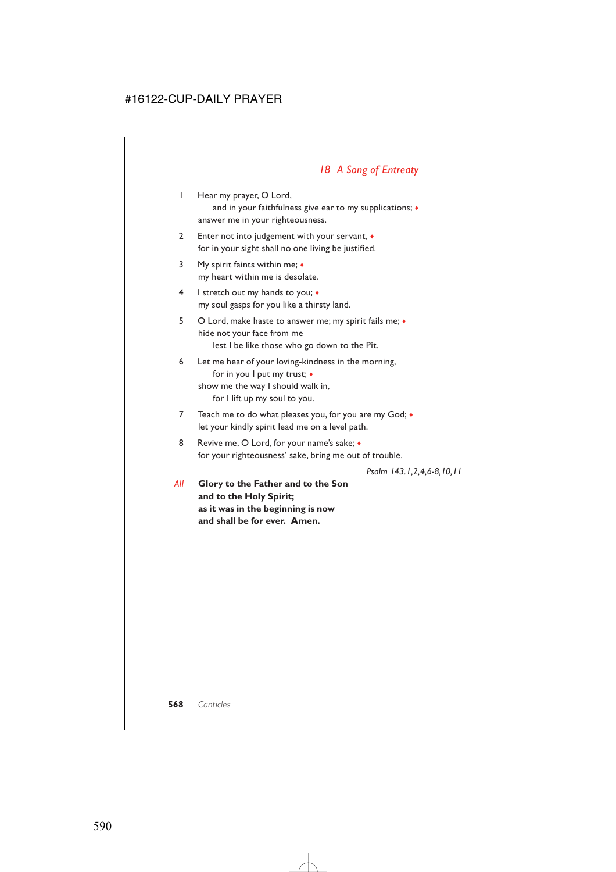# *18 A Song of Entreaty*

1 Hear my prayer, O Lord, and in your faithfulness give ear to my supplications;  $\bullet$ answer me in your righteousness.

- 2 Enter not into judgement with your servant, ♦ for in your sight shall no one living be justified.
- 3 My spirit faints within me; ♦ my heart within me is desolate.
- 4 I stretch out my hands to you; ♦ my soul gasps for you like a thirsty land.
- 5 O Lord, make haste to answer me; my spirit fails me; ♦ hide not your face from me lest I be like those who go down to the Pit.
- 6 Let me hear of your loving-kindness in the morning, for in you I put my trust; ♦ show me the way I should walk in, for I lift up my soul to you.
- 7 Teach me to do what pleases you, for you are my God;  $\bullet$ let your kindly spirit lead me on a level path.
- 8 Revive me, O Lord, for your name's sake;  $\bullet$ for your righteousness' sake, bring me out of trouble.

*Psalm 143.1,2,4,6-8,10,11*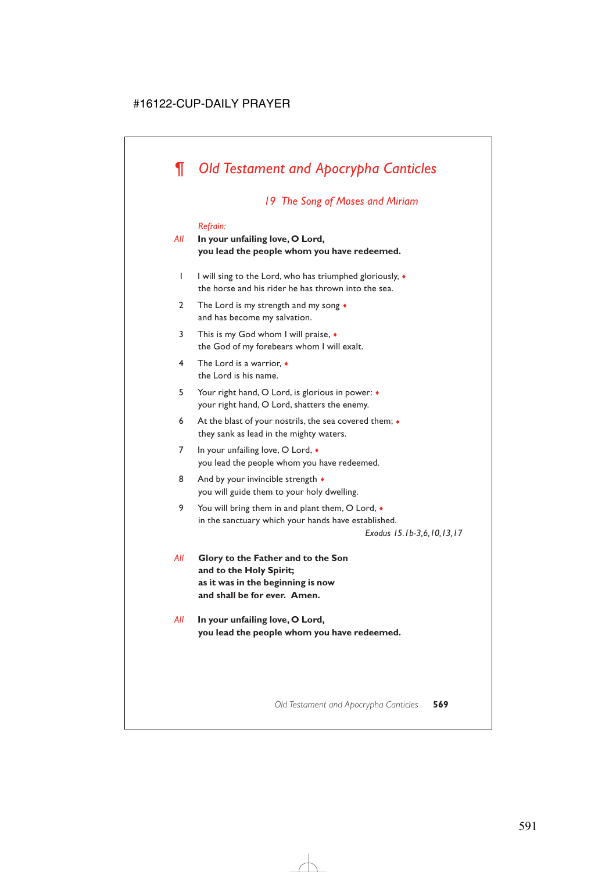# *¶ Old Testament and Apocrypha Canticles*

### *19 The Song of Moses and Miriam*

#### *Refrain:*

### *All* **In your unfailing love, O Lord, you lead the people whom you have redeemed.**

- 1 I will sing to the Lord, who has triumphed gloriously, ♦ the horse and his rider he has thrown into the sea.
- 2 The Lord is my strength and my song  $\bullet$ and has become my salvation.
- 3 This is my God whom I will praise, ♦ the God of my forebears whom I will exalt.
- 4 The Lord is a warrior, ♦ the Lord is his name.
- 5 Your right hand, O Lord, is glorious in power: ♦ your right hand, O Lord, shatters the enemy.
- 6 At the blast of your nostrils, the sea covered them;  $\bullet$ they sank as lead in the mighty waters.
- 7 In your unfailing love, O Lord,  $\bullet$ you lead the people whom you have redeemed.
- 8 And by your invincible strength  $\triangleleft$ you will guide them to your holy dwelling.
- 9 You will bring them in and plant them, O Lord,  $\bullet$ in the sanctuary which your hands have established.

*Exodus 15.1b-3,6,10,13,17*

- *All* **Glory to the Father and to the Son and to the Holy Spirit; as it was in the beginning is now and shall be for ever. Amen.**
- *All* **In your unfailing love, O Lord, you lead the people whom you have redeemed.**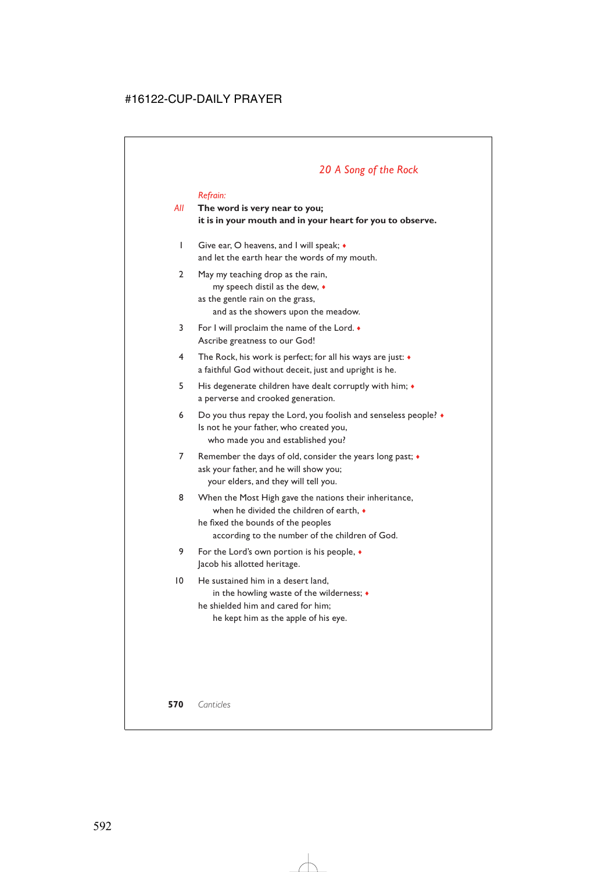### *20 A Song of the Rock*

#### *Refrain:*

### *All* **The word is very near to you; it is in your mouth and in your heart for you to observe.**

- 1 Give ear, O heavens, and I will speak; ♦ and let the earth hear the words of my mouth.
- 2 May my teaching drop as the rain, my speech distil as the dew, ♦ as the gentle rain on the grass, and as the showers upon the meadow.
- 3 For I will proclaim the name of the Lord. ♦ Ascribe greatness to our God!
- 4 The Rock, his work is perfect; for all his ways are just: ♦ a faithful God without deceit, just and upright is he.
- 5 His degenerate children have dealt corruptly with him; ♦ a perverse and crooked generation.
- 6 Do you thus repay the Lord, you foolish and senseless people? ♦ Is not he your father, who created you, who made you and established you?
- 7 Remember the days of old, consider the years long past;  $\bullet$ ask your father, and he will show you; your elders, and they will tell you.
- 8 When the Most High gave the nations their inheritance, when he divided the children of earth, ♦ he fixed the bounds of the peoples according to the number of the children of God.
- 9 For the Lord's own portion is his people, ♦ Jacob his allotted heritage.
- 10 He sustained him in a desert land, in the howling waste of the wilderness; ♦ he shielded him and cared for him; he kept him as the apple of his eye.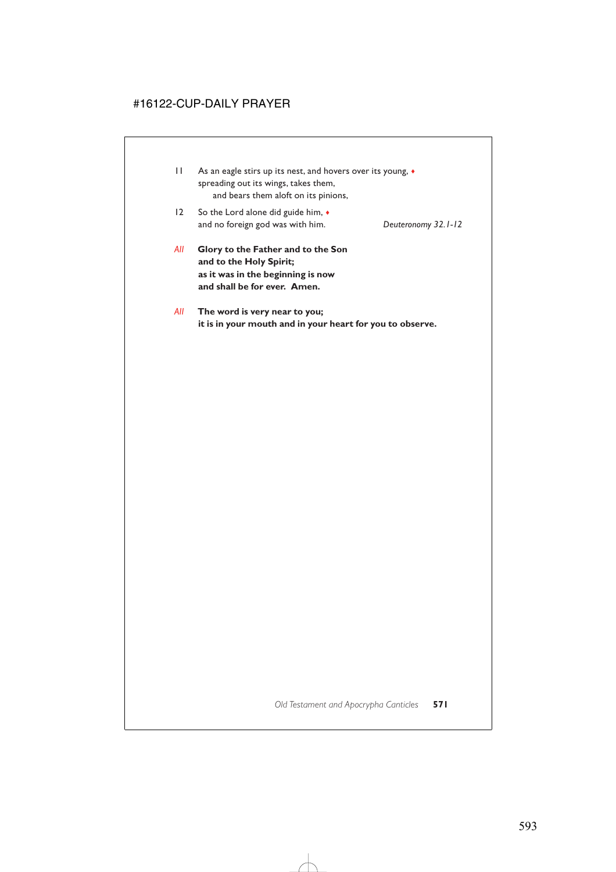- 11 As an eagle stirs up its nest, and hovers over its young,  $\bullet$ spreading out its wings, takes them, and bears them aloft on its pinions,
- 12 So the Lord alone did guide him,  $\bullet$ and no foreign god was with him. *Deuteronomy 32.1-12*

- *All* **Glory to the Father and to the Son and to the Holy Spirit; as it was in the beginning is now and shall be for ever. Amen.**
- *All* **The word is very near to you; it is in your mouth and in your heart for you to observe.**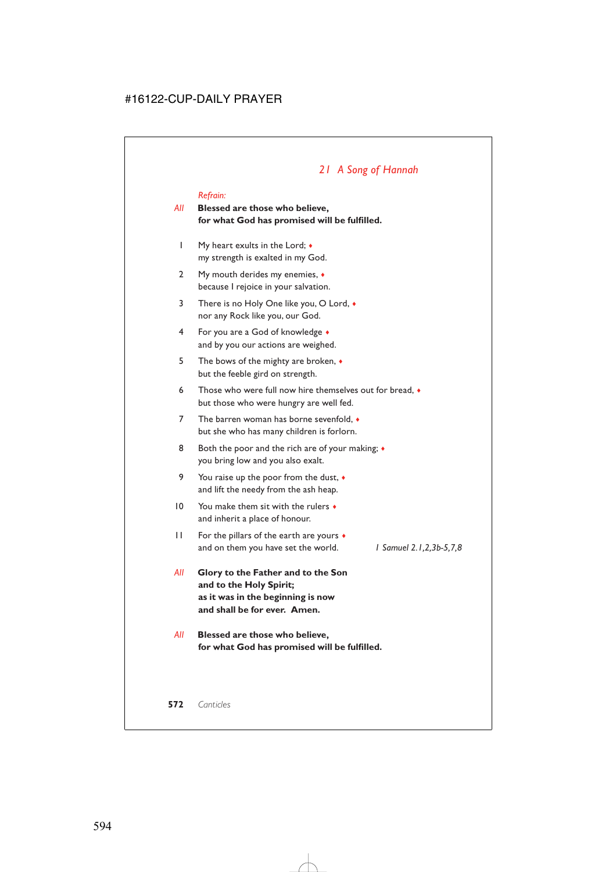# *21 A Song of Hannah*

#### *Refrain:*

### *All* **Blessed are those who believe, for what God has promised will be fulfilled.**

- 1 My heart exults in the Lord; ♦ my strength is exalted in my God.
- 2 My mouth derides my enemies,  $\triangleleft$ because I rejoice in your salvation.
- 3 There is no Holy One like you, O Lord, ♦ nor any Rock like you, our God.
- 4 For you are a God of knowledge ♦ and by you our actions are weighed.
- 5 The bows of the mighty are broken, ♦ but the feeble gird on strength.
- 6 Those who were full now hire themselves out for bread, ♦ but those who were hungry are well fed.
- 7 The barren woman has borne sevenfold  $\bullet$ but she who has many children is forlorn.
- 8 Both the poor and the rich are of your making;  $\bullet$ you bring low and you also exalt.
- 9 You raise up the poor from the dust,  $\bullet$ and lift the needy from the ash heap.
- 10 You make them sit with the rulers ♦ and inherit a place of honour.
- 11 For the pillars of the earth are yours  $\bullet$ and on them you have set the world. *1 Samuel 2.1,2,3b-5,7,8*
- *All* **Glory to the Father and to the Son and to the Holy Spirit; as it was in the beginning is now and shall be for ever. Amen.**
- *All* **Blessed are those who believe, for what God has promised will be fulfilled.**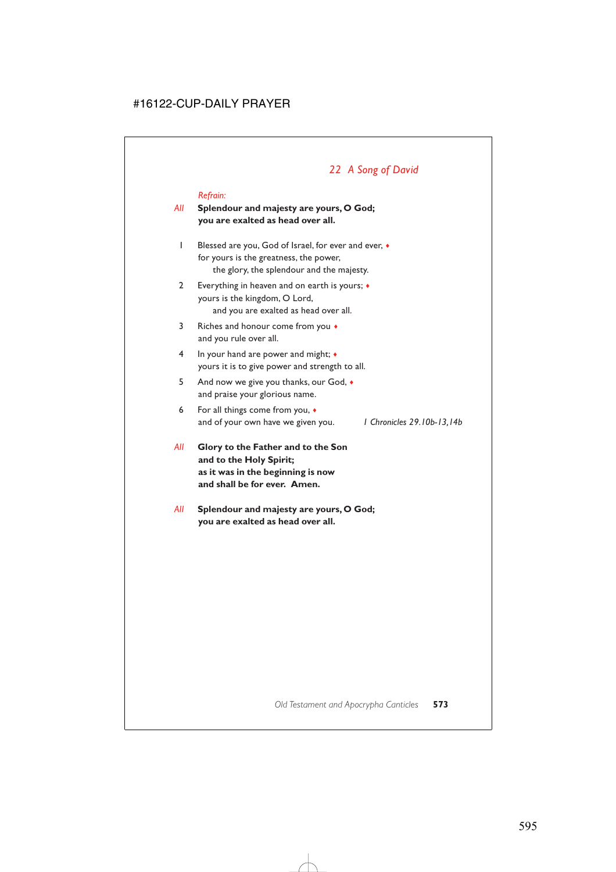# *22 A Song of David*

#### *Refrain:*

### *All* **Splendour and majesty are yours, O God; you are exalted as head over all.**

- 1 Blessed are you, God of Israel, for ever and ever, ♦ for yours is the greatness, the power, the glory, the splendour and the majesty.
- 2 Everything in heaven and on earth is yours; ♦ yours is the kingdom, O Lord, and you are exalted as head over all.
- 3 Riches and honour come from you ♦ and you rule over all.
- 4 In your hand are power and might; ♦ yours it is to give power and strength to all.
- 5 And now we give you thanks, our God, ♦ and praise your glorious name.
- 6 For all things come from you, ♦ and of your own have we given you. *1 Chronicles 29.10b-13,14b*

- *All* **Glory to the Father and to the Son and to the Holy Spirit; as it was in the beginning is now and shall be for ever. Amen.**
- *All* **Splendour and majesty are yours, O God; you are exalted as head over all.**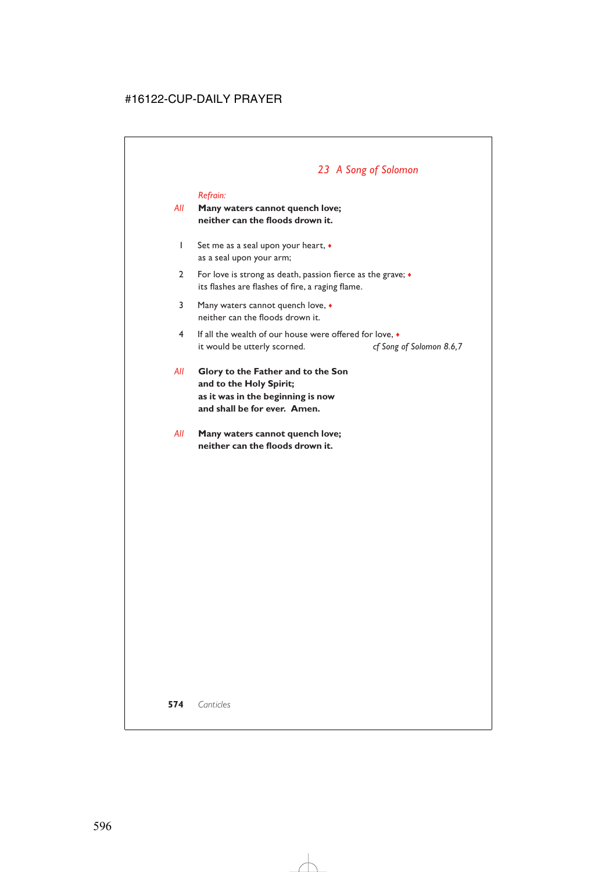# *23 A Song of Solomon*

#### *Refrain:*

### *All* **Many waters cannot quench love; neither can the floods drown it.**

- 1 Set me as a seal upon your heart, ♦ as a seal upon your arm;
- 2 For love is strong as death, passion fierce as the grave;  $\bullet$ its flashes are flashes of fire, a raging flame.
- 3 Many waters cannot quench love, ♦ neither can the floods drown it.
- 4 If all the wealth of our house were offered for love, ♦ it would be utterly scorned. *cf Song of Solomon 8.6,7*
- *All* **Glory to the Father and to the Son and to the Holy Spirit; as it was in the beginning is now and shall be for ever. Amen.**
- *All* **Many waters cannot quench love; neither can the floods drown it.**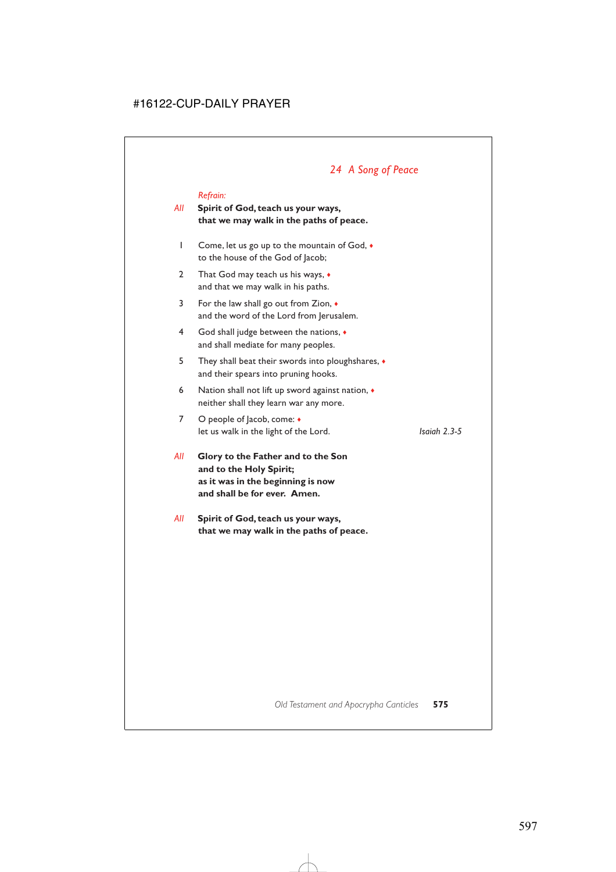# *24 A Song of Peace*

#### *Refrain:*

### *All* **Spirit of God, teach us your ways, that we may walk in the paths of peace.**

- 1 Come, let us go up to the mountain of God, ♦ to the house of the God of Jacob;
- 2 That God may teach us his ways,  $\bullet$ and that we may walk in his paths.
- 3 For the law shall go out from Zion, ♦ and the word of the Lord from Jerusalem.
- 4 God shall judge between the nations, ♦ and shall mediate for many peoples.
- 5 They shall beat their swords into ploughshares, ♦ and their spears into pruning hooks.
- 6 Nation shall not lift up sword against nation,  $\triangleleft$ neither shall they learn war any more.
- 7 O people of Jacob, come: ♦ let us walk in the light of the Lord. *Isaiah 2.3-5*

*All* **Glory to the Father and to the Son and to the Holy Spirit; as it was in the beginning is now and shall be for ever. Amen.**

*All* **Spirit of God, teach us your ways, that we may walk in the paths of peace.**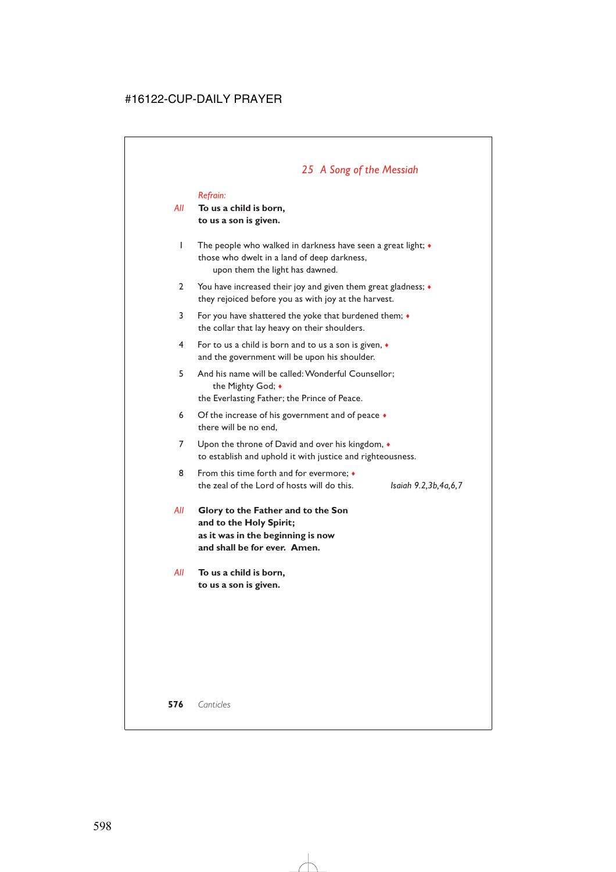### *25 A Song of the Messiah*

#### *Refrain:*

### *All* **To us a child is born, to us a son is given.**

- 1 The people who walked in darkness have seen a great light; ♦ those who dwelt in a land of deep darkness, upon them the light has dawned.
- 2 You have increased their joy and given them great gladness;  $\bullet$ they rejoiced before you as with joy at the harvest.
- 3 For you have shattered the yoke that burdened them; ♦ the collar that lay heavy on their shoulders.
- 4 For to us a child is born and to us a son is given, ♦ and the government will be upon his shoulder.
- 5 And his name will be called: Wonderful Counsellor; the Mighty God; ♦ the Everlasting Father; the Prince of Peace.
- 6 Of the increase of his government and of peace  $\bullet$ there will be no end,
- 7 Upon the throne of David and over his kingdom,  $\bullet$ to establish and uphold it with justice and righteousness.
- 8 From this time forth and for evermore;  $\triangleleft$ the zeal of the Lord of hosts will do this. *Isaiah 9.2,3b,4a,6,7*
- *All* **Glory to the Father and to the Son and to the Holy Spirit; as it was in the beginning is now and shall be for ever. Amen.**
- *All* **To us a child is born, to us a son is given.**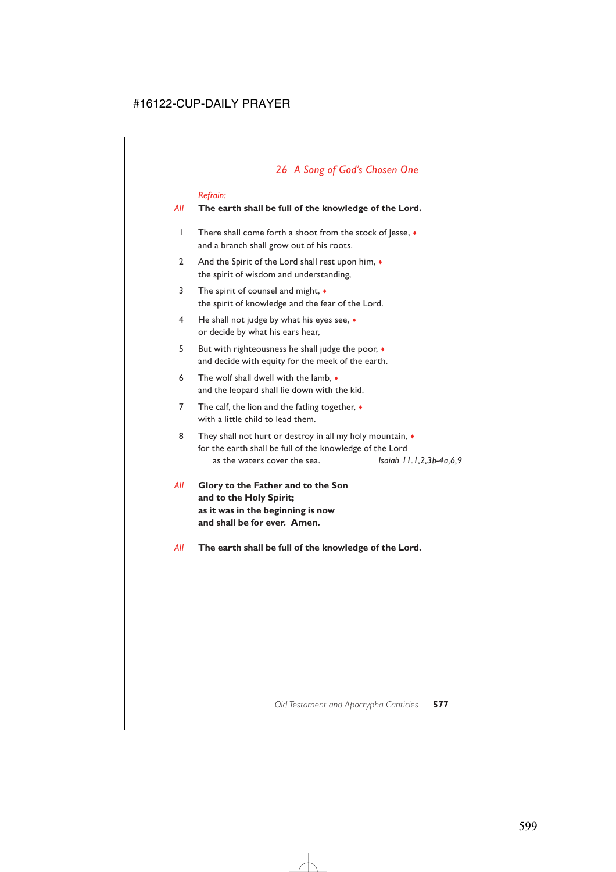#### *Refrain:*

### *All* **The earth shall be full of the knowledge of the Lord.**

- 1 There shall come forth a shoot from the stock of Jesse, ♦ and a branch shall grow out of his roots.
- 2 And the Spirit of the Lord shall rest upon him,  $\bullet$ the spirit of wisdom and understanding,
- 3 The spirit of counsel and might, ♦ the spirit of knowledge and the fear of the Lord.
- 4 He shall not judge by what his eyes see, ♦ or decide by what his ears hear,
- 5 But with righteousness he shall judge the poor, ♦ and decide with equity for the meek of the earth.
- 6 The wolf shall dwell with the lamb,  $\bullet$ and the leopard shall lie down with the kid.
- 7 The calf, the lion and the fatling together,  $\bullet$ with a little child to lead them.
- 8 They shall not hurt or destroy in all my holy mountain,  $\bullet$ for the earth shall be full of the knowledge of the Lord as the waters cover the sea. *Isaiah 11.1,2,3b-4a,6,9*
- *All* **Glory to the Father and to the Son and to the Holy Spirit; as it was in the beginning is now and shall be for ever. Amen.**
- *All* **The earth shall be full of the knowledge of the Lord.**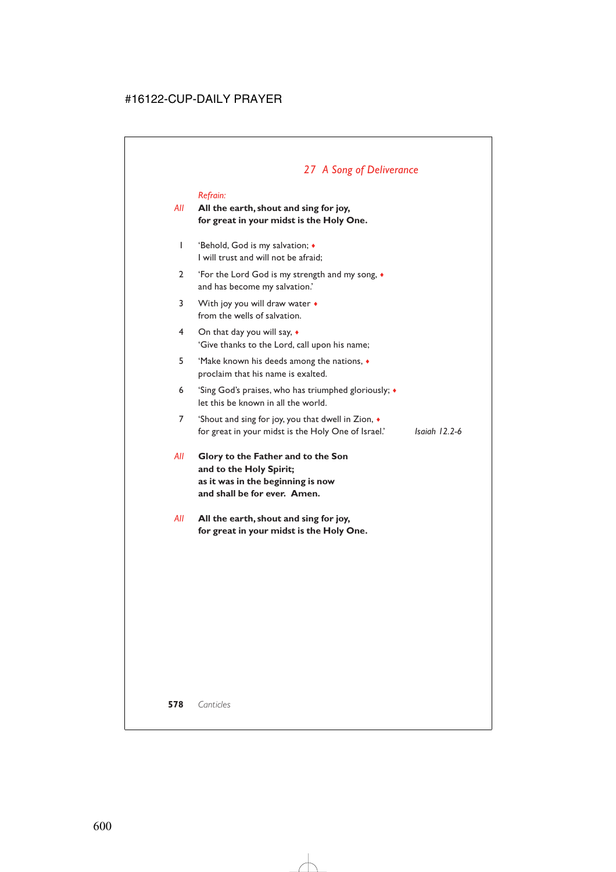# *27 A Song of Deliverance*

#### *Refrain:*

### *All* **All the earth, shout and sing for joy, for great in your midst is the Holy One.**

- 1 'Behold, God is my salvation; ♦ I will trust and will not be afraid;
- 2 'For the Lord God is my strength and my song, ♦ and has become my salvation.'
- 3 With joy you will draw water  $\triangleleft$ from the wells of salvation.
- 4 On that day you will say, ♦ 'Give thanks to the Lord, call upon his name;
- 5 'Make known his deeds among the nations, ♦ proclaim that his name is exalted.
- 6 'Sing God's praises, who has triumphed gloriously; ♦ let this be known in all the world.
- 7 'Shout and sing for joy, you that dwell in Zion, ♦ for great in your midst is the Holy One of Israel.' *Isaiah 12.2-6*
- *All* **Glory to the Father and to the Son and to the Holy Spirit; as it was in the beginning is now and shall be for ever. Amen.**
- *All* **All the earth, shout and sing for joy, for great in your midst is the Holy One.**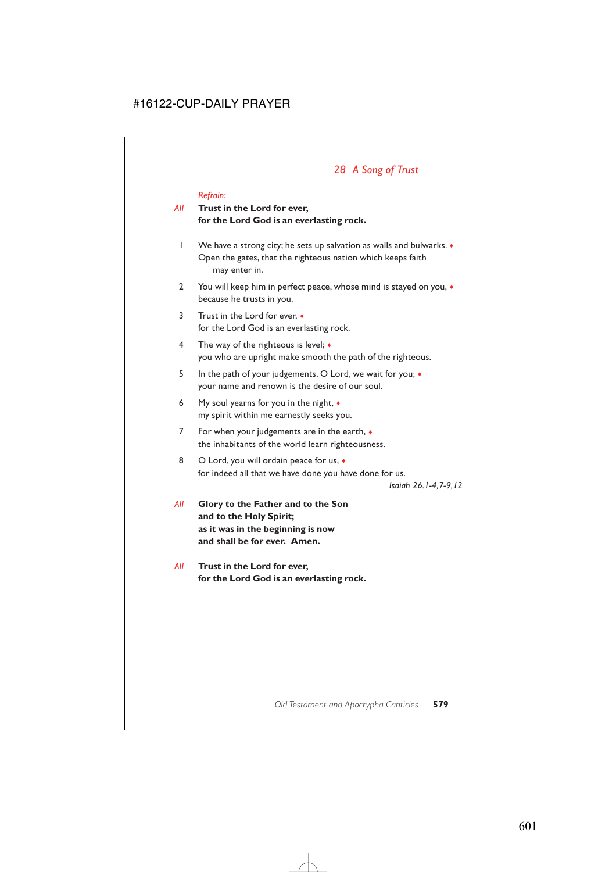# *28 A Song of Trust*

#### *Refrain:*

### *All* **Trust in the Lord for ever, for the Lord God is an everlasting rock.**

- 1 We have a strong city; he sets up salvation as walls and bulwarks. ♦ Open the gates, that the righteous nation which keeps faith may enter in.
- 2 You will keep him in perfect peace, whose mind is stayed on you,  $\bullet$ because he trusts in you.
- 3 Trust in the Lord for ever, ♦ for the Lord God is an everlasting rock.
- 4 The way of the righteous is level; ♦ you who are upright make smooth the path of the righteous.
- 5 In the path of your judgements, O Lord, we wait for you; ♦ your name and renown is the desire of our soul.
- 6 My soul yearns for you in the night, ♦ my spirit within me earnestly seeks you.
- 7 For when your judgements are in the earth,  $\bullet$ the inhabitants of the world learn righteousness.
- 8 O Lord, you will ordain peace for us,  $\bullet$ for indeed all that we have done you have done for us.

*Isaiah 26.1-4,7-9,12*

- *All* **Glory to the Father and to the Son and to the Holy Spirit; as it was in the beginning is now and shall be for ever. Amen.**
- *All* **Trust in the Lord for ever, for the Lord God is an everlasting rock.**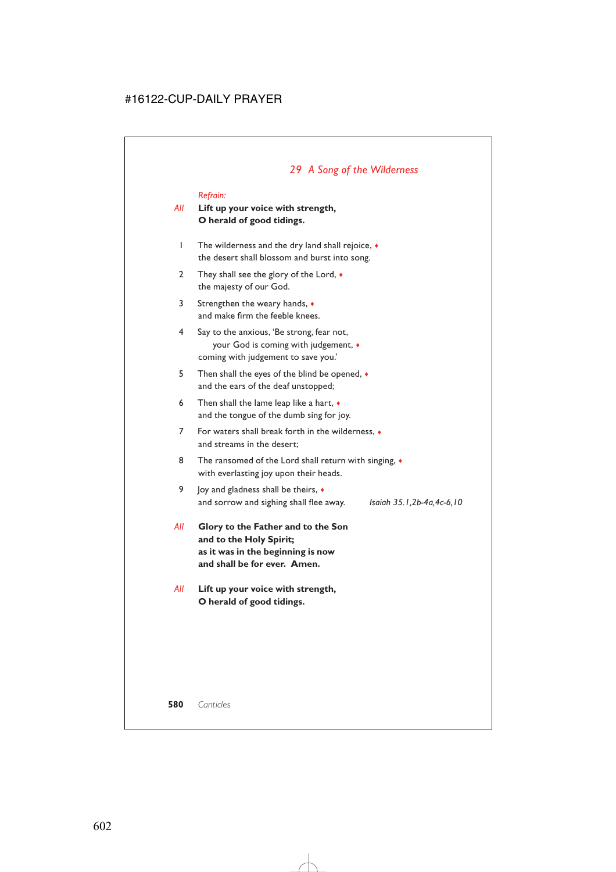# *29 A Song of the Wilderness*

#### *Refrain:*

### *All* **Lift up your voice with strength, O herald of good tidings.**

- 1 The wilderness and the dry land shall rejoice, ♦ the desert shall blossom and burst into song.
- 2 They shall see the glory of the Lord,  $\bullet$ the majesty of our God.
- 3 Strengthen the weary hands, ♦ and make firm the feeble knees.
- 4 Say to the anxious, 'Be strong, fear not, your God is coming with judgement, ♦ coming with judgement to save you.'
- 5 Then shall the eyes of the blind be opened, ♦ and the ears of the deaf unstopped;
- 6 Then shall the lame leap like a hart,  $\bullet$ and the tongue of the dumb sing for joy.
- 7 For waters shall break forth in the wilderness, ♦ and streams in the desert;
- 8 The ransomed of the Lord shall return with singing,  $\bullet$ with everlasting joy upon their heads.
- 9 Joy and gladness shall be theirs,  $\triangleleft$ and sorrow and sighing shall flee away. *Isaiah 35.1,2b-4a,4c-6,10*

- *All* **Glory to the Father and to the Son and to the Holy Spirit; as it was in the beginning is now and shall be for ever. Amen.**
- *All* **Lift up your voice with strength, O herald of good tidings.**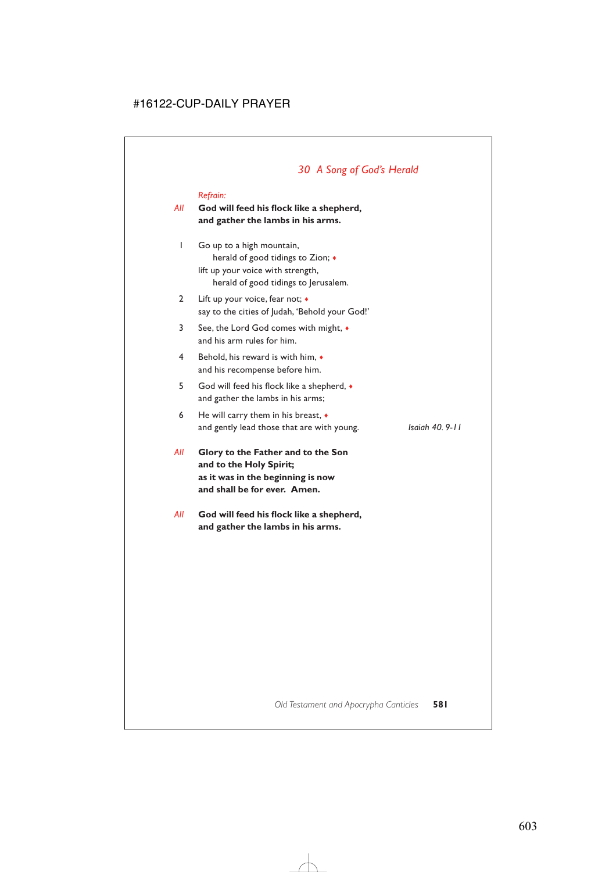# *30 A Song of God's Herald*

#### *Refrain:*

### *All* **God will feed his flock like a shepherd, and gather the lambs in his arms.**

- 1 Go up to a high mountain, herald of good tidings to Zion; ♦ lift up your voice with strength, herald of good tidings to Jerusalem.
- 2 Lift up your voice, fear not; ♦ say to the cities of Judah, 'Behold your God!'
- 3 See, the Lord God comes with might, ♦ and his arm rules for him.
- 4 Behold, his reward is with him, ♦ and his recompense before him.
- 5 God will feed his flock like a shepherd, ♦ and gather the lambs in his arms;
- 6 He will carry them in his breast,  $\bullet$ and gently lead those that are with young. *Isaiah 40. 9-11*

*All* **Glory to the Father and to the Son and to the Holy Spirit; as it was in the beginning is now and shall be for ever. Amen.**

*All* **God will feed his flock like a shepherd, and gather the lambs in his arms.**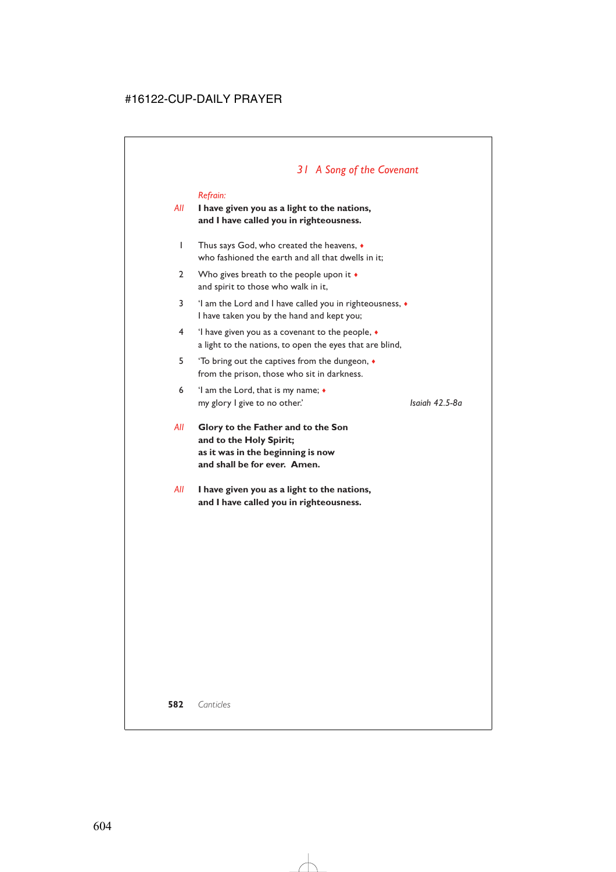# *31 A Song of the Covenant*

#### *Refrain:*

### *All* **I have given you as a light to the nations, and I have called you in righteousness.**

- 1 Thus says God, who created the heavens, ♦ who fashioned the earth and all that dwells in it;
- 2 Who gives breath to the people upon it  $\bullet$ and spirit to those who walk in it,
- 3 'I am the Lord and I have called you in righteousness, ♦ I have taken you by the hand and kept you;
- 4 'I have given you as a covenant to the people, ♦ a light to the nations, to open the eyes that are blind,
- 5 'To bring out the captives from the dungeon, ♦ from the prison, those who sit in darkness.
- 6 'I am the Lord, that is my name; ♦ my glory I give to no other.' *Isaiah 42.5-8a*

- *All* **Glory to the Father and to the Son and to the Holy Spirit; as it was in the beginning is now and shall be for ever. Amen.**
- *All* **I have given you as a light to the nations, and I have called you in righteousness.**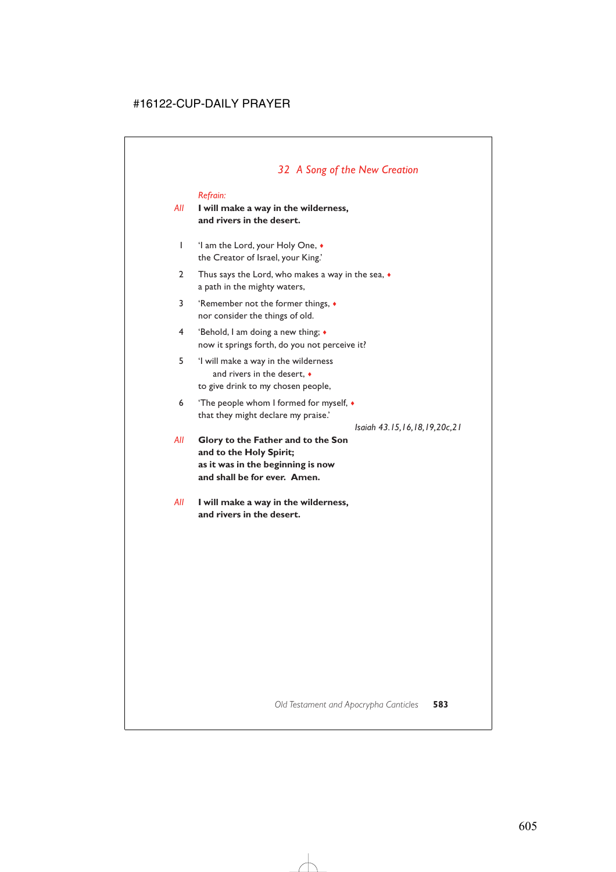## *32 A Song of the New Creation*

#### *Refrain:*

## *All* **I will make a way in the wilderness, and rivers in the desert.**

- 1 'I am the Lord, your Holy One, ♦ the Creator of Israel, your King.'
- 2 Thus says the Lord, who makes a way in the sea,  $\bullet$ a path in the mighty waters,
- 3 'Remember not the former things, ♦ nor consider the things of old.
- 4 'Behold, I am doing a new thing; ♦ now it springs forth, do you not perceive it?
- 5 'I will make a way in the wilderness and rivers in the desert, ♦ to give drink to my chosen people,
- 6 'The people whom I formed for myself, ♦ that they might declare my praise.'

*Isaiah 43.15,16,18,19,20c,21*

- *All* **Glory to the Father and to the Son and to the Holy Spirit; as it was in the beginning is now and shall be for ever. Amen.**
- *All* **I will make a way in the wilderness, and rivers in the desert.**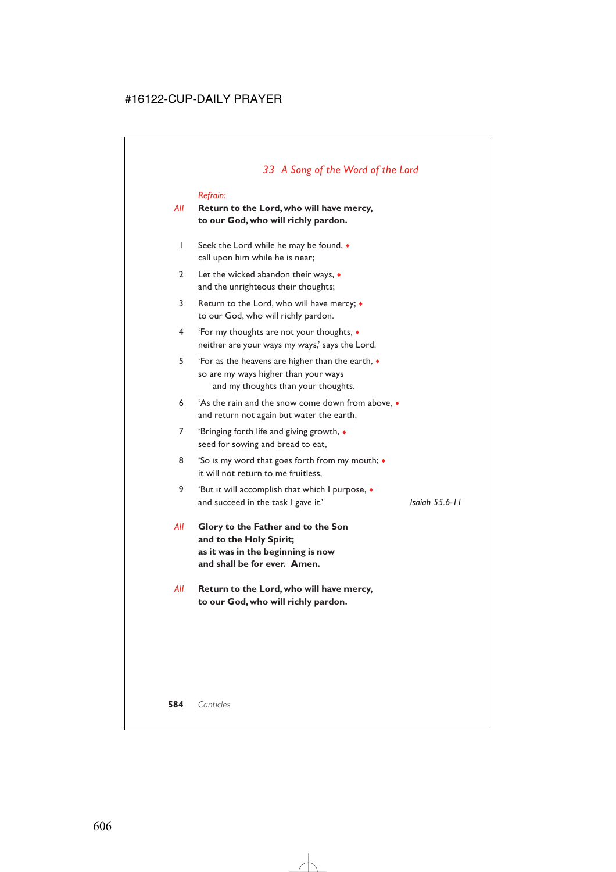## *All* **Return to the Lord, who will have mercy, to our God, who will richly pardon.**

- 1 Seek the Lord while he may be found, ♦ call upon him while he is near;
- 2 Let the wicked abandon their ways, ♦ and the unrighteous their thoughts;
- 3 Return to the Lord, who will have mercy; ♦ to our God, who will richly pardon.
- 4 'For my thoughts are not your thoughts, ♦ neither are your ways my ways,' says the Lord.
- 5 'For as the heavens are higher than the earth, ♦ so are my ways higher than your ways and my thoughts than your thoughts.
- 6 'As the rain and the snow come down from above, ♦ and return not again but water the earth,
- 7 'Bringing forth life and giving growth, ♦ seed for sowing and bread to eat,
- 8 'So is my word that goes forth from my mouth;  $\bullet$ it will not return to me fruitless,
- 9 'But it will accomplish that which I purpose, ♦ and succeed in the task I gave it.' *Isaiah 55.6-11*

- *All* **Glory to the Father and to the Son and to the Holy Spirit; as it was in the beginning is now and shall be for ever. Amen.**
- *All* **Return to the Lord, who will have mercy, to our God, who will richly pardon.**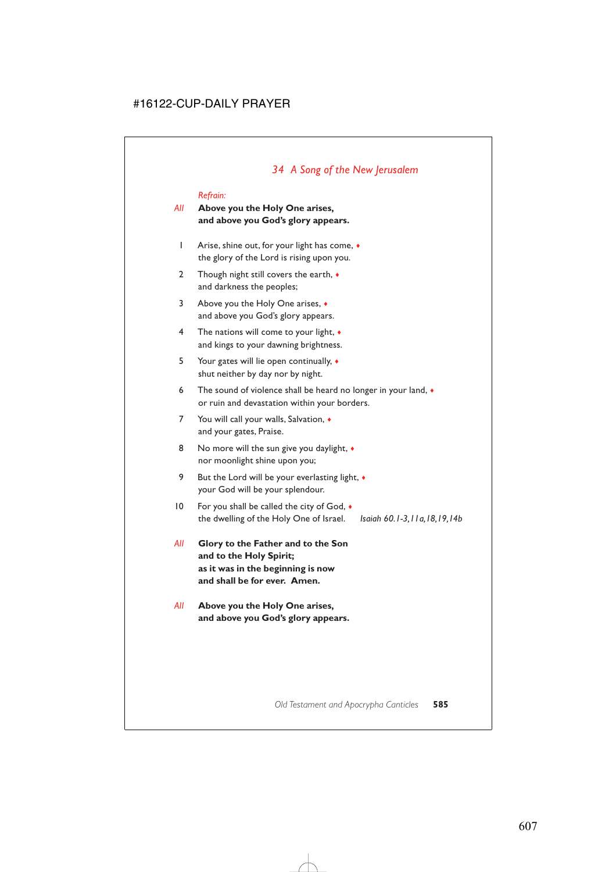## *All* **Above you the Holy One arises, and above you God's glory appears.**

- 1 Arise, shine out, for your light has come, ♦ the glory of the Lord is rising upon you.
- 2 Though night still covers the earth,  $\bullet$ and darkness the peoples;
- 3 Above you the Holy One arises, ♦ and above you God's glory appears.
- 4 The nations will come to your light, ♦ and kings to your dawning brightness.
- 5 Your gates will lie open continually, ♦ shut neither by day nor by night.
- 6 The sound of violence shall be heard no longer in your land,  $\bullet$ or ruin and devastation within your borders.
- 7 You will call your walls, Salvation,  $\bullet$ and your gates, Praise.
- 8 No more will the sun give you daylight,  $\bullet$ nor moonlight shine upon you;
- 9 But the Lord will be your everlasting light,  $\bullet$ your God will be your splendour.
- 10 For you shall be called the city of God, ♦ the dwelling of the Holy One of Israel. *Isaiah 60.1-3,11a,18,19,14b*

- *All* **Glory to the Father and to the Son and to the Holy Spirit; as it was in the beginning is now and shall be for ever. Amen.**
- *All* **Above you the Holy One arises, and above you God's glory appears.**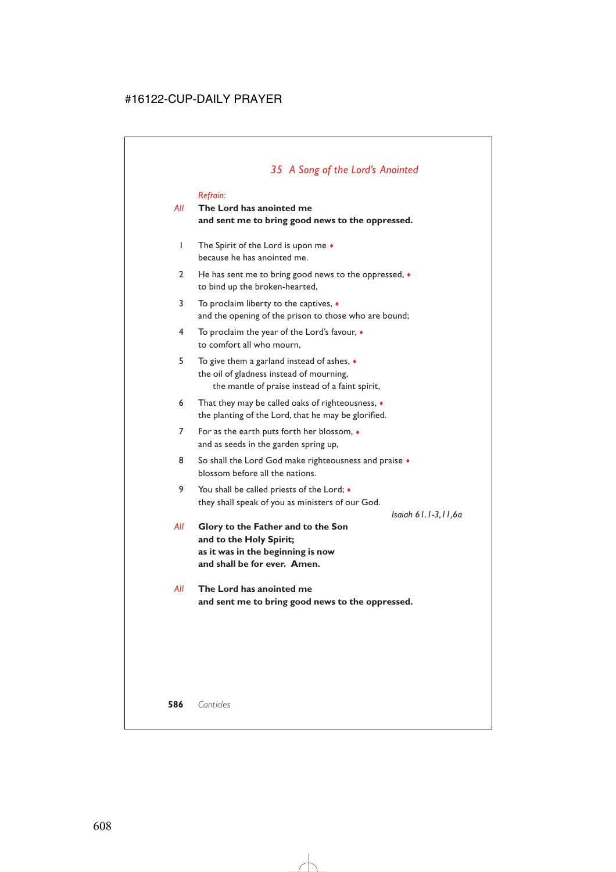## *All* **The Lord has anointed me and sent me to bring good news to the oppressed.**

- 1 The Spirit of the Lord is upon me ♦ because he has anointed me.
- 2 He has sent me to bring good news to the oppressed,  $\bullet$ to bind up the broken-hearted,
- 3 To proclaim liberty to the captives, ♦ and the opening of the prison to those who are bound;
- 4 To proclaim the year of the Lord's favour, ♦ to comfort all who mourn,
- 5 To give them a garland instead of ashes, ♦ the oil of gladness instead of mourning, the mantle of praise instead of a faint spirit,
- 6 That they may be called oaks of righteousness, ♦ the planting of the Lord, that he may be glorified.
- 7 For as the earth puts forth her blossom, ♦ and as seeds in the garden spring up,
- 8 So shall the Lord God make righteousness and praise  $\bullet$ blossom before all the nations.
- 9 You shall be called priests of the Lord; ♦ they shall speak of you as ministers of our God.

*Isaiah 61.1-3,11,6a*

- *All* **Glory to the Father and to the Son and to the Holy Spirit; as it was in the beginning is now and shall be for ever. Amen.**
- *All* **The Lord has anointed me and sent me to bring good news to the oppressed.**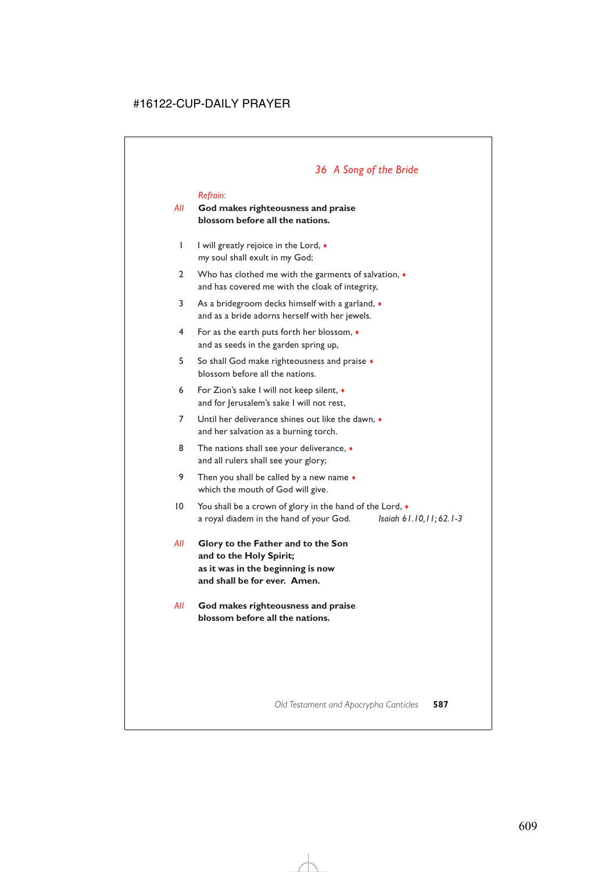# *36 A Song of the Bride*

#### *Refrain:*

## *All* **God makes righteousness and praise blossom before all the nations.**

- 1 I will greatly rejoice in the Lord,  $\bullet$ my soul shall exult in my God;
- 2 Who has clothed me with the garments of salvation,  $\bullet$ and has covered me with the cloak of integrity,
- 3 As a bridegroom decks himself with a garland, ♦ and as a bride adorns herself with her jewels.
- 4 For as the earth puts forth her blossom, ♦ and as seeds in the garden spring up,
- 5 So shall God make righteousness and praise ♦ blossom before all the nations.
- 6 For Zion's sake I will not keep silent, ♦ and for Jerusalem's sake I will not rest,
- 7 Until her deliverance shines out like the dawn, ♦ and her salvation as a burning torch.
- 8 The nations shall see your deliverance,  $\bullet$ and all rulers shall see your glory;
- 9 Then you shall be called by a new name  $\bullet$ which the mouth of God will give.
- 10 You shall be a crown of glory in the hand of the Lord, ♦ a royal diadem in the hand of your God. *Isaiah 61.10,11; 62.1-3*
- *All* **Glory to the Father and to the Son and to the Holy Spirit; as it was in the beginning is now and shall be for ever. Amen.**
- *All* **God makes righteousness and praise blossom before all the nations.**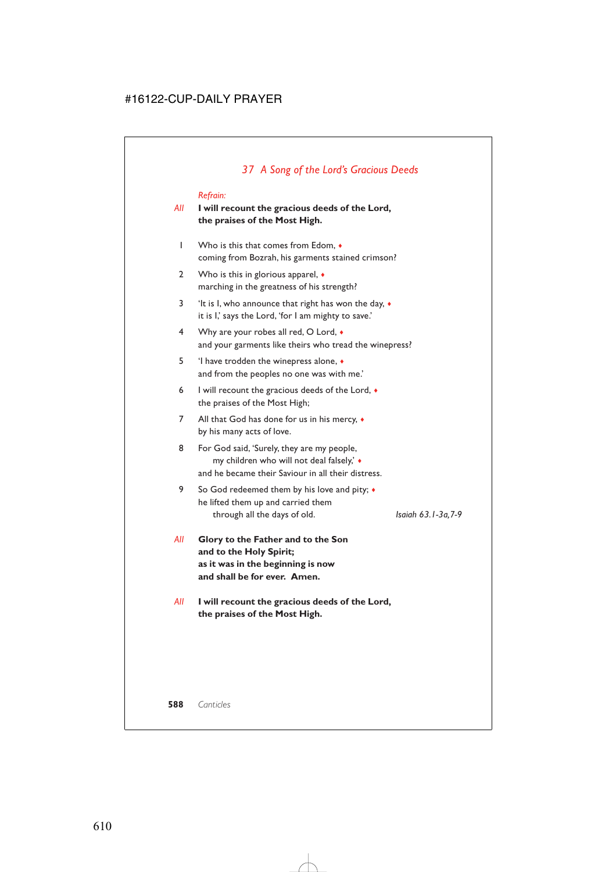# *37 A Song of the Lord's Gracious Deeds*

## *Refrain:*

## *All* **I will recount the gracious deeds of the Lord, the praises of the Most High.**

- 1 Who is this that comes from Edom, ♦ coming from Bozrah, his garments stained crimson?
- 2 Who is this in glorious apparel,  $\bullet$ marching in the greatness of his strength?
- 3 'It is I, who announce that right has won the day, ♦ it is I,' says the Lord, 'for I am mighty to save.'
- 4 Why are your robes all red, O Lord,  $\bullet$ and your garments like theirs who tread the winepress?
- 5 'I have trodden the winepress alone, ♦ and from the peoples no one was with me.'
- 6 I will recount the gracious deeds of the Lord, ♦ the praises of the Most High;
- 7 All that God has done for us in his mercy,  $\bullet$ by his many acts of love.
- 8 For God said, 'Surely, they are my people, my children who will not deal falsely,' ♦ and he became their Saviour in all their distress.
- 9 So God redeemed them by his love and pity;  $\triangleleft$ he lifted them up and carried them through all the days of old. *Isaiah 63.1-3a,7-9*

- *All* **Glory to the Father and to the Son and to the Holy Spirit; as it was in the beginning is now and shall be for ever. Amen.**
- *All* **I will recount the gracious deeds of the Lord, the praises of the Most High.**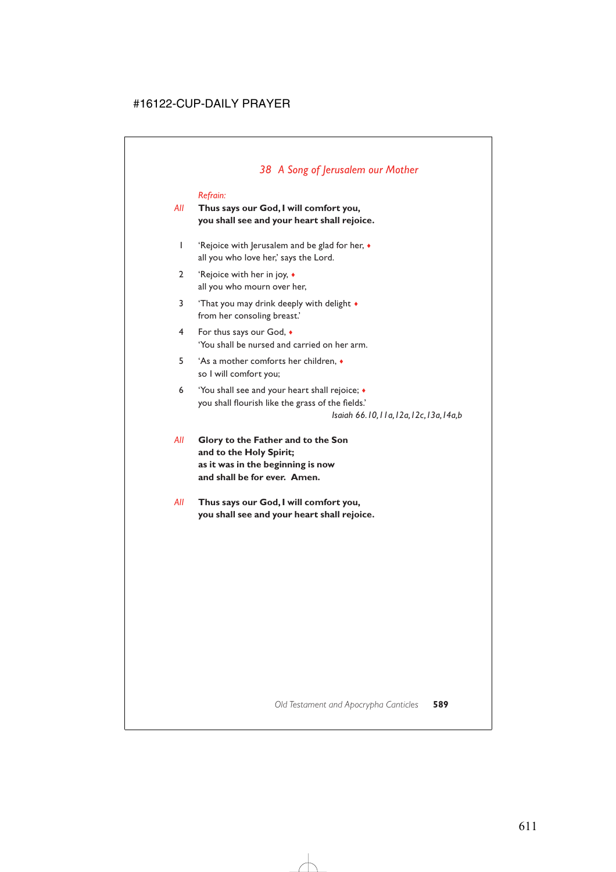# *38 A Song of Jerusalem our Mother*

## *Refrain:*

## *All* **Thus says our God, I will comfort you, you shall see and your heart shall rejoice.**

- 1 'Rejoice with Jerusalem and be glad for her, ♦ all you who love her,' says the Lord.
- 2 'Rejoice with her in joy, ♦ all you who mourn over her,
- 3 'That you may drink deeply with delight  $\bullet$ from her consoling breast.'
- 4 For thus says our God, ♦ 'You shall be nursed and carried on her arm.
- 5 'As a mother comforts her children, ♦ so I will comfort you;
- 6 'You shall see and your heart shall rejoice; ♦ you shall flourish like the grass of the fields.'

*Isaiah 66.10,11a,12a,12c,13a,14a,b*

- *All* **Glory to the Father and to the Son and to the Holy Spirit; as it was in the beginning is now and shall be for ever. Amen.**
- *All* **Thus says our God, I will comfort you, you shall see and your heart shall rejoice.**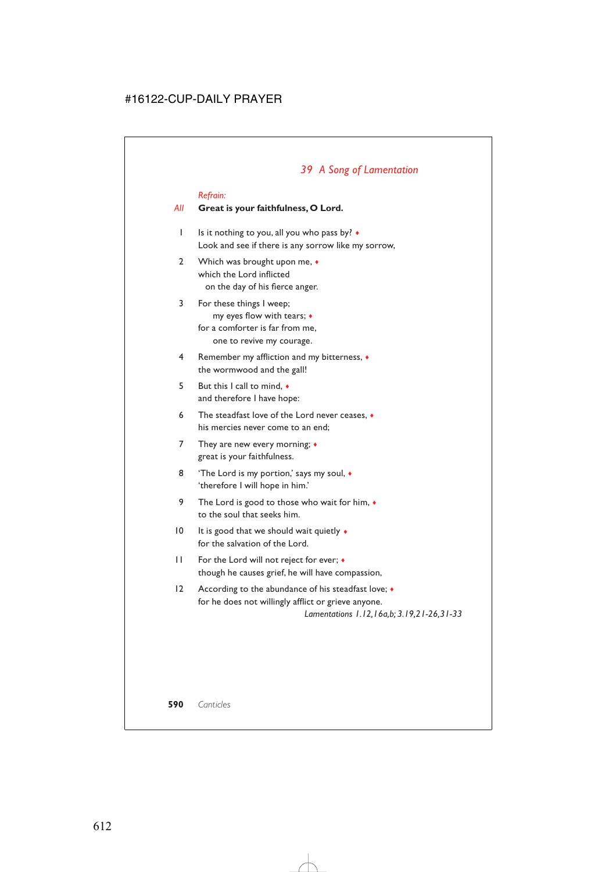# *39 A Song of Lamentation*

#### *Refrain:*

#### *All* **Great is your faithfulness, O Lord.**

- 1 Is it nothing to you, all you who pass by? ♦ Look and see if there is any sorrow like my sorrow,
- 2 Which was brought upon me,  $\bullet$ which the Lord inflicted on the day of his fierce anger.
- 3 For these things I weep; my eyes flow with tears; ♦ for a comforter is far from me, one to revive my courage.
- 4 Remember my affliction and my bitterness, ♦ the wormwood and the gall!
- 5 But this I call to mind, ♦ and therefore I have hope:
- 6 The steadfast love of the Lord never ceases, ♦ his mercies never come to an end;
- 7 They are new every morning;  $\triangleleft$ great is your faithfulness.
- 8 'The Lord is my portion,' says my soul,  $\bullet$ 'therefore I will hope in him.'
- 9 The Lord is good to those who wait for him,  $\bullet$ to the soul that seeks him.
- 10 It is good that we should wait quietly  $\triangleleft$ for the salvation of the Lord.
- 11 For the Lord will not reject for ever; ♦ though he causes grief, he will have compassion,
- 12 According to the abundance of his steadfast love;  $\bullet$ for he does not willingly afflict or grieve anyone. *Lamentations 1.12,16a,b; 3.19,21-26,31-33*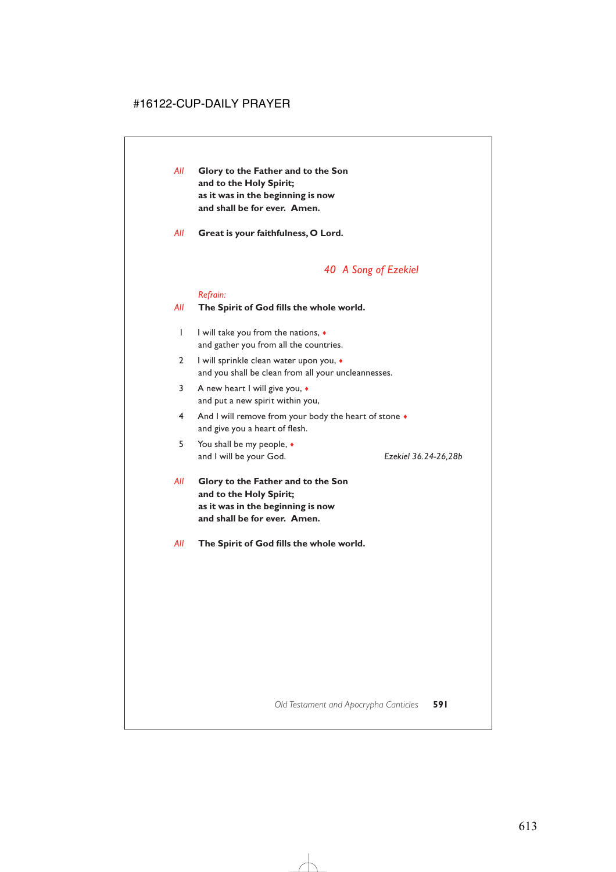- *All* **Glory to the Father and to the Son and to the Holy Spirit; as it was in the beginning is now and shall be for ever. Amen.**
- *All* **Great is your faithfulness, O Lord.**

## *40 A Song of Ezekiel*

#### *Refrain:*

#### *All* **The Spirit of God fills the whole world.**

- 1 I will take you from the nations,  $\triangleleft$ and gather you from all the countries.
- 2 I will sprinkle clean water upon you, ♦ and you shall be clean from all your uncleannesses.
- 3 A new heart I will give you, ♦ and put a new spirit within you,
- 4 And I will remove from your body the heart of stone  $\bullet$ and give you a heart of flesh.
- 5 You shall be my people, ♦ and I will be your God. *Ezekiel 36.24-26,28b*

- *All* **Glory to the Father and to the Son and to the Holy Spirit; as it was in the beginning is now and shall be for ever. Amen.**
- *All* **The Spirit of God fills the whole world.**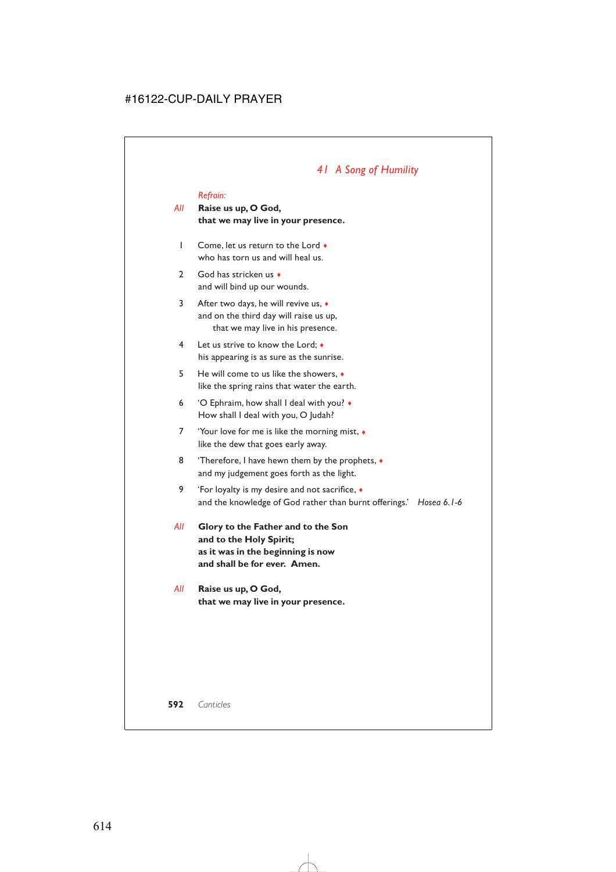# *41 A Song of Humility*

#### *Refrain:*

- *All* **Raise us up, O God, that we may live in your presence.**
	- 1 Come, let us return to the Lord ♦ who has torn us and will heal us.
	- 2 God has stricken us  $\bullet$ and will bind up our wounds.
	- 3 After two days, he will revive us, ♦ and on the third day will raise us up, that we may live in his presence.
	- 4 Let us strive to know the Lord; ♦ his appearing is as sure as the sunrise.
	- 5 He will come to us like the showers, ♦ like the spring rains that water the earth.
	- 6 'O Ephraim, how shall I deal with you? ♦ How shall I deal with you, O Judah?
	- 7 'Your love for me is like the morning mist, ♦ like the dew that goes early away.
	- 8 'Therefore, I have hewn them by the prophets,  $\bullet$ and my judgement goes forth as the light.
	- 9 'For loyalty is my desire and not sacrifice, ♦ and the knowledge of God rather than burnt offerings.' *Hosea 6.1-6*
- *All* **Glory to the Father and to the Son and to the Holy Spirit; as it was in the beginning is now and shall be for ever. Amen.**
- *All* **Raise us up, O God, that we may live in your presence.**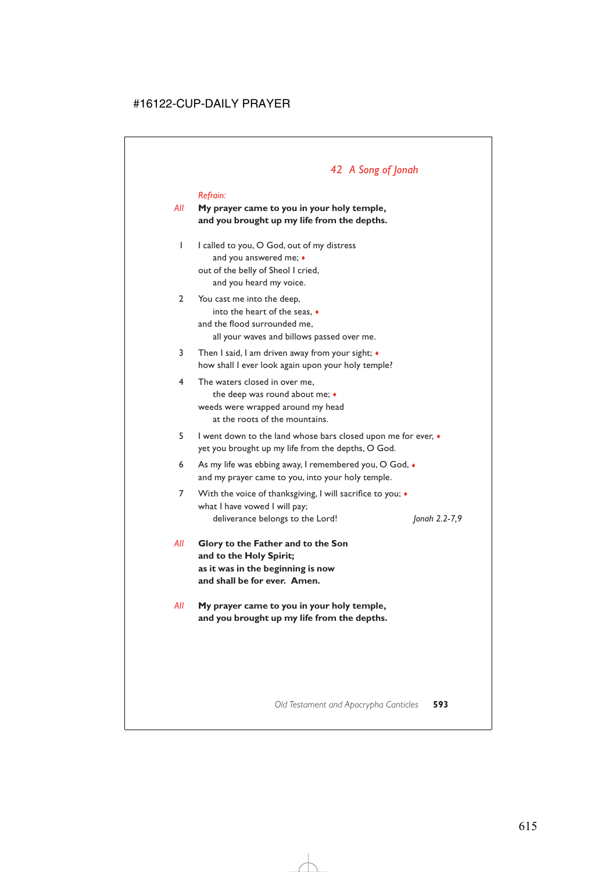# *42 A Song of Jonah*

#### *Refrain:*

## *All* **My prayer came to you in your holy temple, and you brought up my life from the depths.**

- 1 I called to you, O God, out of my distress and you answered me;  $\bullet$ out of the belly of Sheol I cried, and you heard my voice.
- 2 You cast me into the deep, into the heart of the seas, ♦ and the flood surrounded me, all your waves and billows passed over me.
- 3 Then I said, I am driven away from your sight; ♦ how shall I ever look again upon your holy temple?
- 4 The waters closed in over me, the deep was round about me; ♦ weeds were wrapped around my head at the roots of the mountains.
- 5 I went down to the land whose bars closed upon me for ever, ♦ yet you brought up my life from the depths, O God.
- 6 As my life was ebbing away, I remembered you, O God, ♦ and my prayer came to you, into your holy temple.
- 7 With the voice of thanksgiving, I will sacrifice to you;  $\triangleleft$ what I have vowed I will pay; deliverance belongs to the Lord! *Jonah 2.2-7,9*
	-

- *All* **Glory to the Father and to the Son and to the Holy Spirit; as it was in the beginning is now and shall be for ever. Amen.**
- *All* **My prayer came to you in your holy temple, and you brought up my life from the depths.**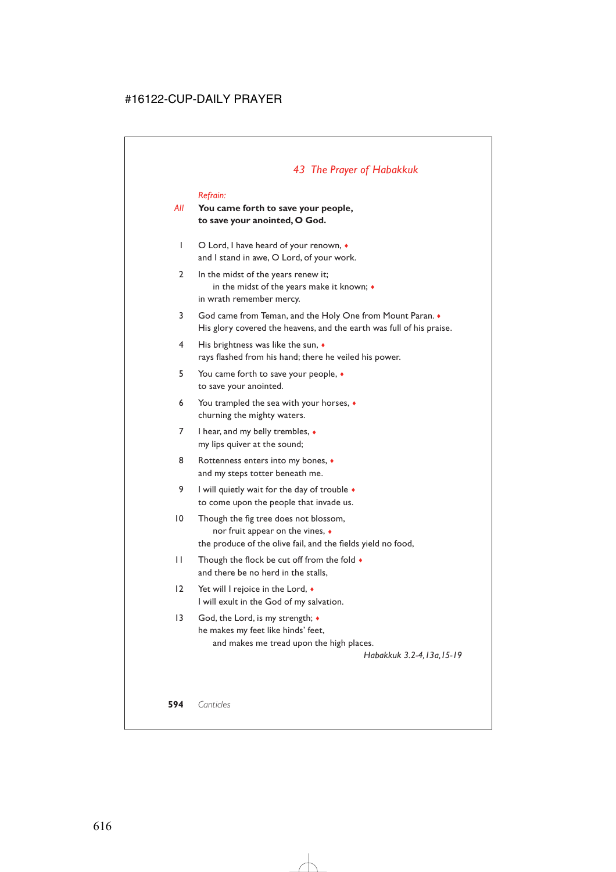# *43 The Prayer of Habakkuk*

#### *Refrain:*

## *All* **You came forth to save your people, to save your anointed, O God.**

- 1 O Lord, I have heard of your renown, ♦ and I stand in awe, O Lord, of your work.
- 2 In the midst of the years renew it; in the midst of the years make it known; ♦ in wrath remember mercy.
- 3 God came from Teman, and the Holy One from Mount Paran. ♦ His glory covered the heavens, and the earth was full of his praise.
- 4 His brightness was like the sun,  $\bullet$ rays flashed from his hand; there he veiled his power.
- 5 You came forth to save your people, ♦ to save your anointed.
- 6 You trampled the sea with your horses, ♦ churning the mighty waters.
- 7 I hear, and my belly trembles,  $\triangleleft$ my lips quiver at the sound;
- 8 Rottenness enters into my bones,  $\bullet$ and my steps totter beneath me.
- 9 I will quietly wait for the day of trouble  $\bullet$ to come upon the people that invade us.
- 10 Though the fig tree does not blossom, nor fruit appear on the vines, ♦ the produce of the olive fail, and the fields yield no food,
- 11 Though the flock be cut off from the fold ♦ and there be no herd in the stalls,
- 12 Yet will I rejoice in the Lord, ♦ I will exult in the God of my salvation.
- 13 God, the Lord, is my strength;  $\bullet$ he makes my feet like hinds' feet, and makes me tread upon the high places.

*Habakkuk 3.2-4,13a,15-19*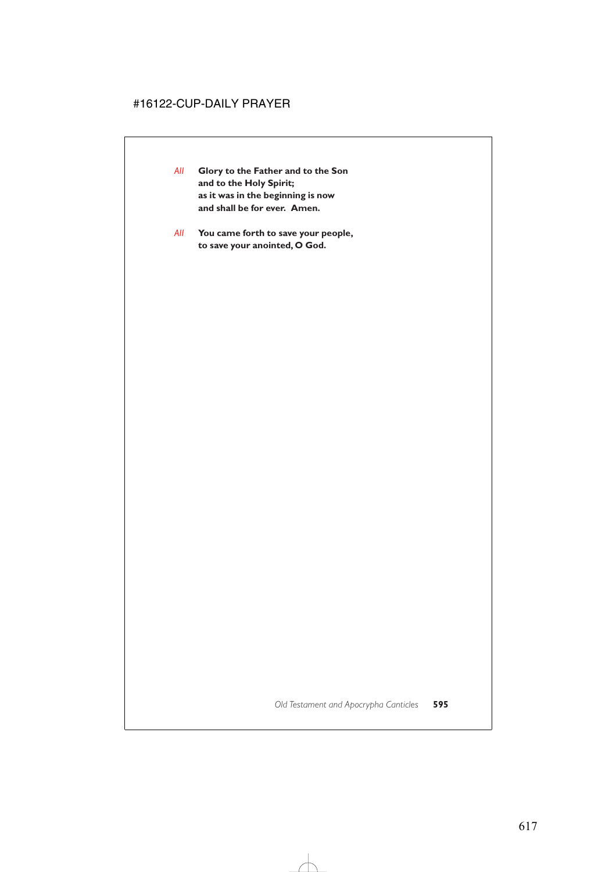- *All* **Glory to the Father and to the Son and to the Holy Spirit; as it was in the beginning is now and shall be for ever. Amen.**
- *All* **You came forth to save your people, to save your anointed, O God.**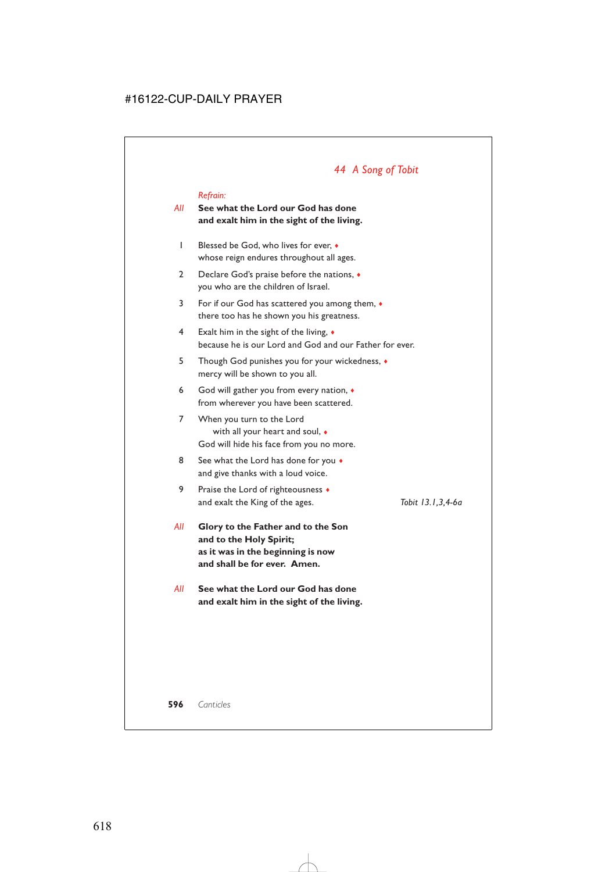# *44 A Song of Tobit*

#### *Refrain:*

## *All* **See what the Lord our God has done and exalt him in the sight of the living.**

- 1 Blessed be God, who lives for ever, ♦ whose reign endures throughout all ages.
- 2 Declare God's praise before the nations,  $\bullet$ you who are the children of Israel.
- 3 For if our God has scattered you among them, ♦ there too has he shown you his greatness.
- 4 Exalt him in the sight of the living, ♦ because he is our Lord and God and our Father for ever.
- 5 Though God punishes you for your wickedness, ♦ mercy will be shown to you all.
- 6 God will gather you from every nation, ♦ from wherever you have been scattered.
- 7 When you turn to the Lord with all your heart and soul, ♦ God will hide his face from you no more.
- 8 See what the Lord has done for you  $\bullet$ and give thanks with a loud voice.
- 9 Praise the Lord of righteousness  $\bullet$ and exalt the King of the ages. *Tobit 13.1,3,4-6a*
- *All* **Glory to the Father and to the Son and to the Holy Spirit; as it was in the beginning is now and shall be for ever. Amen.**
- *All* **See what the Lord our God has done and exalt him in the sight of the living.**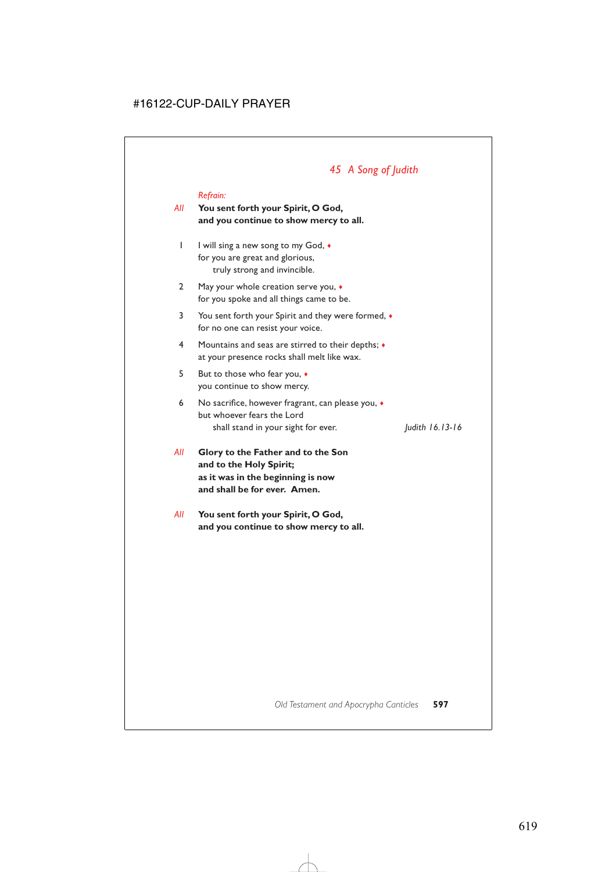# *45 A Song of Judith*

#### *Refrain:*

*All* **You sent forth your Spirit, O God, and you continue to show mercy to all.**

- 1 I will sing a new song to my God,  $\bullet$ for you are great and glorious, truly strong and invincible.
- 2 May your whole creation serve you,  $\bullet$ for you spoke and all things came to be.
- 3 You sent forth your Spirit and they were formed, ♦ for no one can resist your voice.
- 4 Mountains and seas are stirred to their depths; ♦ at your presence rocks shall melt like wax.
- 5 But to those who fear you, ♦ you continue to show mercy.
- 6 No sacrifice, however fragrant, can please you, ♦ but whoever fears the Lord shall stand in your sight for ever. *Judith 16.13-16*

- *All* **Glory to the Father and to the Son and to the Holy Spirit; as it was in the beginning is now and shall be for ever. Amen.**
- *All* **You sent forth your Spirit, O God, and you continue to show mercy to all.**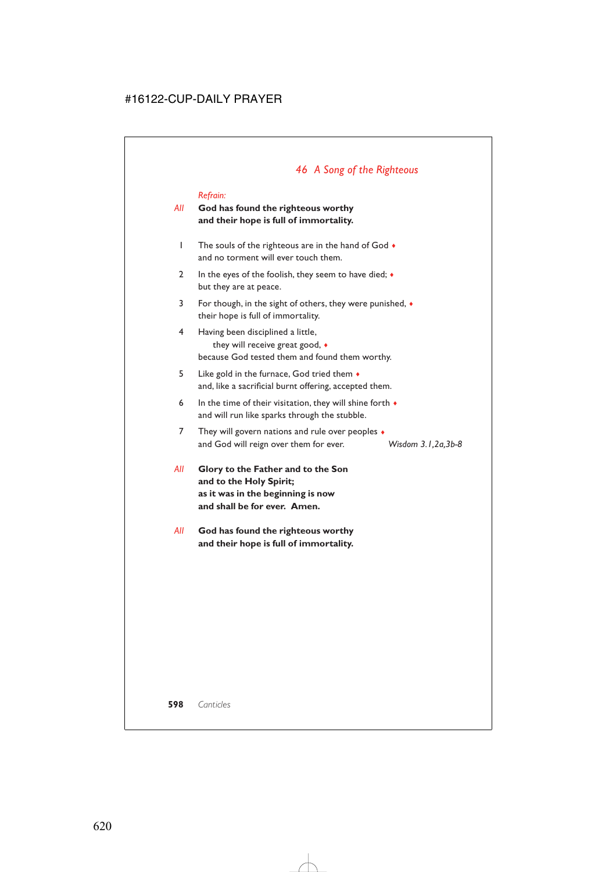# *46 A Song of the Righteous*

#### *Refrain:*

## *All* **God has found the righteous worthy and their hope is full of immortality.**

- 1 The souls of the righteous are in the hand of God  $\bullet$ and no torment will ever touch them.
- 2 In the eyes of the foolish, they seem to have died;  $\bullet$ but they are at peace.
- 3 For though, in the sight of others, they were punished, ♦ their hope is full of immortality.
- 4 Having been disciplined a little, they will receive great good, ♦ because God tested them and found them worthy.
- 5 Like gold in the furnace, God tried them ♦ and, like a sacrificial burnt offering, accepted them.
- 6 In the time of their visitation, they will shine forth  $\bullet$ and will run like sparks through the stubble.
- 7 They will govern nations and rule over peoples  $\triangleleft$ and God will reign over them for ever. *Wisdom 3.1,2a,3b-8*
- *All* **Glory to the Father and to the Son and to the Holy Spirit; as it was in the beginning is now and shall be for ever. Amen.**
- *All* **God has found the righteous worthy and their hope is full of immortality.**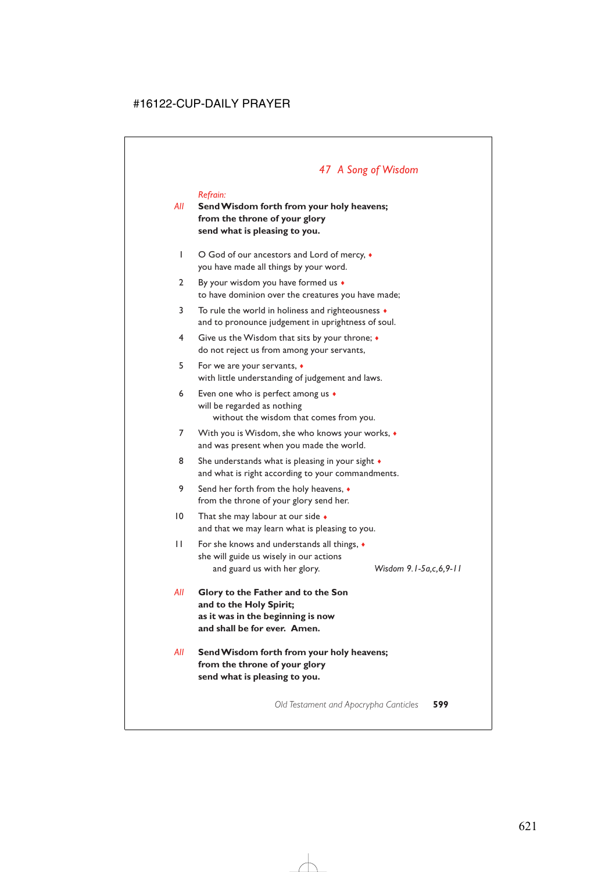# *47 A Song of Wisdom*

#### *Refrain:*

## *All* **Send Wisdom forth from your holy heavens; from the throne of your glory send what is pleasing to you.**

- 1 O God of our ancestors and Lord of mercy,  $\triangleleft$ you have made all things by your word.
- 2 By your wisdom you have formed us  $\bullet$ to have dominion over the creatures you have made;
- 3 To rule the world in holiness and righteousness  $\bullet$ and to pronounce judgement in uprightness of soul.
- 4 Give us the Wisdom that sits by your throne; ♦ do not reject us from among your servants,
- 5 For we are your servants, ♦ with little understanding of judgement and laws.
- 6 Even one who is perfect among us ♦ will be regarded as nothing without the wisdom that comes from you.
- 7 With you is Wisdom, she who knows your works,  $\bullet$ and was present when you made the world.
- 8 She understands what is pleasing in your sight  $\bullet$ and what is right according to your commandments.
- 9 Send her forth from the holy heavens, ♦ from the throne of your glory send her.
- 10 That she may labour at our side  $\bullet$ and that we may learn what is pleasing to you.
- 11 For she knows and understands all things, ♦ she will guide us wisely in our actions and guard us with her glory. *Wisdom 9.1-5a,c,6,9-11*

- *All* **Glory to the Father and to the Son and to the Holy Spirit; as it was in the beginning is now and shall be for ever. Amen.**
- *All* **Send Wisdom forth from your holy heavens; from the throne of your glory send what is pleasing to you.**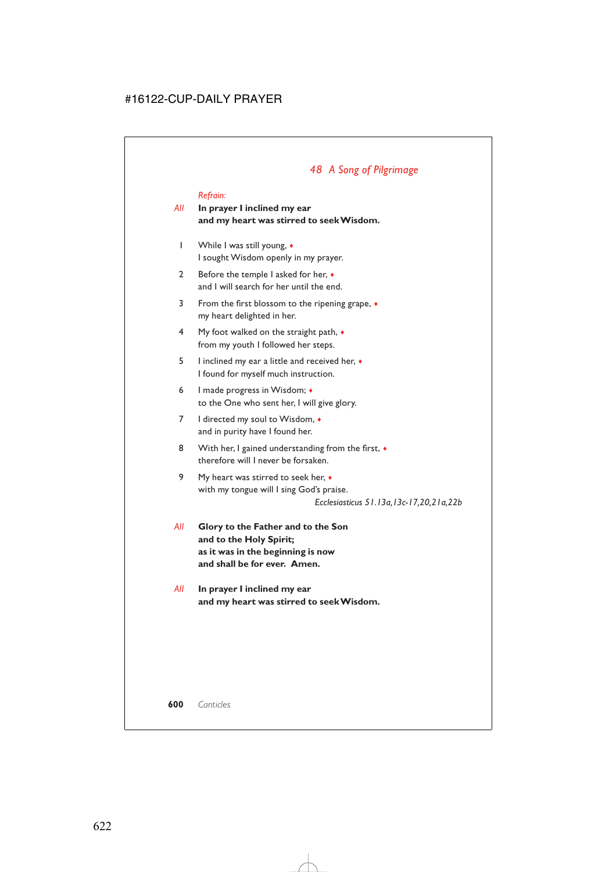# *48 A Song of Pilgrimage*

#### *Refrain:*

## *All* **In prayer I inclined my ear and my heart was stirred to seek Wisdom.**

- 1 While I was still young, ♦ I sought Wisdom openly in my prayer.
- 2 Before the temple I asked for her,  $\triangleleft$ and I will search for her until the end.
- 3 From the first blossom to the ripening grape, ♦ my heart delighted in her.
- 4 My foot walked on the straight path, ♦ from my youth I followed her steps.
- 5 I inclined my ear a little and received her, ♦ I found for myself much instruction.
- 6 I made progress in Wisdom; ♦ to the One who sent her, I will give glory.
- 7 I directed my soul to Wisdom,  $\bullet$ and in purity have I found her.
- 8 With her, I gained understanding from the first,  $\bullet$ therefore will I never be forsaken.
- 9 My heart was stirred to seek her, ♦ with my tongue will I sing God's praise.

*Ecclesiasticus 51.13a,13c-17,20,21a,22b*

- *All* **Glory to the Father and to the Son and to the Holy Spirit; as it was in the beginning is now and shall be for ever. Amen.**
- *All* **In prayer I inclined my ear and my heart was stirred to seek Wisdom.**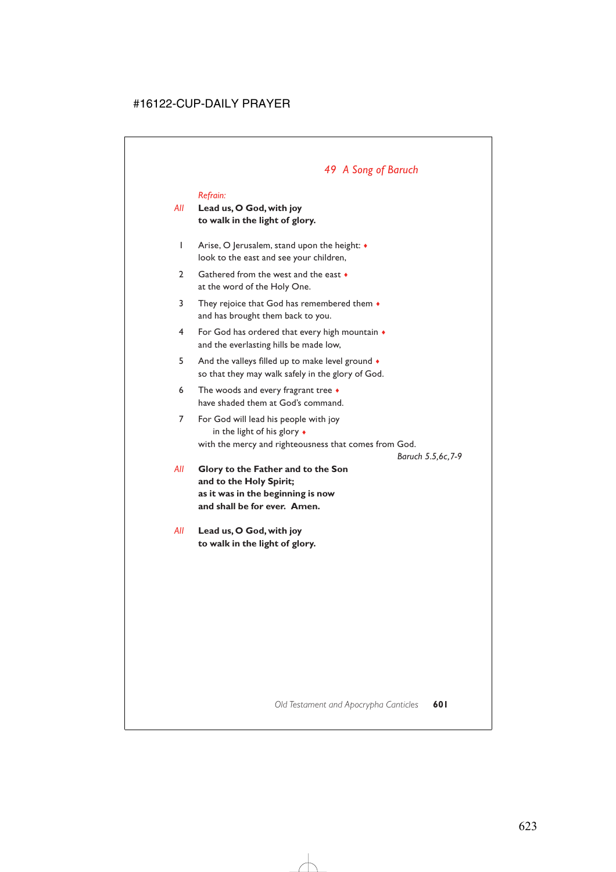# *49 A Song of Baruch*

#### *Refrain:*

## *All* **Lead us, O God, with joy to walk in the light of glory.**

- 1 Arise, O Jerusalem, stand upon the height:  $\triangleleft$ look to the east and see your children,
- 2 Gathered from the west and the east  $\bullet$ at the word of the Holy One.
- 3 They rejoice that God has remembered them  $\bullet$ and has brought them back to you.
- 4 For God has ordered that every high mountain ♦ and the everlasting hills be made low,
- 5 And the valleys filled up to make level ground  $\bullet$ so that they may walk safely in the glory of God.
- 6 The woods and every fragrant tree  $\bullet$ have shaded them at God's command.
- 7 For God will lead his people with joy in the light of his glory ♦ with the mercy and righteousness that comes from God.

*Baruch 5.5,6c,7-9*

*All* **Glory to the Father and to the Son and to the Holy Spirit; as it was in the beginning is now and shall be for ever. Amen.**

*All* **Lead us, O God, with joy to walk in the light of glory.**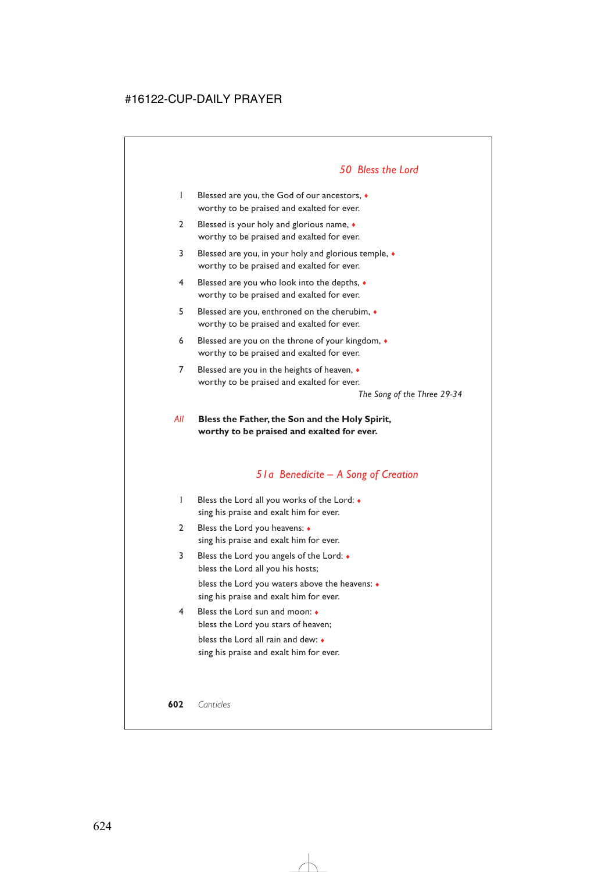## *50 Bless the Lord*

- 1 Blessed are you, the God of our ancestors, ♦ worthy to be praised and exalted for ever.
- 2 Blessed is your holy and glorious name, ◆ worthy to be praised and exalted for ever.
- 3 Blessed are you, in your holy and glorious temple, ♦ worthy to be praised and exalted for ever.
- 4 Blessed are you who look into the depths, ♦ worthy to be praised and exalted for ever.
- 5 Blessed are you, enthroned on the cherubim, ♦ worthy to be praised and exalted for ever.
- 6 Blessed are you on the throne of your kingdom, ♦ worthy to be praised and exalted for ever.
- 7 Blessed are you in the heights of heaven,  $\bullet$ worthy to be praised and exalted for ever.

*The Song of the Three 29-34*

## *All* **Bless the Father, the Son and the Holy Spirit, worthy to be praised and exalted for ever.**

## *51a Benedicite – A Song of Creation*

- 1 Bless the Lord all you works of the Lord: ♦ sing his praise and exalt him for ever.
- 2 Bless the Lord you heavens: ♦ sing his praise and exalt him for ever.
- 3 Bless the Lord you angels of the Lord: ♦ bless the Lord all you his hosts;

bless the Lord you waters above the heavens: ♦ sing his praise and exalt him for ever.

4 Bless the Lord sun and moon: ♦ bless the Lord you stars of heaven; bless the Lord all rain and dew: ♦ sing his praise and exalt him for ever.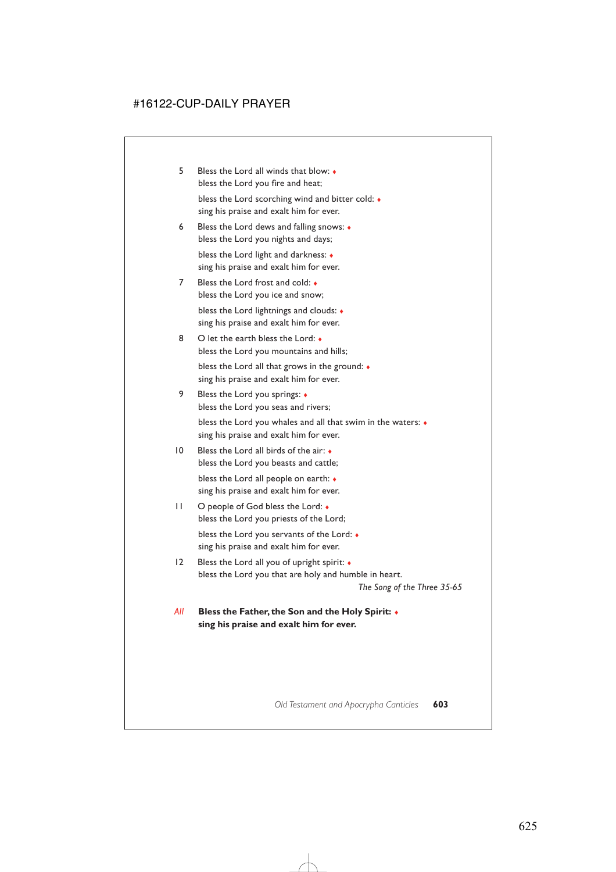- 5 Bless the Lord all winds that blow: ♦ bless the Lord you fire and heat; bless the Lord scorching wind and bitter cold: ♦ sing his praise and exalt him for ever.
- 6 Bless the Lord dews and falling snows: ♦ bless the Lord you nights and days; bless the Lord light and darkness: ♦ sing his praise and exalt him for ever.
- 7 Bless the Lord frost and cold:  $\bullet$ bless the Lord you ice and snow; bless the Lord lightnings and clouds: ♦ sing his praise and exalt him for ever.
- 8 O let the earth bless the Lord: bless the Lord you mountains and hills; bless the Lord all that grows in the ground: ♦ sing his praise and exalt him for ever.
- 9 Bless the Lord you springs: ♦ bless the Lord you seas and rivers; bless the Lord you whales and all that swim in the waters: ♦ sing his praise and exalt him for ever.
- 10 Bless the Lord all birds of the air: bless the Lord you beasts and cattle; bless the Lord all people on earth: ♦ sing his praise and exalt him for ever.
- 11 O people of God bless the Lord: ♦ bless the Lord you priests of the Lord; bless the Lord you servants of the Lord: ♦ sing his praise and exalt him for ever.
- 12 Bless the Lord all you of upright spirit: ♦ bless the Lord you that are holy and humble in heart.

*The Song of the Three 35-65*

*All* **Bless the Father, the Son and the Holy Spirit:** ♦ **sing his praise and exalt him for ever.**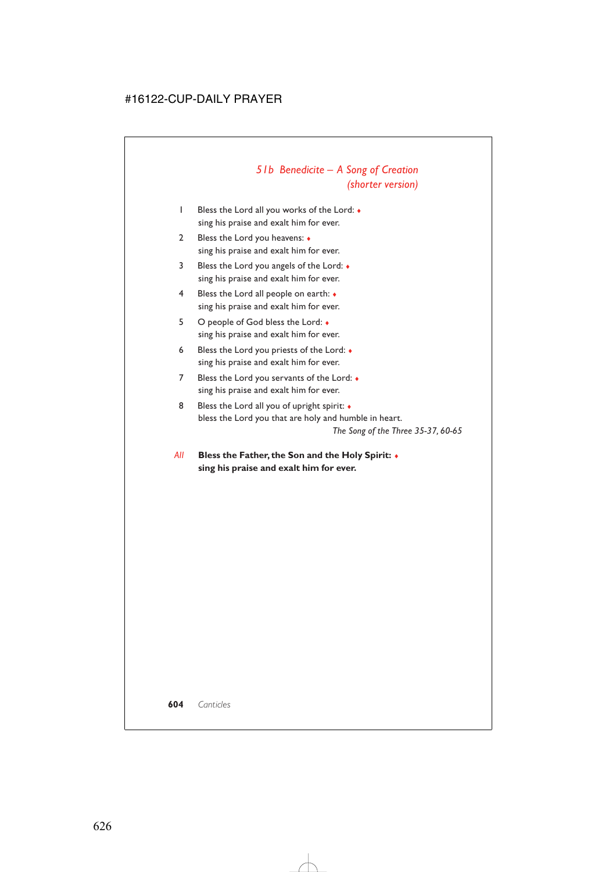# *51b Benedicite – A Song of Creation (shorter version)*

- 1 Bless the Lord all you works of the Lord: ♦ sing his praise and exalt him for ever.
- 2 Bless the Lord you heavens: ♦ sing his praise and exalt him for ever.
- 3 Bless the Lord you angels of the Lord: ♦ sing his praise and exalt him for ever.
- 4 Bless the Lord all people on earth: ♦ sing his praise and exalt him for ever.
- 5 O people of God bless the Lord: ♦ sing his praise and exalt him for ever.
- 6 Bless the Lord you priests of the Lord: ♦ sing his praise and exalt him for ever.
- 7 Bless the Lord you servants of the Lord:  $\bullet$ sing his praise and exalt him for ever.
- 8 Bless the Lord all you of upright spirit:  $\bullet$ bless the Lord you that are holy and humble in heart. *The Song of the Three 35-37, 60-65*
- *All* **Bless the Father, the Son and the Holy Spirit:** ♦ **sing his praise and exalt him for ever.**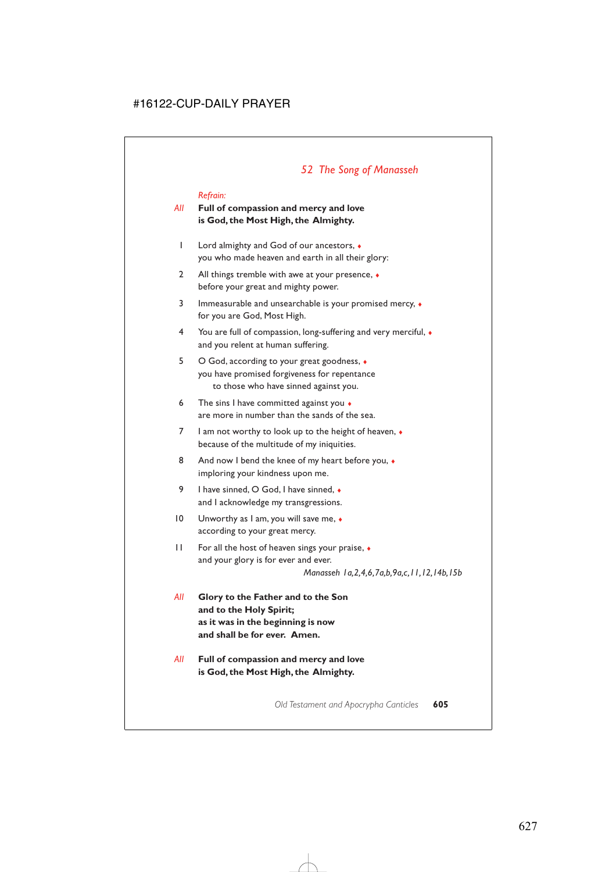# *52 The Song of Manasseh*

#### *Refrain:*

## *All* **Full of compassion and mercy and love is God, the Most High, the Almighty.**

- 1 Lord almighty and God of our ancestors, ♦ you who made heaven and earth in all their glory:
- 2 All things tremble with awe at your presence,  $\bullet$ before your great and mighty power.
- 3 Immeasurable and unsearchable is your promised mercy,  $\bullet$ for you are God, Most High.
- 4 You are full of compassion, long-suffering and very merciful, ♦ and you relent at human suffering.
- 5 O God, according to your great goodness, ♦ you have promised forgiveness for repentance to those who have sinned against you.
- 6 The sins I have committed against you  $\bullet$ are more in number than the sands of the sea.
- 7 I am not worthy to look up to the height of heaven, ♦ because of the multitude of my iniquities.
- 8 And now I bend the knee of my heart before you,  $\bullet$ imploring your kindness upon me.
- 9 I have sinned, O God, I have sinned, ◆ and I acknowledge my transgressions.
- 10 Unworthy as I am, you will save me,  $\bullet$ according to your great mercy.
- 11 For all the host of heaven sings your praise,  $\bullet$ and your glory is for ever and ever.

*Manasseh 1a,2,4,6,7a,b,9a,c,11,12,14b,15b*

- *All* **Glory to the Father and to the Son and to the Holy Spirit; as it was in the beginning is now and shall be for ever. Amen.**
- *All* **Full of compassion and mercy and love is God, the Most High, the Almighty.**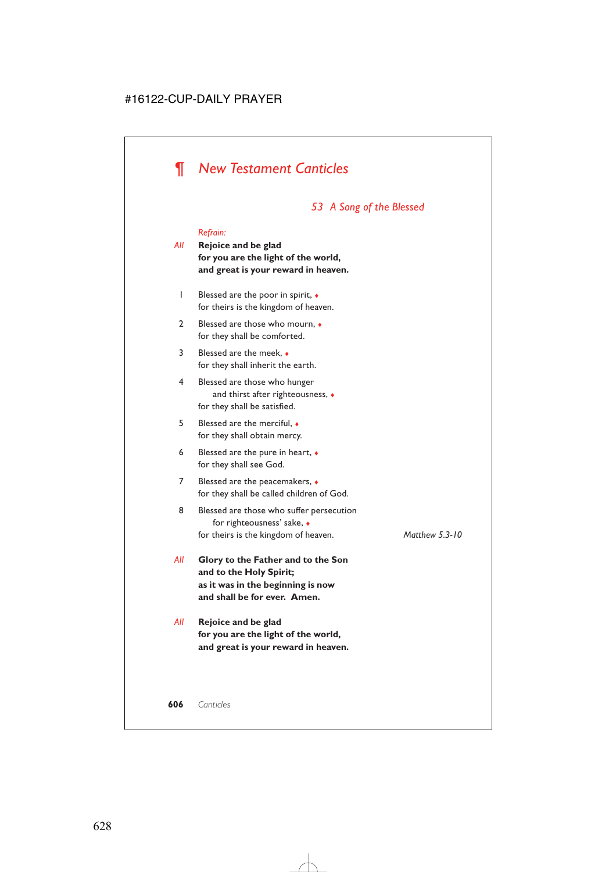# *¶ New Testament Canticles*

# *53 A Song of the Blessed*

#### *Refrain:*

*All* **Rejoice and be glad for you are the light of the world, and great is your reward in heaven.**

- 1 Blessed are the poor in spirit, ♦ for theirs is the kingdom of heaven.
- 2 Blessed are those who mourn,  $\bullet$ for they shall be comforted.
- 3 Blessed are the meek, ♦ for they shall inherit the earth.
- 4 Blessed are those who hunger and thirst after righteousness, ♦ for they shall be satisfied.
- 5 Blessed are the merciful, ♦ for they shall obtain mercy.
- 6 Blessed are the pure in heart,  $\bullet$ for they shall see God.
- 7 Blessed are the peacemakers,  $\triangleleft$ for they shall be called children of God.
- 8 Blessed are those who suffer persecution for righteousness' sake, ♦ for theirs is the kingdom of heaven. *Matthew 5.3-10*

- *All* **Glory to the Father and to the Son and to the Holy Spirit; as it was in the beginning is now and shall be for ever. Amen.**
- *All* **Rejoice and be glad for you are the light of the world, and great is your reward in heaven.**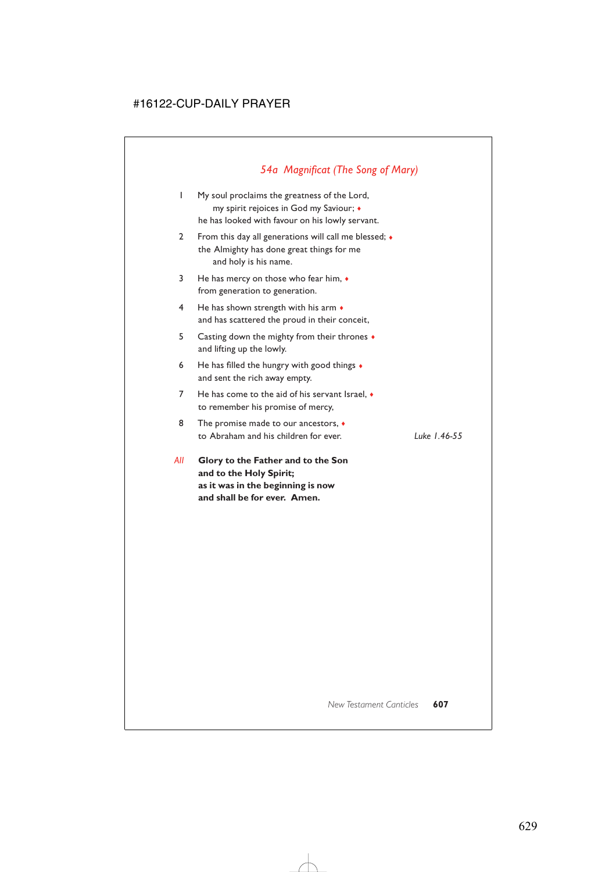# *54a Magnificat (The Song of Mary)*

- 1 My soul proclaims the greatness of the Lord, my spirit rejoices in God my Saviour; ♦ he has looked with favour on his lowly servant.
- 2 From this day all generations will call me blessed;  $\bullet$ the Almighty has done great things for me and holy is his name.
- 3 He has mercy on those who fear him, ♦ from generation to generation.
- 4 He has shown strength with his arm  $\bullet$ and has scattered the proud in their conceit,
- 5 Casting down the mighty from their thrones ♦ and lifting up the lowly.
- 6 He has filled the hungry with good things  $\triangleleft$ and sent the rich away empty.
- 7 He has come to the aid of his servant Israel, ♦ to remember his promise of mercy,
- 8 The promise made to our ancestors,  $\bullet$ to Abraham and his children for ever. *Luke 1.46-55*

*All* **Glory to the Father and to the Son and to the Holy Spirit; as it was in the beginning is now and shall be for ever. Amen.**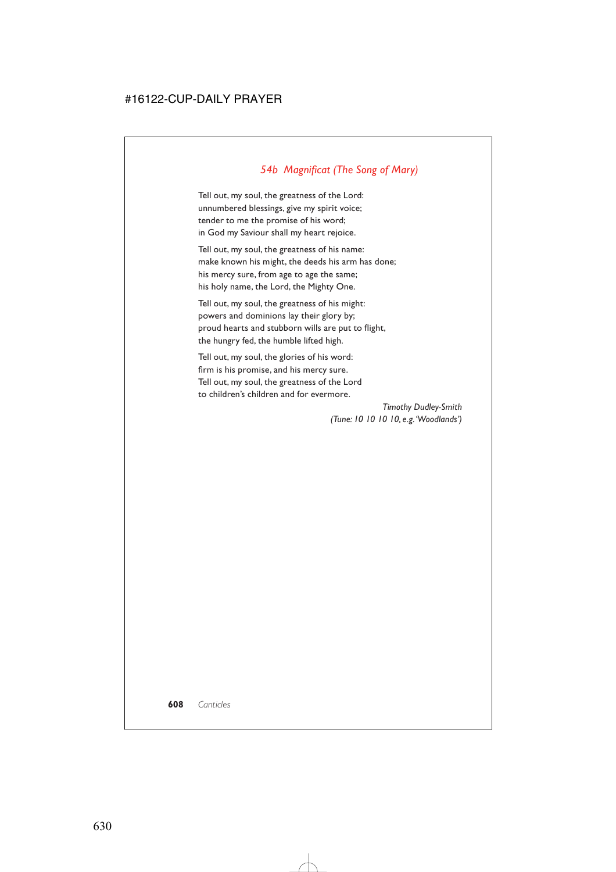# *54b Magnificat (The Song of Mary)*

Tell out, my soul, the greatness of the Lord: unnumbered blessings, give my spirit voice; tender to me the promise of his word; in God my Saviour shall my heart rejoice.

Tell out, my soul, the greatness of his name: make known his might, the deeds his arm has done; his mercy sure, from age to age the same; his holy name, the Lord, the Mighty One.

Tell out, my soul, the greatness of his might: powers and dominions lay their glory by; proud hearts and stubborn wills are put to flight, the hungry fed, the humble lifted high.

Tell out, my soul, the glories of his word: firm is his promise, and his mercy sure. Tell out, my soul, the greatness of the Lord to children's children and for evermore.

> *Timothy Dudley-Smith (Tune: 10 10 10 10, e.g.'Woodlands')*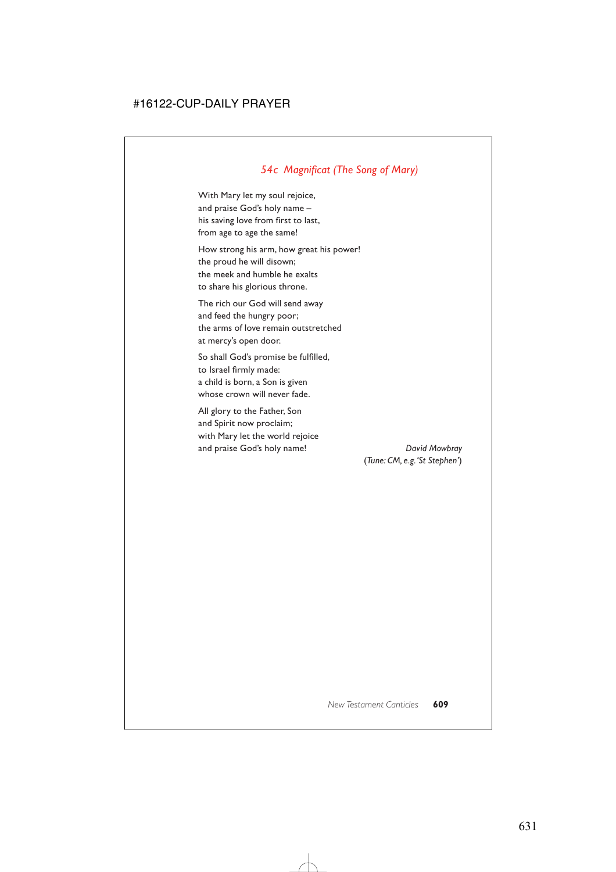# *54c Magnificat (The Song of Mary)*

With Mary let my soul rejoice, and praise God's holy name – his saving love from first to last, from age to age the same!

How strong his arm, how great his power! the proud he will disown; the meek and humble he exalts to share his glorious throne.

The rich our God will send away and feed the hungry poor; the arms of love remain outstretched at mercy's open door.

So shall God's promise be fulfilled, to Israel firmly made: a child is born, a Son is given whose crown will never fade.

All glory to the Father, Son and Spirit now proclaim; with Mary let the world rejoice and praise God's holy name! *David Mowbray*

(*Tune: CM, e.g.'St Stephen'*)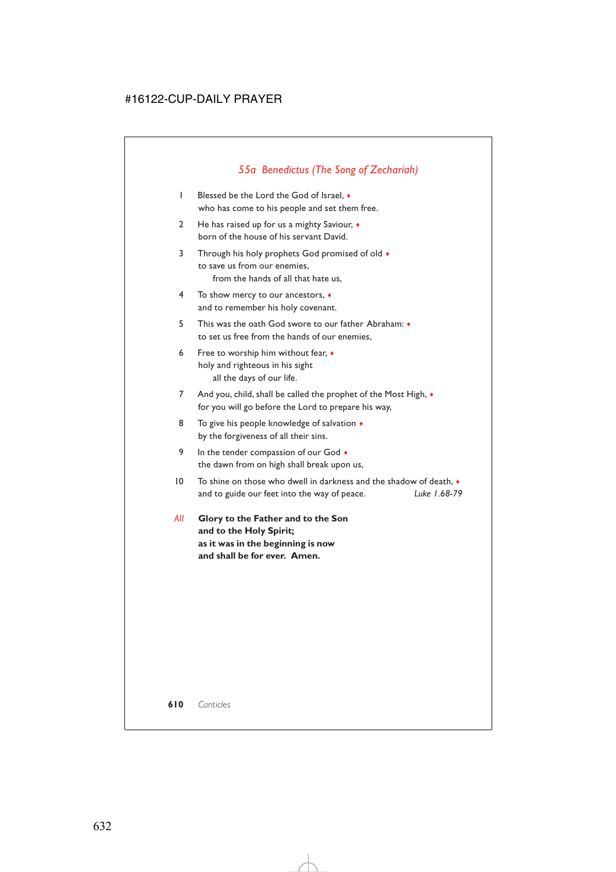# *55a Benedictus (The Song of Zechariah)*

- 1 Blessed be the Lord the God of Israel, ♦ who has come to his people and set them free.
- 2 He has raised up for us a mighty Saviour, ♦ born of the house of his servant David.
- 3 Through his holy prophets God promised of old  $\bullet$ to save us from our enemies, from the hands of all that hate us,
- 4 To show mercy to our ancestors, ♦ and to remember his holy covenant.
- 5 This was the oath God swore to our father Abraham: ♦ to set us free from the hands of our enemies,
- 6 Free to worship him without fear, ♦ holy and righteous in his sight all the days of our life.
- 7 And you, child, shall be called the prophet of the Most High,  $\bullet$ for you will go before the Lord to prepare his way,
- 8 To give his people knowledge of salvation  $\bullet$ by the forgiveness of all their sins.
- 9 In the tender compassion of our God  $\bullet$ the dawn from on high shall break upon us,
- $10$  To shine on those who dwell in darkness and the shadow of death.  $\bullet$ and to guide our feet into the way of peace. *Luke 1.68-79*
- *All* **Glory to the Father and to the Son and to the Holy Spirit; as it was in the beginning is now and shall be for ever. Amen.**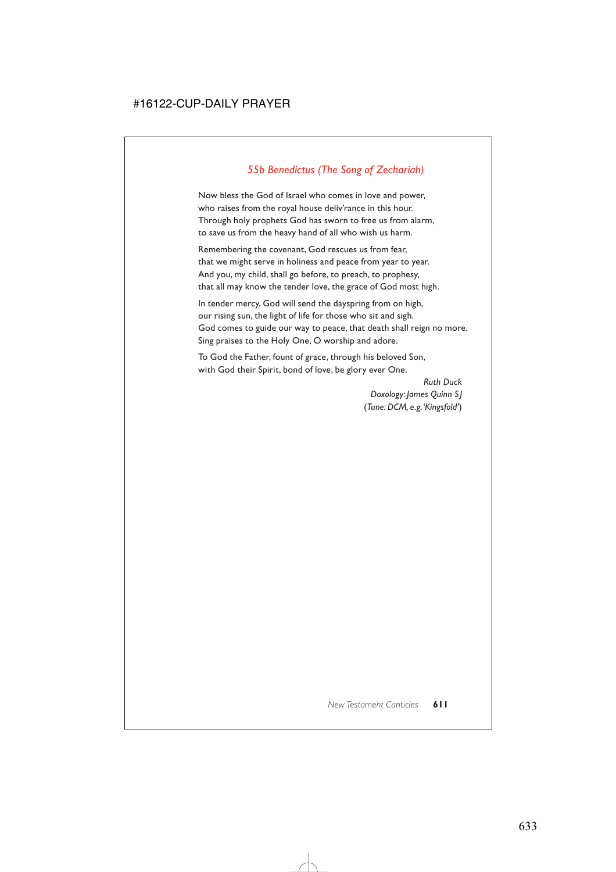# *55b Benedictus (The Song of Zechariah)*

Now bless the God of Israel who comes in love and power, who raises from the royal house deliv'rance in this hour. Through holy prophets God has sworn to free us from alarm, to save us from the heavy hand of all who wish us harm.

Remembering the covenant, God rescues us from fear, that we might serve in holiness and peace from year to year. And you, my child, shall go before, to preach, to prophesy, that all may know the tender love, the grace of God most high.

In tender mercy, God will send the dayspring from on high, our rising sun, the light of life for those who sit and sigh. God comes to guide our way to peace, that death shall reign no more. Sing praises to the Holy One, O worship and adore.

To God the Father, fount of grace, through his beloved Son, with God their Spirit, bond of love, be glory ever One.

> *Ruth Duck Doxology: James Quinn SJ* (*Tune: DCM, e.g.'Kingsfold'*)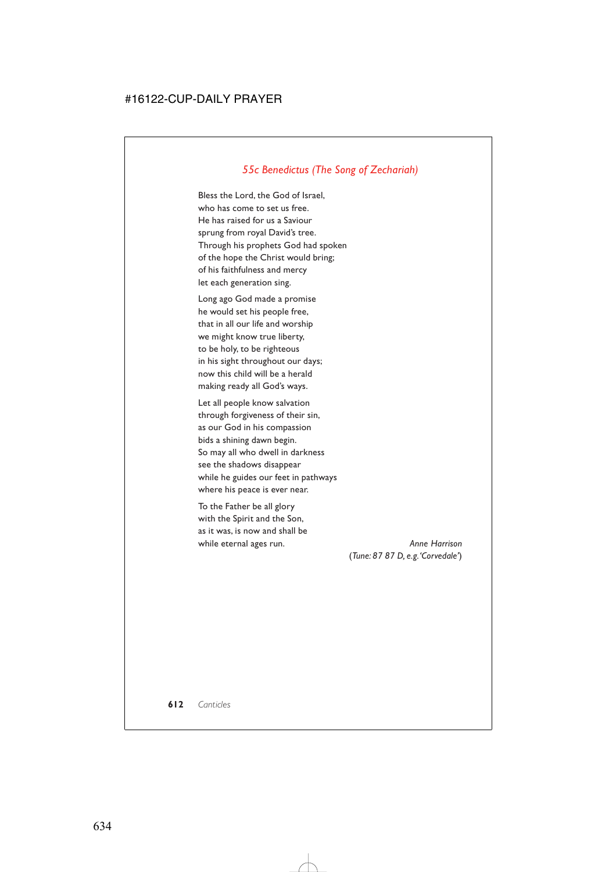## *55c Benedictus (The Song of Zechariah)*

Bless the Lord, the God of Israel, who has come to set us free. He has raised for us a Saviour sprung from royal David's tree. Through his prophets God had spoken of the hope the Christ would bring; of his faithfulness and mercy let each generation sing.

Long ago God made a promise he would set his people free, that in all our life and worship we might know true liberty, to be holy, to be righteous in his sight throughout our days; now this child will be a herald making ready all God's ways.

Let all people know salvation through forgiveness of their sin, as our God in his compassion bids a shining dawn begin. So may all who dwell in darkness see the shadows disappear while he guides our feet in pathways where his peace is ever near.

To the Father be all glory with the Spirit and the Son, as it was, is now and shall be while eternal ages run. **Anne Harrison** 

(*Tune: 87 87 D, e.g.'Corvedale'*)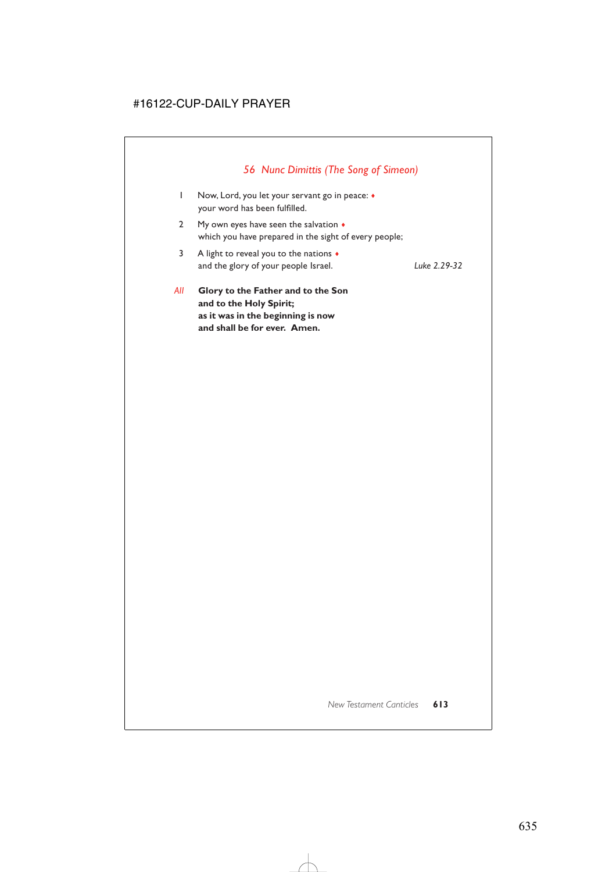# *56 Nunc Dimittis (The Song of Simeon)*

| w            | Glory to the Father and to the Son                                                                     |              |
|--------------|--------------------------------------------------------------------------------------------------------|--------------|
| 3            | A light to reveal you to the nations $\bullet$<br>and the glory of your people Israel.                 | Luke 2.29-32 |
| $\mathbf{2}$ | My own eyes have seen the salvation $\bullet$<br>which you have prepared in the sight of every people; |              |
|              | Now, Lord, you let your servant go in peace: •<br>your word has been fulfilled.                        |              |

*All* **Glory to the Father and to the Son and to the Holy Spirit; as it was in the beginning is now and shall be for ever. Amen.**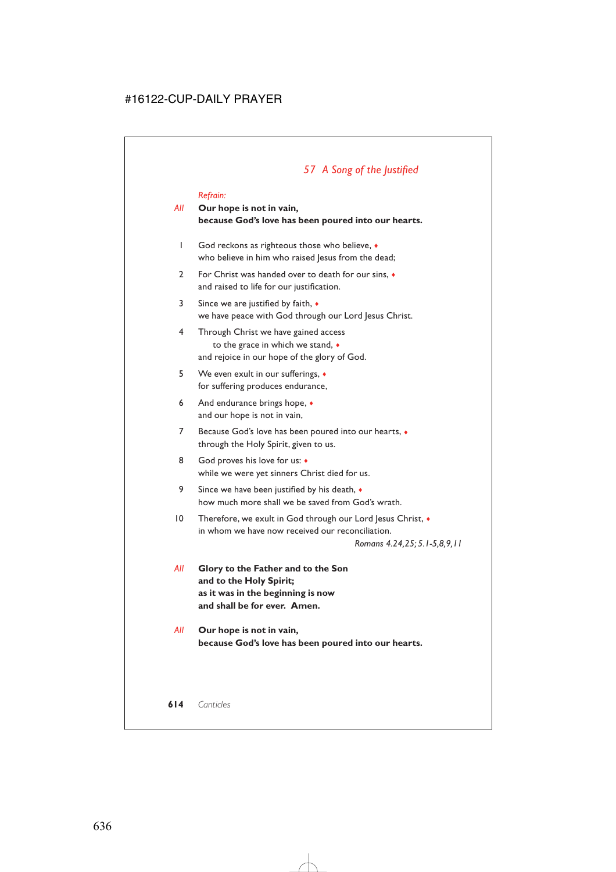## *All* **Our hope is not in vain, because God's love has been poured into our hearts.**

- 1 God reckons as righteous those who believe, ♦ who believe in him who raised Jesus from the dead;
- 2 For Christ was handed over to death for our sins, ♦ and raised to life for our justification.
- 3 Since we are justified by faith, ♦ we have peace with God through our Lord Jesus Christ.
- 4 Through Christ we have gained access to the grace in which we stand, ♦ and rejoice in our hope of the glory of God.
- 5 We even exult in our sufferings, ♦ for suffering produces endurance,
- 6 And endurance brings hope,  $\bullet$ and our hope is not in vain,
- 7 Because God's love has been poured into our hearts, ♦ through the Holy Spirit, given to us.
- 8 God proves his love for us:  $\bullet$ while we were yet sinners Christ died for us.
- 9 Since we have been justified by his death,  $\bullet$ how much more shall we be saved from God's wrath.
- 10 Therefore, we exult in God through our Lord Jesus Christ,  $\bullet$ in whom we have now received our reconciliation.

*Romans 4.24,25; 5.1-5,8,9,11*

- *All* **Glory to the Father and to the Son and to the Holy Spirit; as it was in the beginning is now and shall be for ever. Amen.**
- *All* **Our hope is not in vain, because God's love has been poured into our hearts.**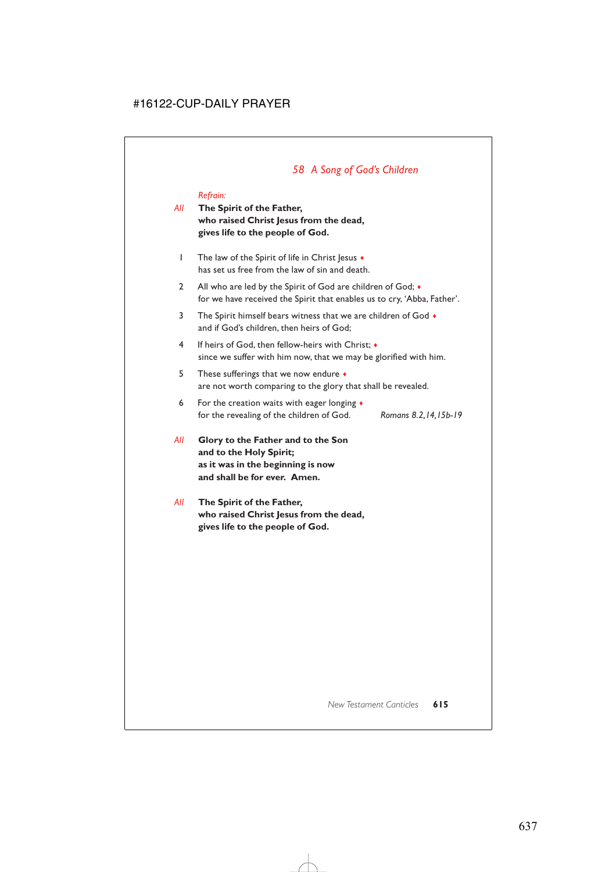# *58 A Song of God's Children*

## *Refrain:*

- *All* **The Spirit of the Father, who raised Christ Jesus from the dead, gives life to the people of God.**
	- 1 The law of the Spirit of life in Christ Jesus  $\bullet$ has set us free from the law of sin and death.
	- 2 All who are led by the Spirit of God are children of God;  $\bullet$ for we have received the Spirit that enables us to cry, 'Abba, Father'.
	- 3 The Spirit himself bears witness that we are children of God  $\bullet$ and if God's children, then heirs of God;
	- 4 If heirs of God, then fellow-heirs with Christ; ♦ since we suffer with him now, that we may be glorified with him.
	- 5 These sufferings that we now endure ♦ are not worth comparing to the glory that shall be revealed.
	- 6 For the creation waits with eager longing ♦ for the revealing of the children of God. *Romans 8.2,14,15b-19*
		-
- *All* **Glory to the Father and to the Son and to the Holy Spirit; as it was in the beginning is now and shall be for ever. Amen.**
- *All* **The Spirit of the Father, who raised Christ Jesus from the dead, gives life to the people of God.**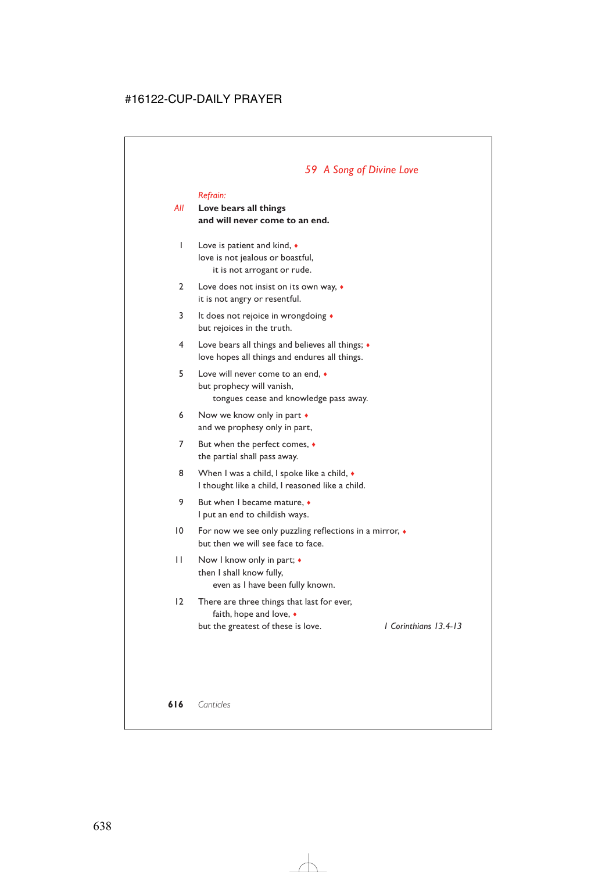## *59 A Song of Divine Love*

#### *Refrain:*

## *All* **Love bears all things and will never come to an end.**

- 1 Love is patient and kind, ♦ love is not jealous or boastful, it is not arrogant or rude.
- 2 Love does not insist on its own way, ♦ it is not angry or resentful.
- 3 It does not rejoice in wrongdoing  $\triangleleft$ but rejoices in the truth.
- 4 Love bears all things and believes all things; ♦ love hopes all things and endures all things.
- 5 Love will never come to an end, ♦ but prophecy will vanish, tongues cease and knowledge pass away.
- 6 Now we know only in part ♦ and we prophesy only in part,
- 7 But when the perfect comes, ♦ the partial shall pass away.
- 8 When I was a child, I spoke like a child,  $\bullet$ I thought like a child, I reasoned like a child.
- 9 But when I became mature,  $\bullet$ I put an end to childish ways.
- 10 For now we see only puzzling reflections in a mirror, ♦ but then we will see face to face.
- 11 Now I know only in part;  $\bullet$ then I shall know fully, even as I have been fully known.

## 12 There are three things that last for ever, faith, hope and love, ♦ but the greatest of these is love. *1 Corinthians 13.4-13*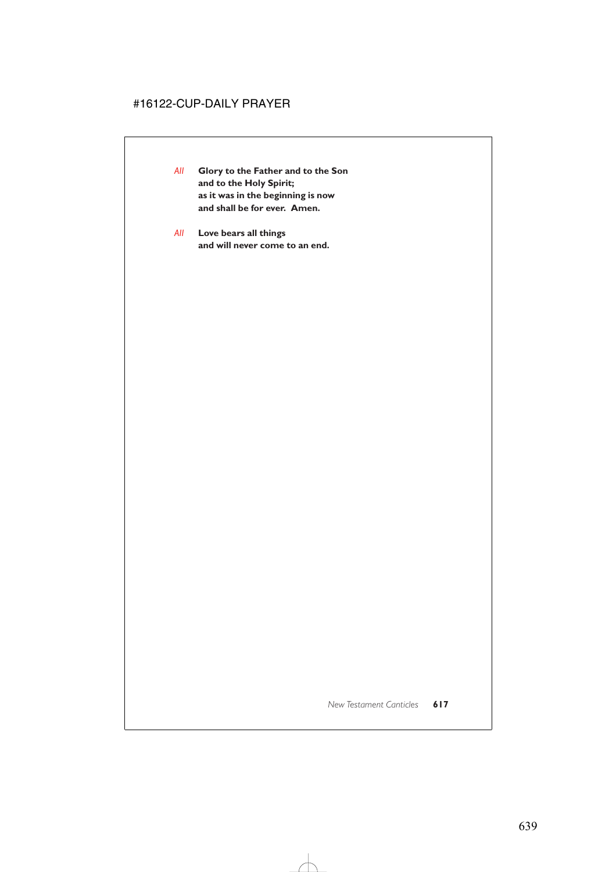- *All* **Glory to the Father and to the Son and to the Holy Spirit; as it was in the beginning is now and shall be for ever. Amen.**
- *All* **Love bears all things and will never come to an end.**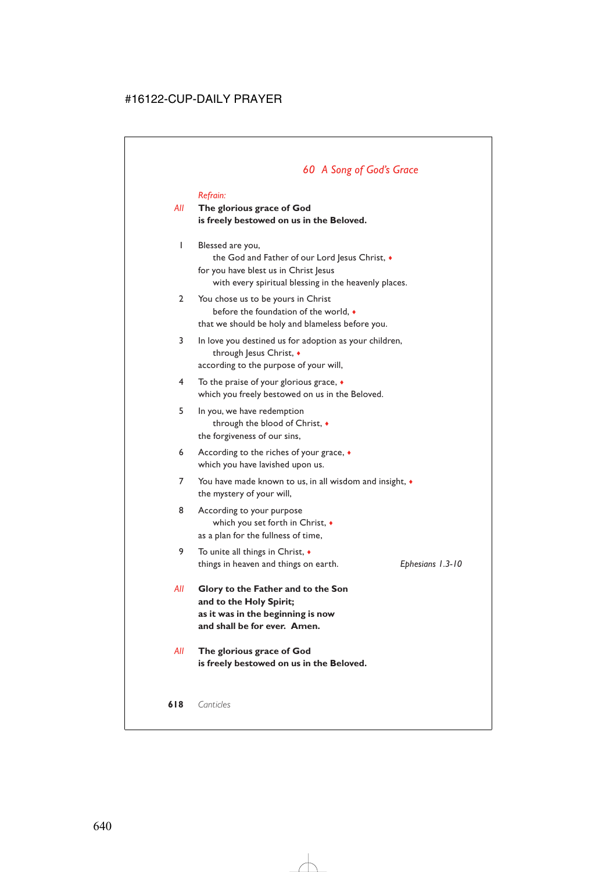## *60 A Song of God's Grace*

#### *Refrain:*

## *All* **The glorious grace of God is freely bestowed on us in the Beloved.**

- 1 Blessed are you, the God and Father of our Lord Jesus Christ,  $\bullet$ for you have blest us in Christ Jesus with every spiritual blessing in the heavenly places.
- 2 You chose us to be yours in Christ before the foundation of the world, ♦ that we should be holy and blameless before you.
- 3 In love you destined us for adoption as your children, through Jesus Christ,  $\bullet$ according to the purpose of your will,
- 4 To the praise of your glorious grace, ♦ which you freely bestowed on us in the Beloved.
- 5 In you, we have redemption through the blood of Christ, ♦ the forgiveness of our sins,
- 6 According to the riches of your grace, ♦ which you have lavished upon us.
- 7 You have made known to us, in all wisdom and insight, ♦ the mystery of your will,
- 8 According to your purpose which you set forth in Christ, ♦ as a plan for the fullness of time,
- 9 To unite all things in Christ, ♦ things in heaven and things on earth. *Ephesians 1.3-10*
- *All* **Glory to the Father and to the Son and to the Holy Spirit; as it was in the beginning is now and shall be for ever. Amen.**
- *All* **The glorious grace of God is freely bestowed on us in the Beloved.**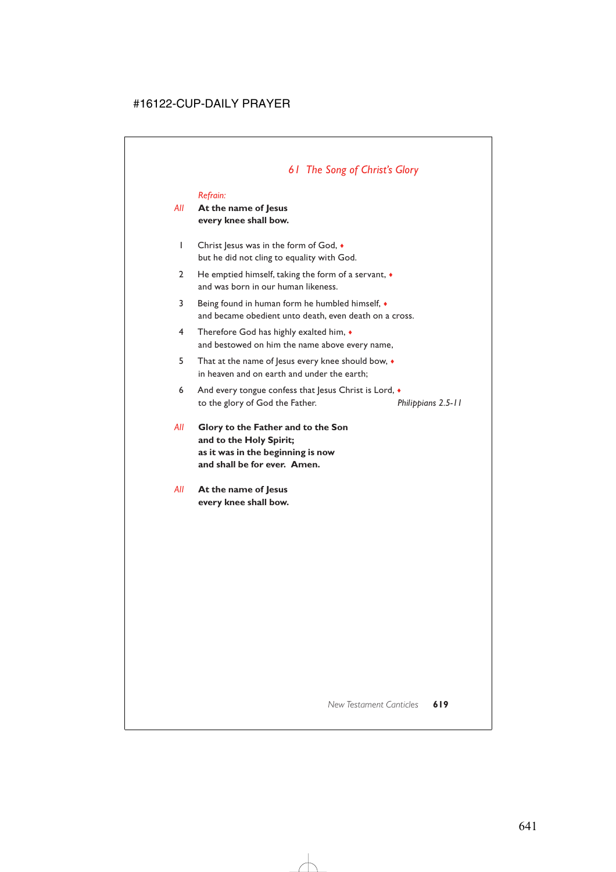# *61 The Song of Christ's Glory*

#### *Refrain:*

### *All* **At the name of Jesus every knee shall bow.**

- 1 Christ Jesus was in the form of God,  $\bullet$ but he did not cling to equality with God.
- 2 He emptied himself, taking the form of a servant,  $\bullet$ and was born in our human likeness.
- 3 Being found in human form he humbled himself, ♦ and became obedient unto death, even death on a cross.
- 4 Therefore God has highly exalted him, ♦ and bestowed on him the name above every name,
- 5 That at the name of Jesus every knee should bow,  $\bullet$ in heaven and on earth and under the earth;
- 6 And every tongue confess that Jesus Christ is Lord,  $\bullet$ to the glory of God the Father. *Philippians 2.5-11*
- *All* **Glory to the Father and to the Son and to the Holy Spirit; as it was in the beginning is now and shall be for ever. Amen.**
- *All* **At the name of Jesus every knee shall bow.**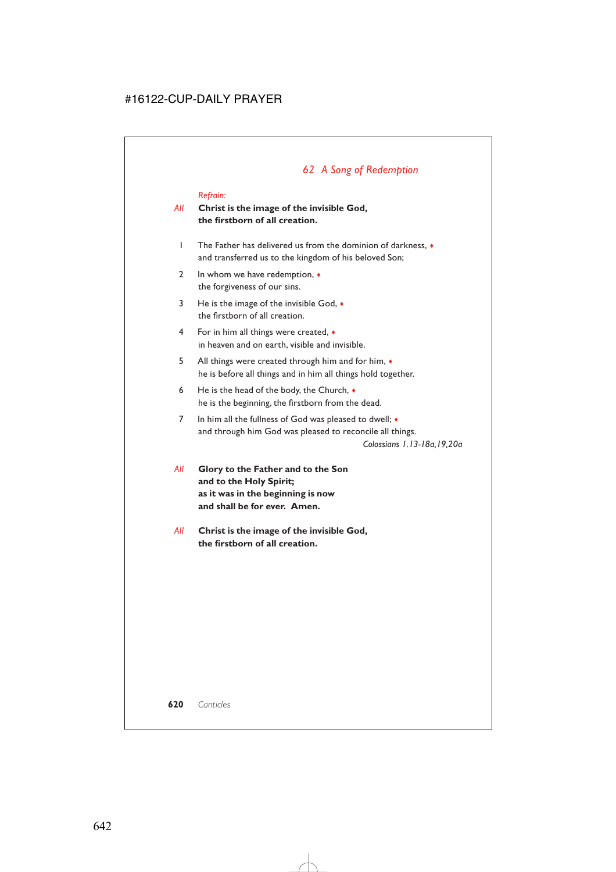# *62 A Song of Redemption*

#### *Refrain:*

### *All* **Christ is the image of the invisible God, the firstborn of all creation.**

- 1 The Father has delivered us from the dominion of darkness, ♦ and transferred us to the kingdom of his beloved Son;
- 2 In whom we have redemption,  $\triangleleft$ the forgiveness of our sins.
- 3 He is the image of the invisible God, ♦ the firstborn of all creation.
- 4 For in him all things were created, ♦ in heaven and on earth, visible and invisible.
- 5 All things were created through him and for him, ♦ he is before all things and in him all things hold together.
- 6 He is the head of the body, the Church,  $\bullet$ he is the beginning, the firstborn from the dead.
- 7 In him all the fullness of God was pleased to dwell; ♦ and through him God was pleased to reconcile all things.

*Colossians 1.13-18a,19,20a*

- *All* **Glory to the Father and to the Son and to the Holy Spirit; as it was in the beginning is now and shall be for ever. Amen.**
- *All* **Christ is the image of the invisible God, the firstborn of all creation.**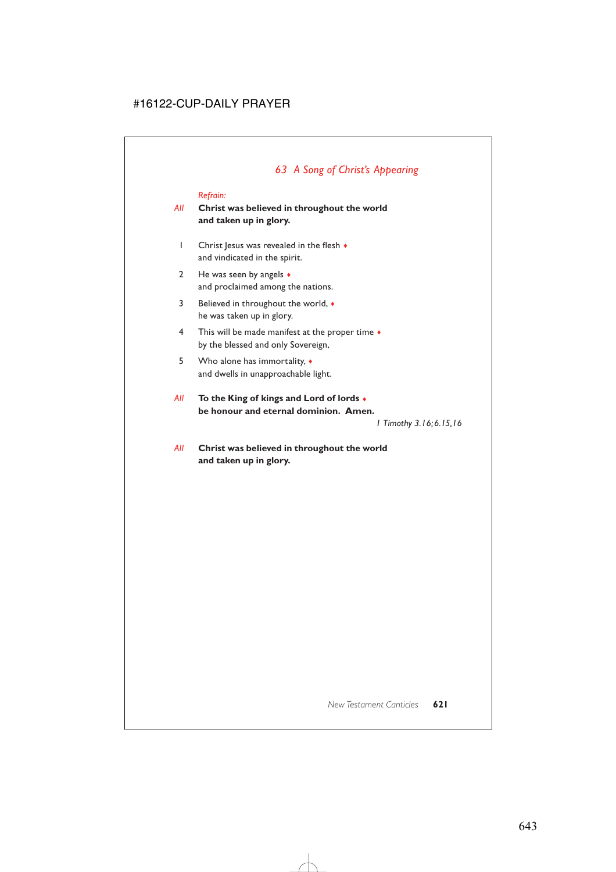### *Refrain:*

### *All* **Christ was believed in throughout the world and taken up in glory.**

- 1 Christ Jesus was revealed in the flesh  $\bullet$ and vindicated in the spirit.
- 2 He was seen by angels  $\bullet$ and proclaimed among the nations.
- 3 Believed in throughout the world, ♦ he was taken up in glory.
- 4 This will be made manifest at the proper time  $\bullet$ by the blessed and only Sovereign,
- 5 Who alone has immortality, ♦ and dwells in unapproachable light.
- *All* **To the King of kings and Lord of lords** ♦ **be honour and eternal dominion. Amen.**

*1 Timothy 3.16;6.15,16* 

*All* **Christ was believed in throughout the world and taken up in glory.**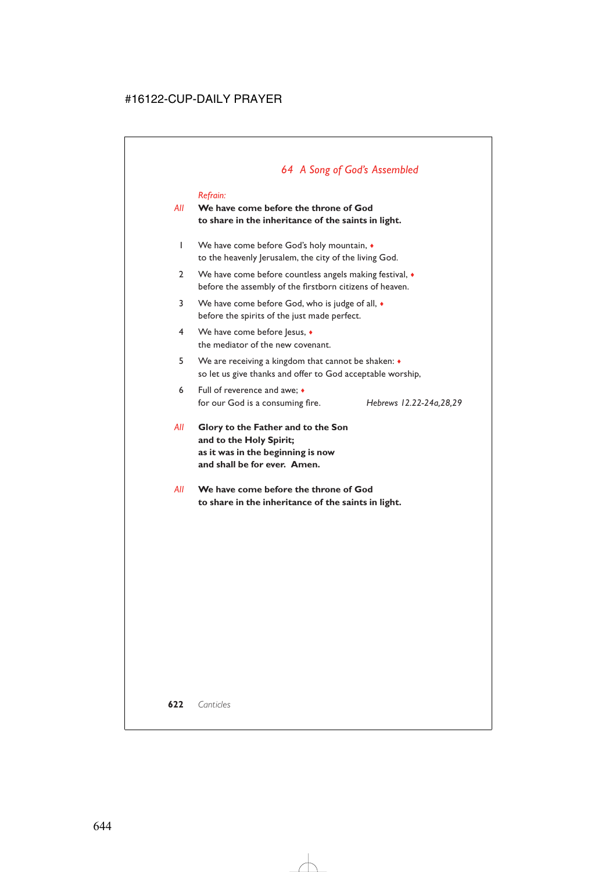# *64 A Song of God's Assembled*

#### *Refrain:*

### *All* **We have come before the throne of God to share in the inheritance of the saints in light.**

- 1 We have come before God's holy mountain,  $\bullet$ to the heavenly Jerusalem, the city of the living God.
- 2 We have come before countless angels making festival,  $\bullet$ before the assembly of the firstborn citizens of heaven.
- 3 We have come before God, who is judge of all,  $\bullet$ before the spirits of the just made perfect.
- 4 We have come before Jesus, ♦ the mediator of the new covenant.
- 5 We are receiving a kingdom that cannot be shaken: ♦ so let us give thanks and offer to God acceptable worship,
- 6 Full of reverence and awe; ♦ for our God is a consuming fire. *Hebrews 12.22-24a,28,29*

- *All* **Glory to the Father and to the Son and to the Holy Spirit; as it was in the beginning is now and shall be for ever. Amen.**
- *All* **We have come before the throne of God to share in the inheritance of the saints in light.**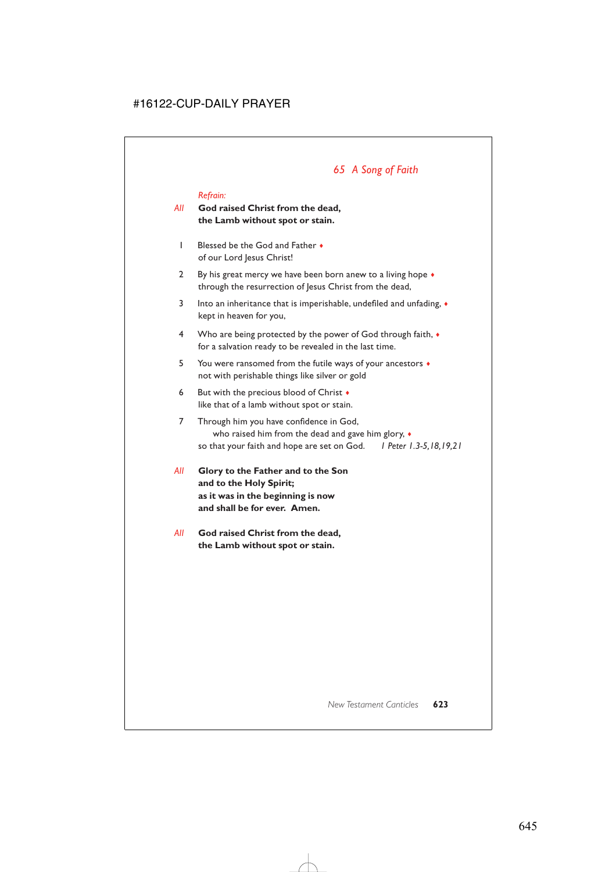# *65 A Song of Faith*

### *Refrain:*

### *All* **God raised Christ from the dead, the Lamb without spot or stain.**

- 1 Blessed be the God and Father ♦ of our Lord Jesus Christ!
- 2 By his great mercy we have been born anew to a living hope  $\bullet$ through the resurrection of Jesus Christ from the dead,
- 3 Into an inheritance that is imperishable, undefiled and unfading,  $\bullet$ kept in heaven for you,
- 4 Who are being protected by the power of God through faith,  $\bullet$ for a salvation ready to be revealed in the last time.
- 5 You were ransomed from the futile ways of your ancestors ♦ not with perishable things like silver or gold
- 6 But with the precious blood of Christ  $\bullet$ like that of a lamb without spot or stain.
- 7 Through him you have confidence in God, who raised him from the dead and gave him glory, ♦ so that your faith and hope are set on God. *1 Peter 1.3-5,18,19,21*
- *All* **Glory to the Father and to the Son and to the Holy Spirit; as it was in the beginning is now and shall be for ever. Amen.**
- *All* **God raised Christ from the dead, the Lamb without spot or stain.**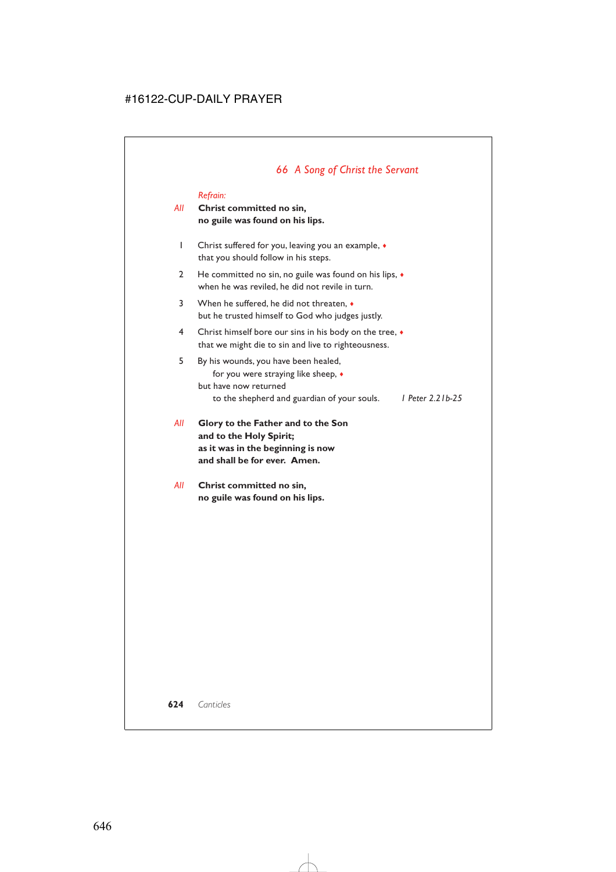# *66 A Song of Christ the Servant*

### *Refrain:*

### *All* **Christ committed no sin, no guile was found on his lips.**

- 1 Christ suffered for you, leaving you an example, ♦ that you should follow in his steps.
- 2 He committed no sin, no guile was found on his lips, ♦ when he was reviled, he did not revile in turn.
- 3 When he suffered, he did not threaten, ♦ but he trusted himself to God who judges justly.
- 4 Christ himself bore our sins in his body on the tree, ♦ that we might die to sin and live to righteousness.
- 5 By his wounds, you have been healed, for you were straying like sheep, ♦ but have now returned to the shepherd and guardian of your souls. *1 Peter 2.21b-25*
- *All* **Glory to the Father and to the Son and to the Holy Spirit; as it was in the beginning is now and shall be for ever. Amen.**
- *All* **Christ committed no sin, no guile was found on his lips.**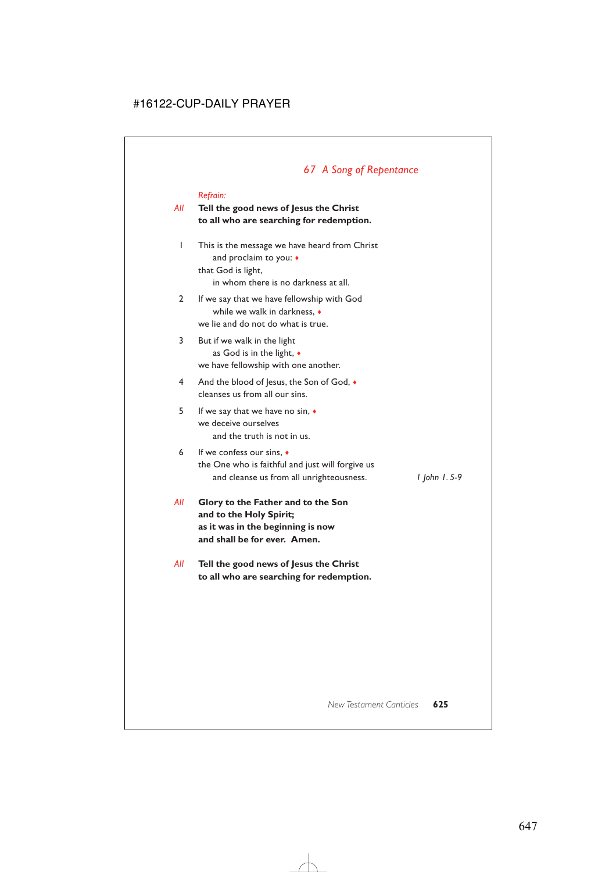# *67 A Song of Repentance*

#### *Refrain:*

### *All* **Tell the good news of Jesus the Christ to all who are searching for redemption.**

- 1 This is the message we have heard from Christ and proclaim to you: ♦ that God is light, in whom there is no darkness at all.
- 2 If we say that we have fellowship with God while we walk in darkness, ♦ we lie and do not do what is true.
- 3 But if we walk in the light as God is in the light, ♦ we have fellowship with one another.
- 4 And the blood of Jesus, the Son of God,  $\bullet$ cleanses us from all our sins.
- 5 If we say that we have no sin, ♦ we deceive ourselves and the truth is not in us.
- 6 If we confess our sins, ♦ the One who is faithful and just will forgive us and cleanse us from all unrighteousness. *1 John 1. 5-9*

- *All* **Glory to the Father and to the Son and to the Holy Spirit; as it was in the beginning is now and shall be for ever. Amen.**
- *All* **Tell the good news of Jesus the Christ to all who are searching for redemption.**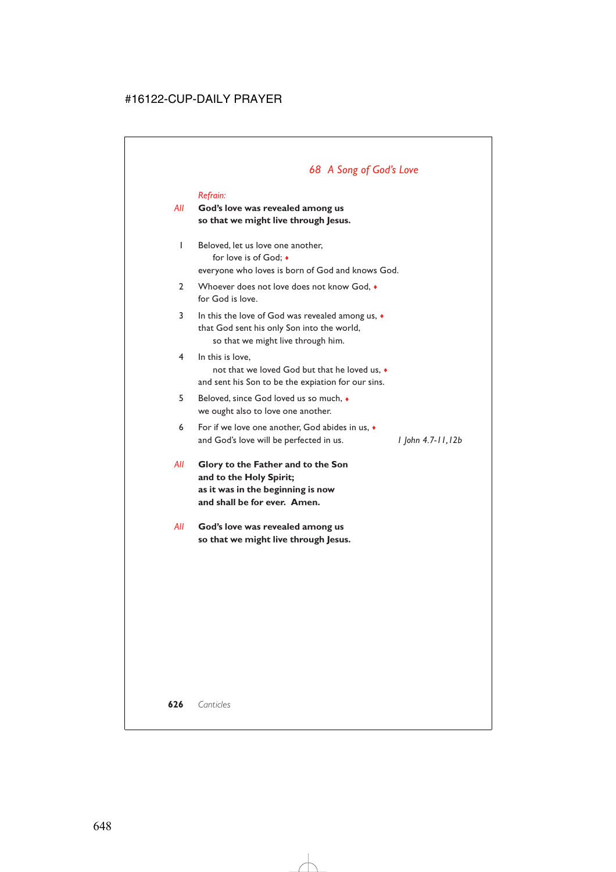## *68 A Song of God's Love*

#### *Refrain:*

### *All* **God's love was revealed among us so that we might live through Jesus.**

- 1 Beloved, let us love one another, for love is of God; ♦ everyone who loves is born of God and knows God.
- 2 Whoever does not love does not know God,  $\bullet$ for God is love.
- 3 In this the love of God was revealed among us,  $\bullet$ that God sent his only Son into the world, so that we might live through him.
- 4 In this is love, not that we loved God but that he loved us, ♦ and sent his Son to be the expiation for our sins.
- 5 Beloved, since God loved us so much, ♦ we ought also to love one another.
- 6 For if we love one another, God abides in us, ♦ and God's love will be perfected in us. *1 John 4.7-11,12b*

- *All* **Glory to the Father and to the Son and to the Holy Spirit; as it was in the beginning is now and shall be for ever. Amen.**
- *All* **God's love was revealed among us so that we might live through Jesus.**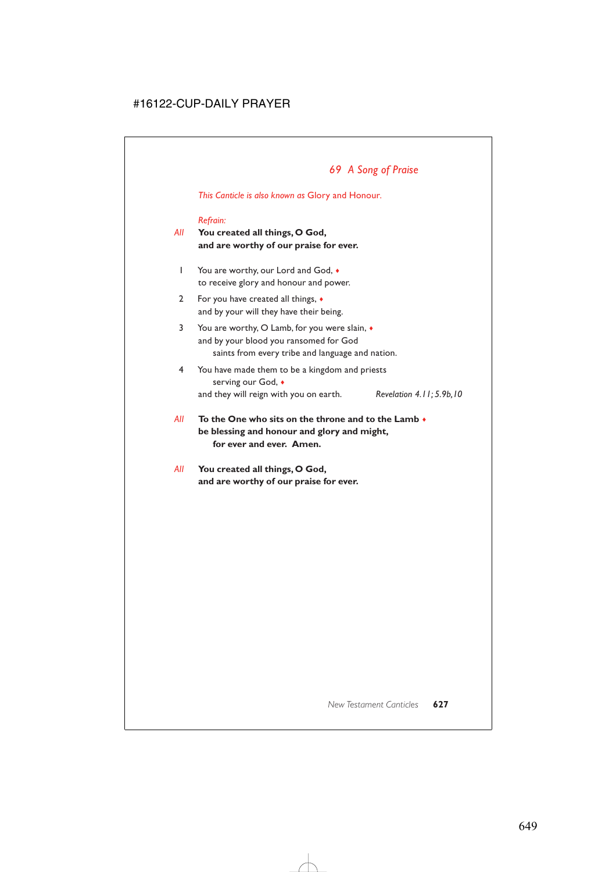*This Canticle is also known as* Glory and Honour*.*

#### *Refrain:*

- *All* **You created all things, O God, and are worthy of our praise for ever.**
	- 1 You are worthy, our Lord and God,  $\bullet$ to receive glory and honour and power.
	- 2 For you have created all things, ♦ and by your will they have their being.
	- 3 You are worthy, O Lamb, for you were slain, ♦ and by your blood you ransomed for God saints from every tribe and language and nation.
	- 4 You have made them to be a kingdom and priests serving our God, ♦ and they will reign with you on earth. *Revelation 4.11; 5.9b,10*
- *All* **To the One who sits on the throne and to the Lamb** ♦ **be blessing and honour and glory and might, for ever and ever. Amen.**
- *All* **You created all things, O God, and are worthy of our praise for ever.**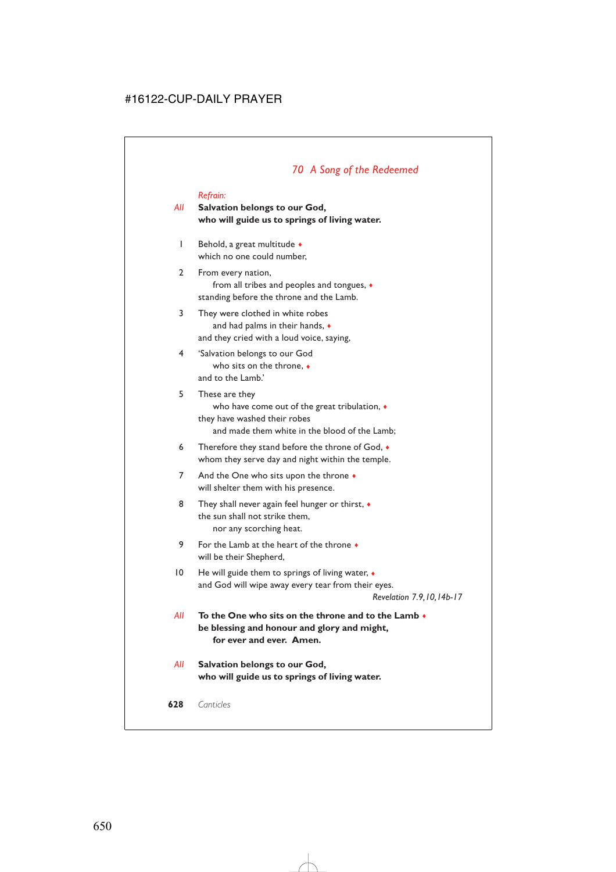## *70 A Song of the Redeemed*

#### *Refrain:*

### *All* **Salvation belongs to our God, who will guide us to springs of living water.**

- 1 Behold, a great multitude ♦ which no one could number,
- 2 From every nation, from all tribes and peoples and tongues, ♦ standing before the throne and the Lamb.
- 3 They were clothed in white robes and had palms in their hands, ♦ and they cried with a loud voice, saying,
- 4 'Salvation belongs to our God who sits on the throne, ♦ and to the Lamb.'
- 5 These are they who have come out of the great tribulation, ♦ they have washed their robes and made them white in the blood of the Lamb;
- 6 Therefore they stand before the throne of God, ♦ whom they serve day and night within the temple.
- 7 And the One who sits upon the throne  $\bullet$ will shelter them with his presence.
- 8 They shall never again feel hunger or thirst,  $\bullet$ the sun shall not strike them, nor any scorching heat.
- 9 For the Lamb at the heart of the throne ♦ will be their Shepherd,
- 10 He will guide them to springs of living water,  $\bullet$ and God will wipe away every tear from their eyes.

*Revelation 7.9,10,14b-17*

- *All* **To the One who sits on the throne and to the Lamb** ♦ **be blessing and honour and glory and might, for ever and ever. Amen.**
- *All* **Salvation belongs to our God, who will guide us to springs of living water.**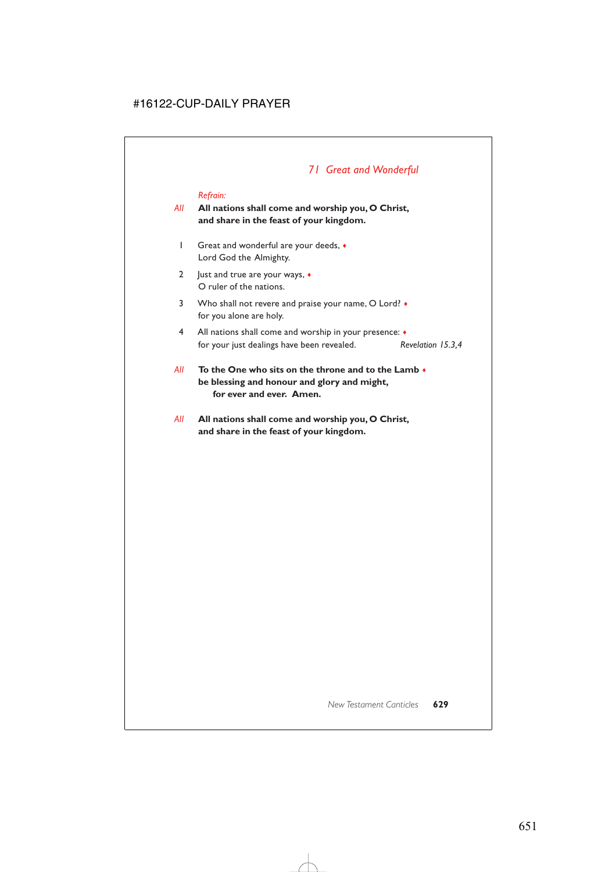## *71 Great and Wonderful*

#### *Refrain:*

### *All* **All nations shall come and worship you, O Christ, and share in the feast of your kingdom.**

- 1 Great and wonderful are your deeds, ♦ Lord God the Almighty.
- 2 Just and true are your ways, ♦ O ruler of the nations.
- 3 Who shall not revere and praise your name, O Lord?  $\bullet$ for you alone are holy.
- 4 All nations shall come and worship in your presence: ♦ for your just dealings have been revealed. *Revelation 15.3,4*
- *All* **To the One who sits on the throne and to the Lamb** ♦ **be blessing and honour and glory and might, for ever and ever. Amen.**
- *All* **All nations shall come and worship you, O Christ, and share in the feast of your kingdom.**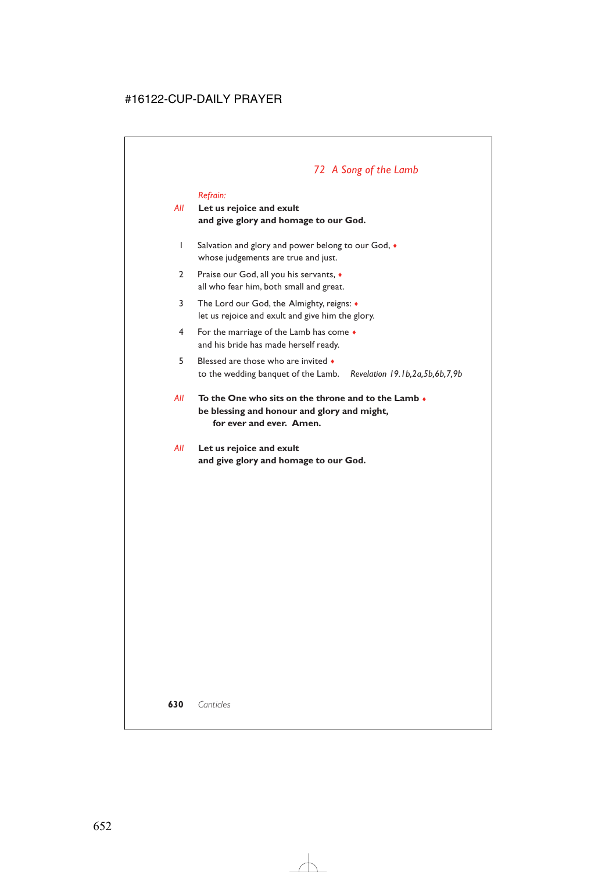# *72 A Song of the Lamb*

#### *Refrain:*

### *All* **Let us rejoice and exult and give glory and homage to our God.**

- 1 Salvation and glory and power belong to our God, ♦ whose judgements are true and just.
- 2 Praise our God, all you his servants, ♦ all who fear him, both small and great.
- 3 The Lord our God, the Almighty, reigns: ♦ let us rejoice and exult and give him the glory.
- 4 For the marriage of the Lamb has come ♦ and his bride has made herself ready.
- 5 Blessed are those who are invited  $\bullet$ to the wedding banquet of the Lamb. *Revelation 19.1b,2a,5b,6b,7,9b*
- *All* **To the One who sits on the throne and to the Lamb** ♦ **be blessing and honour and glory and might, for ever and ever. Amen.**
- *All* **Let us rejoice and exult and give glory and homage to our God.**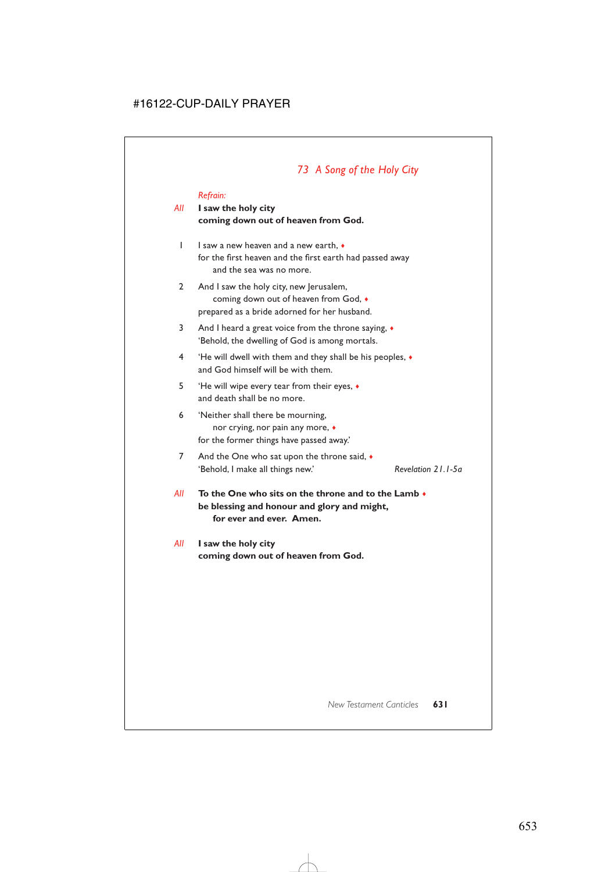# *73 A Song of the Holy City*

#### *Refrain:*

### *All* **I saw the holy city coming down out of heaven from God.**

- 1 I saw a new heaven and a new earth, ♦ for the first heaven and the first earth had passed away and the sea was no more.
- 2 And I saw the holy city, new Jerusalem, coming down out of heaven from God, ♦ prepared as a bride adorned for her husband.
- 3 And I heard a great voice from the throne saying, ♦ 'Behold, the dwelling of God is among mortals.
- 4 'He will dwell with them and they shall be his peoples, ♦ and God himself will be with them.
- 5 'He will wipe every tear from their eyes, ♦ and death shall be no more.
- 6 'Neither shall there be mourning, nor crying, nor pain any more, ♦ for the former things have passed away.'
- 7 And the One who sat upon the throne said,  $\bullet$ 'Behold, I make all things new.' *Revelation 21.1-5a*
- *All* **To the One who sits on the throne and to the Lamb** ♦ **be blessing and honour and glory and might, for ever and ever. Amen.**

### *All* **I saw the holy city coming down out of heaven from God.**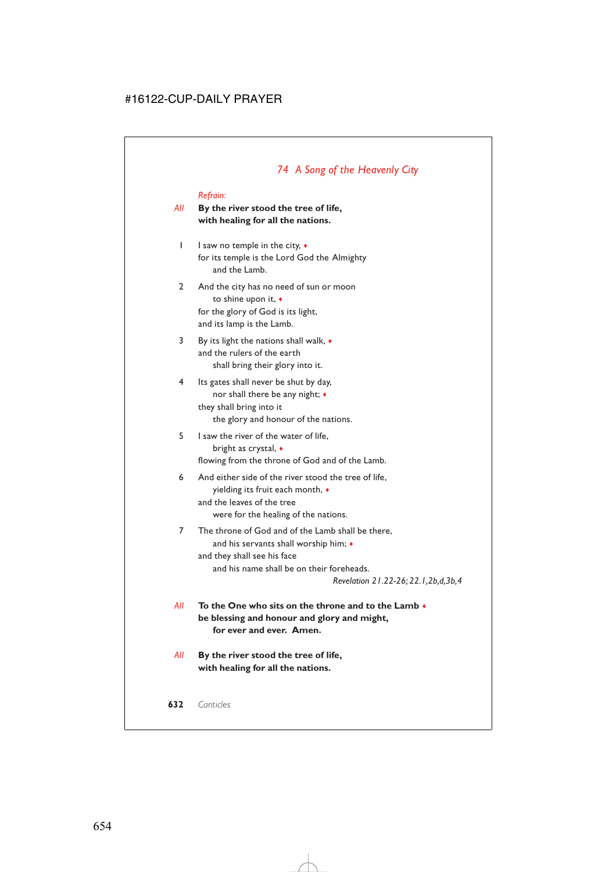# *74 A Song of the Heavenly City*

#### *Refrain:*

### *All* **By the river stood the tree of life, with healing for all the nations.**

- 1 I saw no temple in the city, ♦ for its temple is the Lord God the Almighty and the Lamb.
- 2 And the city has no need of sun or moon to shine upon it, ♦ for the glory of God is its light, and its lamp is the Lamb.
- 3 By its light the nations shall walk, ♦ and the rulers of the earth shall bring their glory into it.
- 4 Its gates shall never be shut by day, nor shall there be any night; ♦ they shall bring into it the glory and honour of the nations.
- 5 I saw the river of the water of life, bright as crystal, ♦ flowing from the throne of God and of the Lamb.
- 6 And either side of the river stood the tree of life, yielding its fruit each month, ♦ and the leaves of the tree were for the healing of the nations.
- 7 The throne of God and of the Lamb shall be there, and his servants shall worship him; ♦ and they shall see his face and his name shall be on their foreheads.

*Revelation 21.22-26; 22.1,2b,d,3b,4*

- *All* **To the One who sits on the throne and to the Lamb** ♦ **be blessing and honour and glory and might, for ever and ever. Amen.**
- *All* **By the river stood the tree of life, with healing for all the nations.**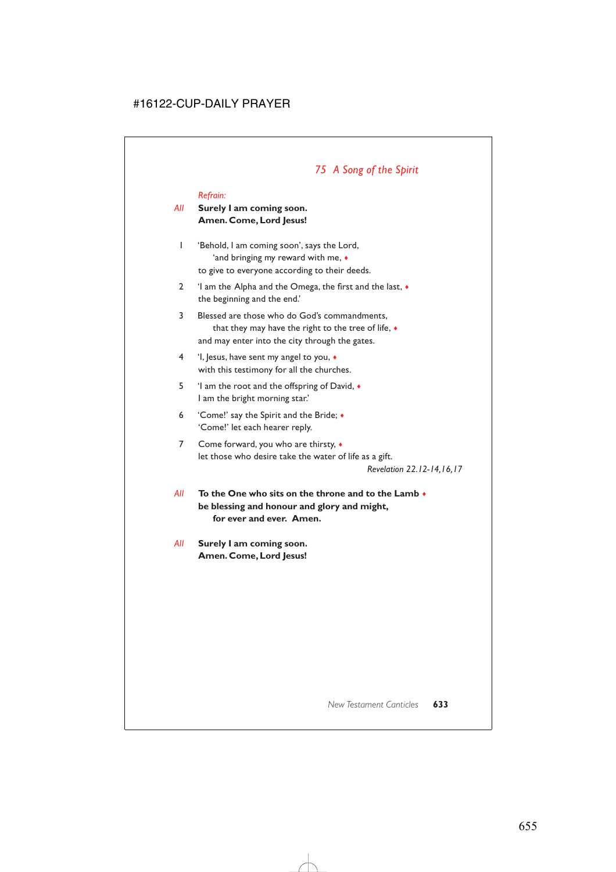# *75 A Song of the Spirit*

#### *Refrain:*

### *All* **Surely I am coming soon. Amen. Come, Lord Jesus!**

- 1 'Behold, I am coming soon', says the Lord, 'and bringing my reward with me, ♦ to give to everyone according to their deeds.
- 2 'I am the Alpha and the Omega, the first and the last, ♦ the beginning and the end.'
- 3 Blessed are those who do God's commandments, that they may have the right to the tree of life, ♦ and may enter into the city through the gates.
- 4 'I, Jesus, have sent my angel to you, ♦ with this testimony for all the churches.
- 5 'I am the root and the offspring of David, ♦ I am the bright morning star.'
- 6 'Come!' say the Spirit and the Bride; ♦ 'Come!' let each hearer reply.
- 7 Come forward, you who are thirsty,  $\bullet$ let those who desire take the water of life as a gift.

*Revelation 22.12-14,16,17*

- *All* **To the One who sits on the throne and to the Lamb** ♦ **be blessing and honour and glory and might, for ever and ever. Amen.**
- *All* **Surely I am coming soon. Amen. Come, Lord Jesus!**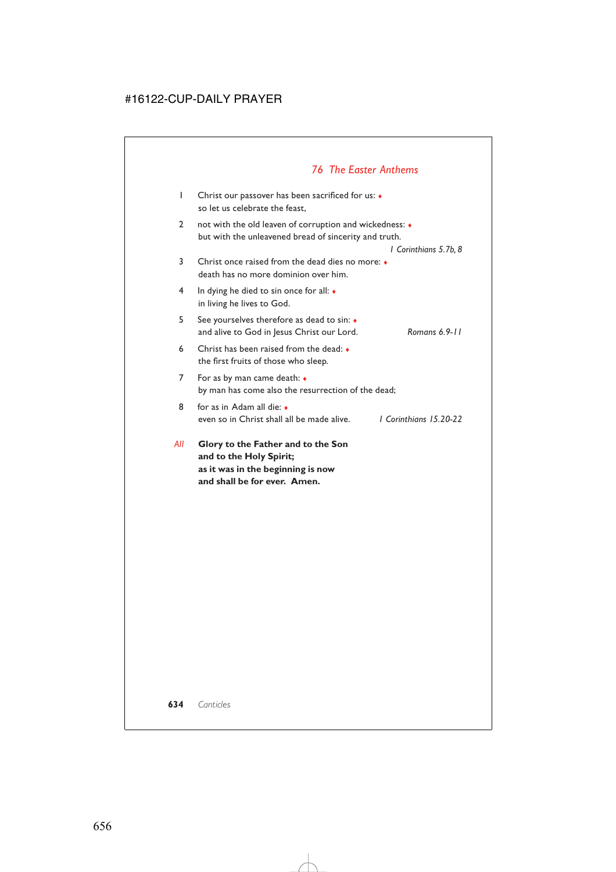# *76 The Easter Anthems*

| I   | Christ our passover has been sacrificed for us: $\bullet$<br>so let us celebrate the feast,                              |
|-----|--------------------------------------------------------------------------------------------------------------------------|
| 2   | not with the old leaven of corruption and wickedness: $\bullet$<br>but with the unleavened bread of sincerity and truth. |
| 3   | l Corinthians 5.7b, 8<br>Christ once raised from the dead dies no more: •<br>death has no more dominion over him.        |
| 4   | In dying he died to sin once for all: $\bullet$<br>in living he lives to God.                                            |
| 5   | See yourselves therefore as dead to sin: $\bullet$<br>Romans 6.9-11<br>and alive to God in Jesus Christ our Lord.        |
| 6   | Christ has been raised from the dead: $\bullet$<br>the first fruits of those who sleep.                                  |
| 7   | For as by man came death: $\bullet$<br>by man has come also the resurrection of the dead;                                |
| 8   | for as in Adam all die: $\bullet$<br>1 Corinthians 15.20-22<br>even so in Christ shall all be made alive.                |
| AII | Glory to the Father and to the Son<br>and to the Holy Spirit;<br>as it was in the beginning is now                       |

**and shall be for ever. Amen.**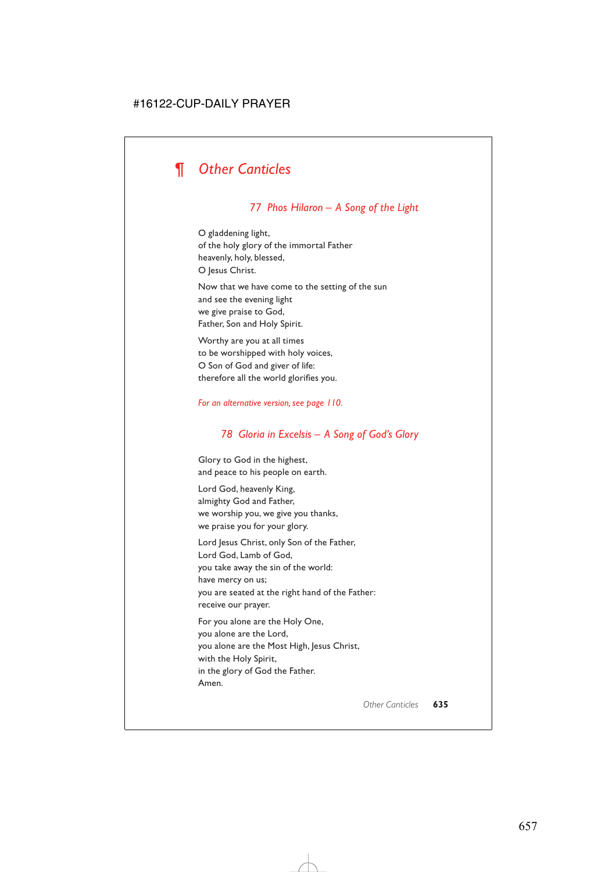## *77 Phos Hilaron – A Song of the Light*

O gladdening light, of the holy glory of the immortal Father heavenly, holy, blessed, O Jesus Christ.

Now that we have come to the setting of the sun and see the evening light we give praise to God, Father, Son and Holy Spirit.

Worthy are you at all times to be worshipped with holy voices, O Son of God and giver of life: therefore all the world glorifies you.

#### *For an alternative version, see page 110.*

### *78 Gloria in Excelsis – A Song of God's Glory*

Glory to God in the highest, and peace to his people on earth.

Lord God, heavenly King, almighty God and Father, we worship you, we give you thanks, we praise you for your glory.

Lord Jesus Christ, only Son of the Father, Lord God, Lamb of God, you take away the sin of the world: have mercy on us; you are seated at the right hand of the Father: receive our prayer.

For you alone are the Holy One, you alone are the Lord, you alone are the Most High, Jesus Christ, with the Holy Spirit, in the glory of God the Father. Amen.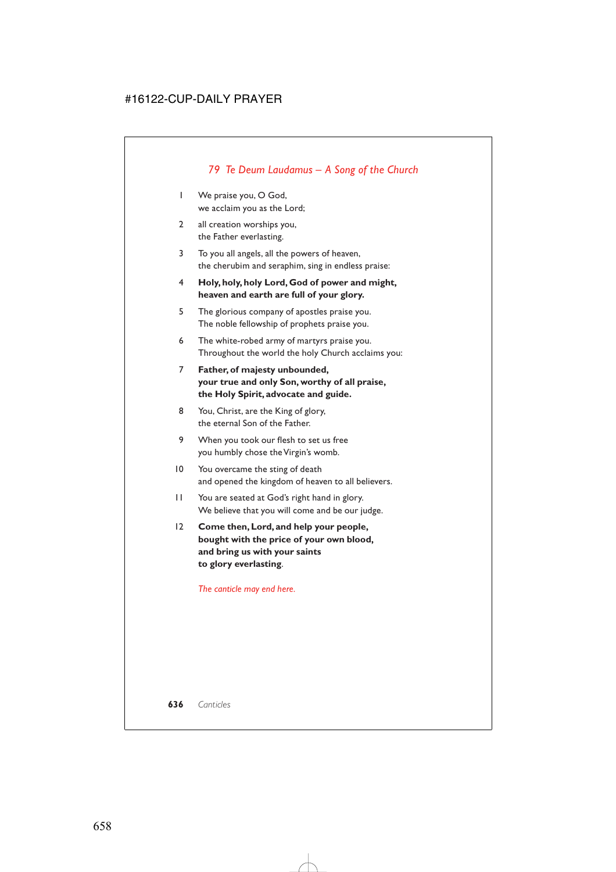# *79 Te Deum Laudamus – A Song of the Church*

- 1 We praise you, O God, we acclaim you as the Lord;
- 2 all creation worships you, the Father everlasting.
- 3 To you all angels, all the powers of heaven, the cherubim and seraphim, sing in endless praise:
- 4 **Holy, holy, holy Lord, God of power and might, heaven and earth are full of your glory.**
- 5 The glorious company of apostles praise you. The noble fellowship of prophets praise you.
- 6 The white-robed army of martyrs praise you. Throughout the world the holy Church acclaims you:
- 7 **Father, of majesty unbounded, your true and only Son, worthy of all praise, the Holy Spirit, advocate and guide.**
- 8 You, Christ, are the King of glory, the eternal Son of the Father.
- 9 When you took our flesh to set us free you humbly chose the Virgin's womb.
- 10 You overcame the sting of death and opened the kingdom of heaven to all believers.
- 11 You are seated at God's right hand in glory. We believe that you will come and be our judge.
- 12 **Come then, Lord, and help your people, bought with the price of your own blood, and bring us with your saints to glory everlasting**.

*The canticle may end here.*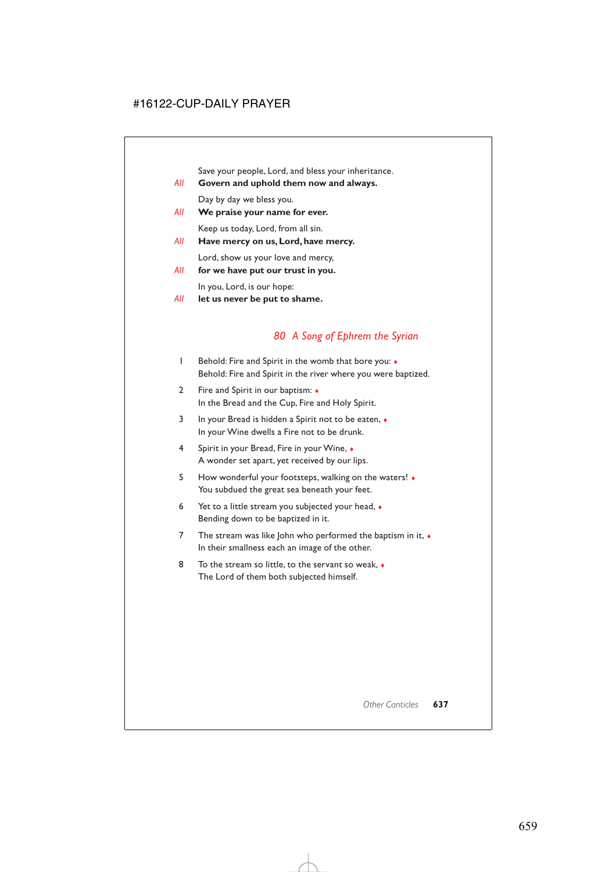Save your people, Lord, and bless your inheritance.

- *All* **Govern and uphold them now and always.**
	- Day by day we bless you.
- *All* **We praise your name for ever.** Keep us today, Lord, from all sin.
- *All* **Have mercy on us, Lord, have mercy.**

Lord, show us your love and mercy,

*All* **for we have put our trust in you.**

In you, Lord, is our hope:

*All* **let us never be put to shame.**

## *80 A Song of Ephrem the Syrian*

- 1 Behold: Fire and Spirit in the womb that bore you: ♦ Behold: Fire and Spirit in the river where you were baptized.
- 2 Fire and Spirit in our baptism: ♦ In the Bread and the Cup, Fire and Holy Spirit.
- 3 In your Bread is hidden a Spirit not to be eaten, ♦ In your Wine dwells a Fire not to be drunk.
- 4 Spirit in your Bread, Fire in your Wine, ♦ A wonder set apart, yet received by our lips.
- 5 How wonderful your footsteps, walking on the waters! ♦ You subdued the great sea beneath your feet.
- 6 Yet to a little stream you subjected your head, ♦ Bending down to be baptized in it.
- 7 The stream was like John who performed the baptism in it,  $\bullet$ In their smallness each an image of the other.
- 8 To the stream so little, to the servant so weak, ♦ The Lord of them both subjected himself.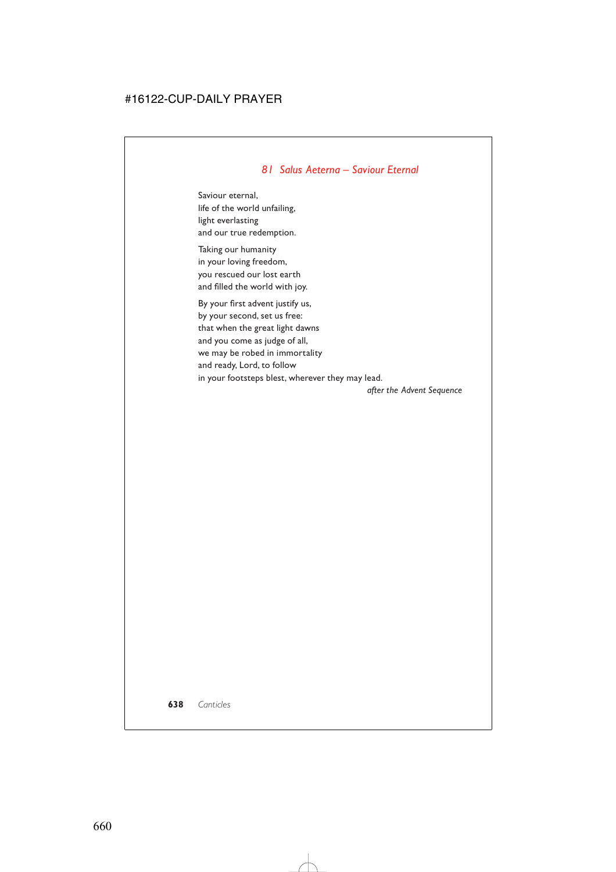## *81 Salus Aeterna – Saviour Eternal*

Saviour eternal, life of the world unfailing, light everlasting and our true redemption.

Taking our humanity in your loving freedom, you rescued our lost earth and filled the world with joy.

By your first advent justify us, by your second, set us free: that when the great light dawns and you come as judge of all, we may be robed in immortality and ready, Lord, to follow in your footsteps blest, wherever they may lead.

*after the Advent Sequence*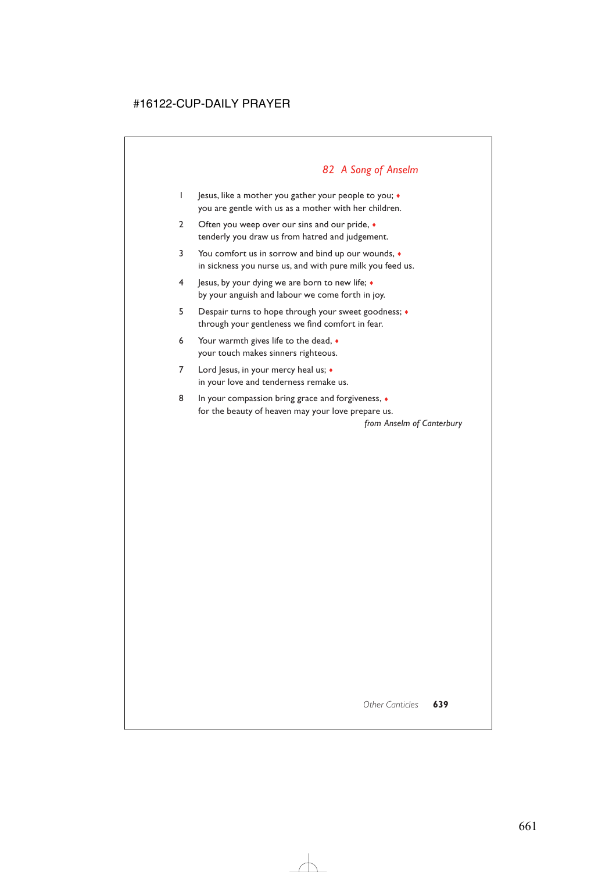# *82 A Song of Anselm*

- 1 Jesus, like a mother you gather your people to you; ♦ you are gentle with us as a mother with her children.
- 2 Often you weep over our sins and our pride,  $\bullet$ tenderly you draw us from hatred and judgement.
- 3 You comfort us in sorrow and bind up our wounds, ♦ in sickness you nurse us, and with pure milk you feed us.
- 4 Jesus, by your dying we are born to new life; ♦ by your anguish and labour we come forth in joy.
- 5 Despair turns to hope through your sweet goodness; ♦ through your gentleness we find comfort in fear.
- 6 Your warmth gives life to the dead, ♦ your touch makes sinners righteous.
- 7 Lord Jesus, in your mercy heal us;  $\triangleleft$ in your love and tenderness remake us.
- 8 In your compassion bring grace and forgiveness,  $\triangleleft$ for the beauty of heaven may your love prepare us.

*from Anselm of Canterbury*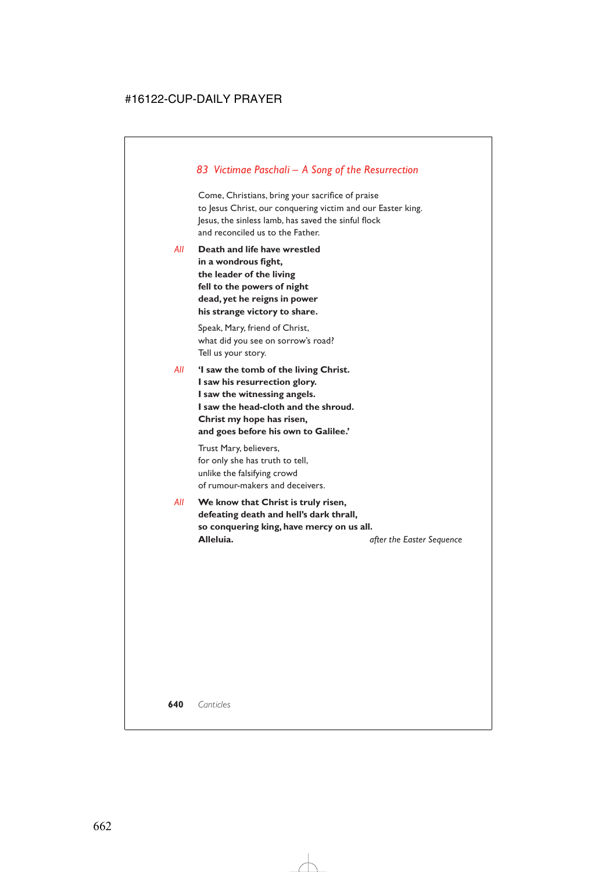## *83 Victimae Paschali – A Song of the Resurrection*

Come, Christians, bring your sacrifice of praise to Jesus Christ, our conquering victim and our Easter king. Jesus, the sinless lamb, has saved the sinful flock and reconciled us to the Father.

*All* **Death and life have wrestled in a wondrous fight, the leader of the living fell to the powers of night dead, yet he reigns in power his strange victory to share.**

> Speak, Mary, friend of Christ, what did you see on sorrow's road? Tell us your story.

*All* **'I saw the tomb of the living Christ. I saw his resurrection glory. I saw the witnessing angels. I saw the head-cloth and the shroud. Christ my hope has risen, and goes before his own to Galilee.'**

> Trust Mary, believers, for only she has truth to tell, unlike the falsifying crowd of rumour-makers and deceivers.

*All* **We know that Christ is truly risen, defeating death and hell's dark thrall, so conquering king, have mercy on us all. Alleluia.** *after the Easter Sequence*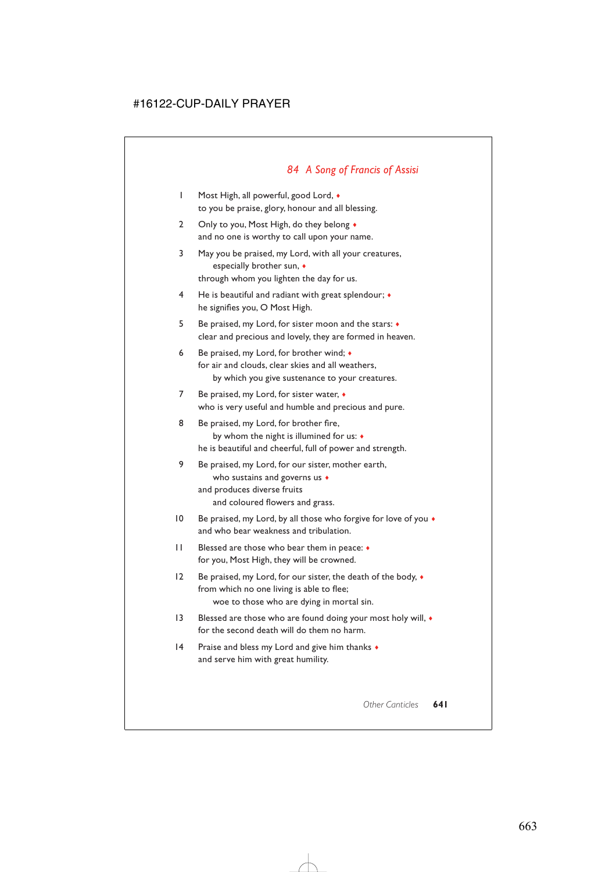## *84 A Song of Francis of Assisi*

- 1 Most High, all powerful, good Lord, ♦ to you be praise, glory, honour and all blessing.
- 2 Only to you, Most High, do they belong  $\bullet$ and no one is worthy to call upon your name.
- 3 May you be praised, my Lord, with all your creatures, especially brother sun, ♦ through whom you lighten the day for us.
- 4 He is beautiful and radiant with great splendour; ♦ he signifies you, O Most High.
- 5 Be praised, my Lord, for sister moon and the stars: ♦ clear and precious and lovely, they are formed in heaven.
- 6 Be praised, my Lord, for brother wind; ♦ for air and clouds, clear skies and all weathers, by which you give sustenance to your creatures.
- 7 Be praised, my Lord, for sister water, ♦ who is very useful and humble and precious and pure.
- 8 Be praised, my Lord, for brother fire, by whom the night is illumined for us: ♦ he is beautiful and cheerful, full of power and strength.
- 9 Be praised, my Lord, for our sister, mother earth, who sustains and governs us  $\bullet$ and produces diverse fruits and coloured flowers and grass.
- 10 Be praised, my Lord, by all those who forgive for love of you  $\bullet$ and who bear weakness and tribulation.
- 11 Blessed are those who bear them in peace: ♦ for you, Most High, they will be crowned.
- 12 Be praised, my Lord, for our sister, the death of the body,  $\bullet$ from which no one living is able to flee; woe to those who are dying in mortal sin.
- 13 Blessed are those who are found doing your most holy will,  $\bullet$ for the second death will do them no harm.
- 14 Praise and bless my Lord and give him thanks  $\bullet$ and serve him with great humility.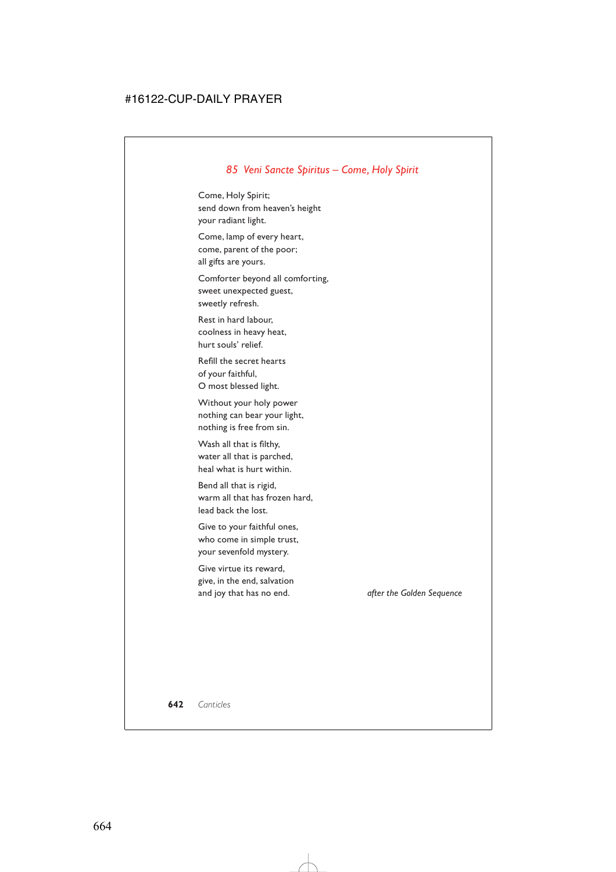## *85 Veni Sancte Spiritus – Come, Holy Spirit*

Come, Holy Spirit; send down from heaven's height your radiant light.

Come, lamp of every heart, come, parent of the poor; all gifts are yours.

Comforter beyond all comforting, sweet unexpected guest, sweetly refresh.

Rest in hard labour, coolness in heavy heat, hurt souls' relief.

Refill the secret hearts of your faithful, O most blessed light.

Without your holy power nothing can bear your light, nothing is free from sin.

Wash all that is filthy, water all that is parched, heal what is hurt within.

Bend all that is rigid, warm all that has frozen hard, lead back the lost.

Give to your faithful ones, who come in simple trust, your sevenfold mystery.

Give virtue its reward, give, in the end, salvation and joy that has no end. *after the Golden Sequence*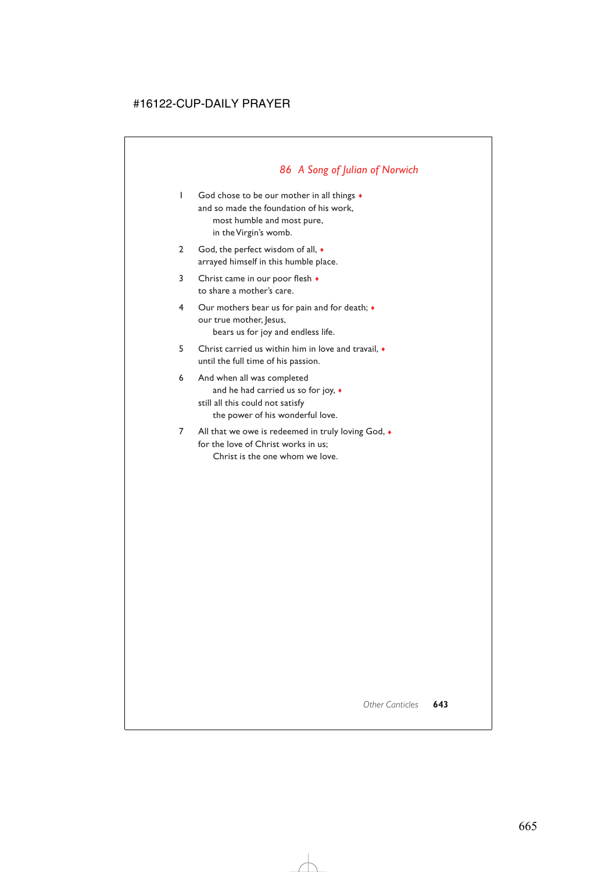# *86 A Song of Julian of Norwich*

- 1 God chose to be our mother in all things  $\bullet$ and so made the foundation of his work, most humble and most pure, in the Virgin's womb.
- 2 God, the perfect wisdom of all,  $\bullet$ arrayed himself in this humble place.
- 3 Christ came in our poor flesh  $\triangleleft$ to share a mother's care.
- 4 Our mothers bear us for pain and for death;  $\bullet$ our true mother, Jesus, bears us for joy and endless life.
- 5 Christ carried us within him in love and travail, ♦ until the full time of his passion.
- 6 And when all was completed and he had carried us so for joy, ♦ still all this could not satisfy the power of his wonderful love.
- 7 All that we owe is redeemed in truly loving God,  $\bullet$ for the love of Christ works in us; Christ is the one whom we love.